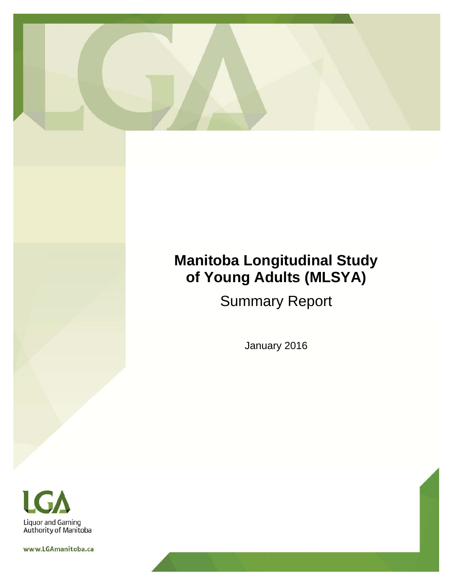

# **Manitoba Longitudinal Study of Young Adults (MLSYA)**

Summary Report

January 2016



www.LGAmanitoba.ca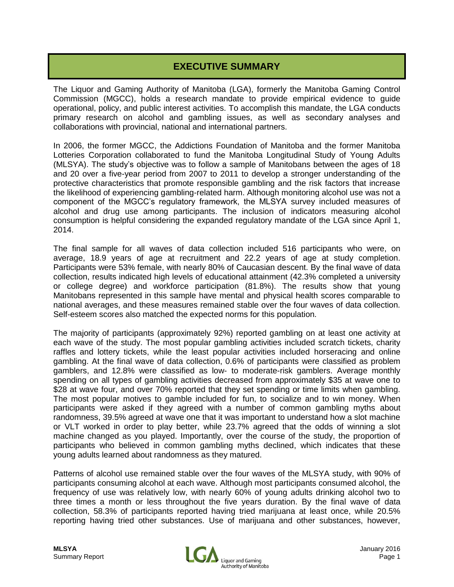### **EXECUTIVE SUMMARY**

The Liquor and Gaming Authority of Manitoba (LGA), formerly the Manitoba Gaming Control Commission (MGCC), holds a research mandate to provide empirical evidence to guide operational, policy, and public interest activities. To accomplish this mandate, the LGA conducts primary research on alcohol and gambling issues, as well as secondary analyses and collaborations with provincial, national and international partners.

In 2006, the former MGCC, the Addictions Foundation of Manitoba and the former Manitoba Lotteries Corporation collaborated to fund the Manitoba Longitudinal Study of Young Adults (MLSYA). The study's objective was to follow a sample of Manitobans between the ages of 18 and 20 over a five-year period from 2007 to 2011 to develop a stronger understanding of the protective characteristics that promote responsible gambling and the risk factors that increase the likelihood of experiencing gambling-related harm. Although monitoring alcohol use was not a component of the MGCC's regulatory framework, the MLSYA survey included measures of alcohol and drug use among participants. The inclusion of indicators measuring alcohol consumption is helpful considering the expanded regulatory mandate of the LGA since April 1, 2014.

The final sample for all waves of data collection included 516 participants who were, on average, 18.9 years of age at recruitment and 22.2 years of age at study completion. Participants were 53% female, with nearly 80% of Caucasian descent. By the final wave of data collection, results indicated high levels of educational attainment (42.3% completed a university or college degree) and workforce participation (81.8%). The results show that young Manitobans represented in this sample have mental and physical health scores comparable to national averages, and these measures remained stable over the four waves of data collection. Self-esteem scores also matched the expected norms for this population.

The majority of participants (approximately 92%) reported gambling on at least one activity at each wave of the study. The most popular gambling activities included scratch tickets, charity raffles and lottery tickets, while the least popular activities included horseracing and online gambling. At the final wave of data collection, 0.6% of participants were classified as problem gamblers, and 12.8% were classified as low- to moderate-risk gamblers. Average monthly spending on all types of gambling activities decreased from approximately \$35 at wave one to \$28 at wave four, and over 70% reported that they set spending or time limits when gambling. The most popular motives to gamble included for fun, to socialize and to win money. When participants were asked if they agreed with a number of common gambling myths about randomness, 39.5% agreed at wave one that it was important to understand how a slot machine or VLT worked in order to play better, while 23.7% agreed that the odds of winning a slot machine changed as you played. Importantly, over the course of the study, the proportion of participants who believed in common gambling myths declined, which indicates that these young adults learned about randomness as they matured.

Patterns of alcohol use remained stable over the four waves of the MLSYA study, with 90% of participants consuming alcohol at each wave. Although most participants consumed alcohol, the frequency of use was relatively low, with nearly 60% of young adults drinking alcohol two to three times a month or less throughout the five years duration. By the final wave of data collection, 58.3% of participants reported having tried marijuana at least once, while 20.5% reporting having tried other substances. Use of marijuana and other substances, however,

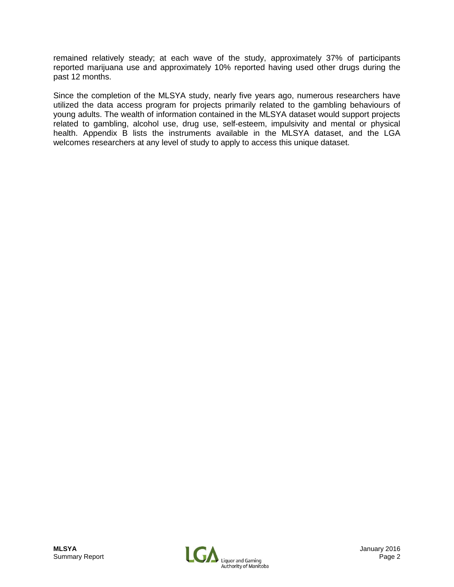remained relatively steady; at each wave of the study, approximately 37% of participants reported marijuana use and approximately 10% reported having used other drugs during the past 12 months.

Since the completion of the MLSYA study, nearly five years ago, numerous researchers have utilized the data access program for projects primarily related to the gambling behaviours of young adults. The wealth of information contained in the MLSYA dataset would support projects related to gambling, alcohol use, drug use, self-esteem, impulsivity and mental or physical health. Appendix B lists the instruments available in the MLSYA dataset, and the LGA welcomes researchers at any level of study to apply to access this unique dataset.

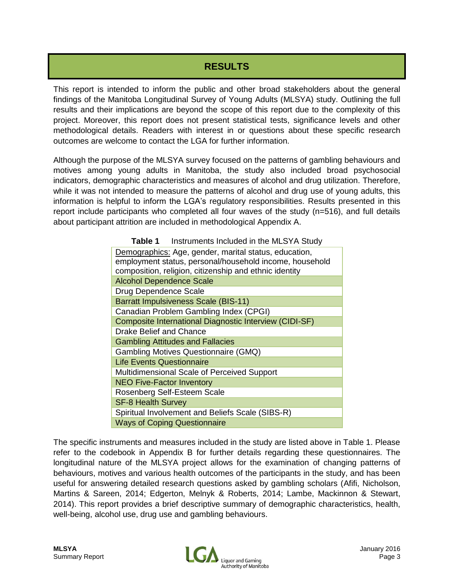### **RESULTS**

This report is intended to inform the public and other broad stakeholders about the general findings of the Manitoba Longitudinal Survey of Young Adults (MLSYA) study. Outlining the full results and their implications are beyond the scope of this report due to the complexity of this project. Moreover, this report does not present statistical tests, significance levels and other methodological details. Readers with interest in or questions about these specific research outcomes are welcome to contact the LGA for further information.

Although the purpose of the MLSYA survey focused on the patterns of gambling behaviours and motives among young adults in Manitoba, the study also included broad psychosocial indicators, demographic characteristics and measures of alcohol and drug utilization. Therefore, while it was not intended to measure the patterns of alcohol and drug use of young adults, this information is helpful to inform the LGA's regulatory responsibilities. Results presented in this report include participants who completed all four waves of the study (n=516), and full details about participant attrition are included in methodological Appendix A.

| <b>Table 1</b> Instruments Included in the MLSYA Study  |  |  |  |  |  |
|---------------------------------------------------------|--|--|--|--|--|
| Demographics: Age, gender, marital status, education,   |  |  |  |  |  |
| employment status, personal/household income, household |  |  |  |  |  |
| composition, religion, citizenship and ethnic identity  |  |  |  |  |  |
| <b>Alcohol Dependence Scale</b>                         |  |  |  |  |  |
| Drug Dependence Scale                                   |  |  |  |  |  |
| <b>Barratt Impulsiveness Scale (BIS-11)</b>             |  |  |  |  |  |
| Canadian Problem Gambling Index (CPGI)                  |  |  |  |  |  |
| Composite International Diagnostic Interview (CIDI-SF)  |  |  |  |  |  |
| <b>Drake Belief and Chance</b>                          |  |  |  |  |  |
| <b>Gambling Attitudes and Fallacies</b>                 |  |  |  |  |  |
| <b>Gambling Motives Questionnaire (GMQ)</b>             |  |  |  |  |  |
| <b>Life Events Questionnaire</b>                        |  |  |  |  |  |
| Multidimensional Scale of Perceived Support             |  |  |  |  |  |
| <b>NEO Five-Factor Inventory</b>                        |  |  |  |  |  |
| Rosenberg Self-Esteem Scale                             |  |  |  |  |  |
| <b>SF-8 Health Survey</b>                               |  |  |  |  |  |
| Spiritual Involvement and Beliefs Scale (SIBS-R)        |  |  |  |  |  |
| <b>Ways of Coping Questionnaire</b>                     |  |  |  |  |  |

The specific instruments and measures included in the study are listed above in Table 1. Please refer to the codebook in Appendix B for further details regarding these questionnaires. The longitudinal nature of the MLSYA project allows for the examination of changing patterns of behaviours, motives and various health outcomes of the participants in the study, and has been useful for answering detailed research questions asked by gambling scholars (Afifi, Nicholson, Martins & Sareen, 2014; Edgerton, Melnyk & Roberts, 2014; Lambe, Mackinnon & Stewart, 2014). This report provides a brief descriptive summary of demographic characteristics, health, well-being, alcohol use, drug use and gambling behaviours.

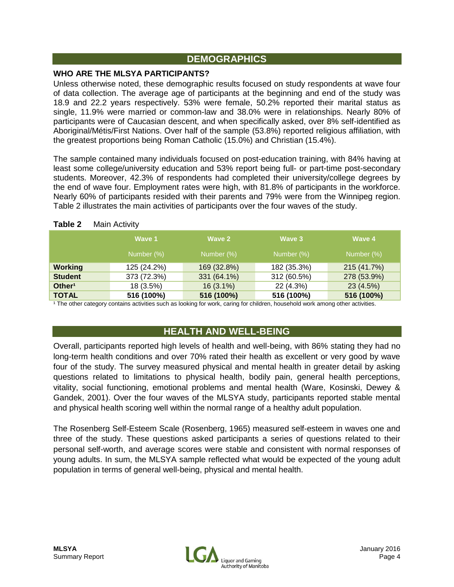### **DEMOGRAPHICS**

#### **WHO ARE THE MLSYA PARTICIPANTS?**

Unless otherwise noted, these demographic results focused on study respondents at wave four of data collection. The average age of participants at the beginning and end of the study was 18.9 and 22.2 years respectively. 53% were female, 50.2% reported their marital status as single, 11.9% were married or common-law and 38.0% were in relationships. Nearly 80% of participants were of Caucasian descent, and when specifically asked, over 8% self-identified as Aboriginal/Métis/First Nations. Over half of the sample (53.8%) reported religious affiliation, with the greatest proportions being Roman Catholic (15.0%) and Christian (15.4%).

The sample contained many individuals focused on post-education training, with 84% having at least some college/university education and 53% report being full- or part-time post-secondary students. Moreover, 42.3% of respondents had completed their university/college degrees by the end of wave four. Employment rates were high, with 81.8% of participants in the workforce. Nearly 60% of participants resided with their parents and 79% were from the Winnipeg region. Table 2 illustrates the main activities of participants over the four waves of the study.

|                    | Wave 1      | Wave 2      | Wave 3      | Wave 4      |
|--------------------|-------------|-------------|-------------|-------------|
|                    | Number (%)  | Number (%)  | Number (%)  | Number (%)  |
| <b>Working</b>     | 125 (24.2%) | 169 (32.8%) | 182 (35.3%) | 215 (41.7%) |
| <b>Student</b>     | 373 (72.3%) | 331 (64.1%) | 312 (60.5%) | 278 (53.9%) |
| Other <sup>1</sup> | 18 (3.5%)   | $16(3.1\%)$ | 22 (4.3%)   | 23(4.5%)    |
| <b>TOTAL</b>       | 516 (100%)  | 516 (100%)  | 516 (100%)  | 516 (100%)  |

#### **Table 2** Main Activity

<sup>1</sup> The other category contains activities such as looking for work, caring for children, household work among other activities.

### **HEALTH AND WELL-BEING**

Overall, participants reported high levels of health and well-being, with 86% stating they had no long-term health conditions and over 70% rated their health as excellent or very good by wave four of the study. The survey measured physical and mental health in greater detail by asking questions related to limitations to physical health, bodily pain, general health perceptions, vitality, social functioning, emotional problems and mental health (Ware, Kosinski, Dewey & Gandek, 2001). Over the four waves of the MLSYA study, participants reported stable mental and physical health scoring well within the normal range of a healthy adult population.

The Rosenberg Self-Esteem Scale (Rosenberg, 1965) measured self-esteem in waves one and three of the study. These questions asked participants a series of questions related to their personal self-worth, and average scores were stable and consistent with normal responses of young adults. In sum, the MLSYA sample reflected what would be expected of the young adult population in terms of general well-being, physical and mental health.

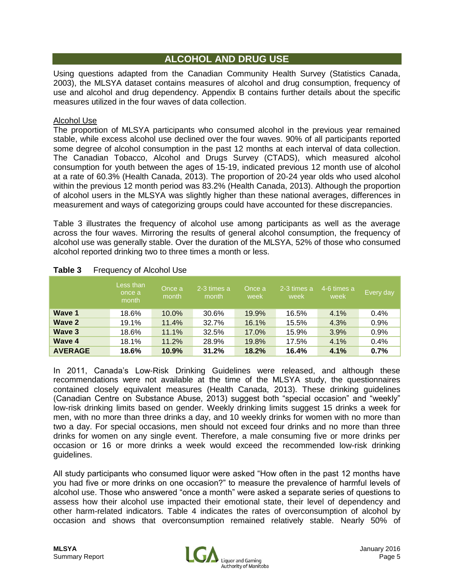### **ALCOHOL AND DRUG USE**

Using questions adapted from the Canadian Community Health Survey (Statistics Canada, 2003), the MLSYA dataset contains measures of alcohol and drug consumption, frequency of use and alcohol and drug dependency. Appendix B contains further details about the specific measures utilized in the four waves of data collection.

#### Alcohol Use

The proportion of MLSYA participants who consumed alcohol in the previous year remained stable, while excess alcohol use declined over the four waves. 90% of all participants reported some degree of alcohol consumption in the past 12 months at each interval of data collection. The Canadian Tobacco, Alcohol and Drugs Survey (CTADS), which measured alcohol consumption for youth between the ages of 15-19, indicated previous 12 month use of alcohol at a rate of 60.3% (Health Canada, 2013). The proportion of 20-24 year olds who used alcohol within the previous 12 month period was 83.2% (Health Canada, 2013). Although the proportion of alcohol users in the MLSYA was slightly higher than these national averages, differences in measurement and ways of categorizing groups could have accounted for these discrepancies.

Table 3 illustrates the frequency of alcohol use among participants as well as the average across the four waves. Mirroring the results of general alcohol consumption, the frequency of alcohol use was generally stable. Over the duration of the MLSYA, 52% of those who consumed alcohol reported drinking two to three times a month or less.

|                | Less than<br>once a<br>month | Once a<br>month | 2-3 times a<br>month | Once a<br>week | 2-3 times a<br>week | 4-6 times a<br>week | Every day |
|----------------|------------------------------|-----------------|----------------------|----------------|---------------------|---------------------|-----------|
| Wave 1         | 18.6%                        | 10.0%           | 30.6%                | 19.9%          | 16.5%               | 4.1%                | 0.4%      |
| Wave 2         | 19.1%                        | 11.4%           | 32.7%                | 16.1%          | 15.5%               | 4.3%                | 0.9%      |
| <b>Wave 3</b>  | 18.6%                        | 11.1%           | 32.5%                | 17.0%          | 15.9%               | 3.9%                | 0.9%      |
| Wave 4         | 18.1%                        | 11.2%           | 28.9%                | 19.8%          | 17.5%               | 4.1%                | 0.4%      |
| <b>AVERAGE</b> | 18.6%                        | 10.9%           | 31.2%                | 18.2%          | 16.4%               | 4.1%                | 0.7%      |

#### **Table 3** Frequency of Alcohol Use

In 2011, Canada's Low-Risk Drinking Guidelines were released, and although these recommendations were not available at the time of the MLSYA study, the questionnaires contained closely equivalent measures (Health Canada, 2013). These drinking guidelines (Canadian Centre on Substance Abuse, 2013) suggest both "special occasion" and "weekly" low-risk drinking limits based on gender. Weekly drinking limits suggest 15 drinks a week for men, with no more than three drinks a day, and 10 weekly drinks for women with no more than two a day. For special occasions, men should not exceed four drinks and no more than three drinks for women on any single event. Therefore, a male consuming five or more drinks per occasion or 16 or more drinks a week would exceed the recommended low-risk drinking guidelines.

All study participants who consumed liquor were asked "How often in the past 12 months have you had five or more drinks on one occasion?" to measure the prevalence of harmful levels of alcohol use. Those who answered "once a month" were asked a separate series of questions to assess how their alcohol use impacted their emotional state, their level of dependency and other harm-related indicators. Table 4 indicates the rates of overconsumption of alcohol by occasion and shows that overconsumption remained relatively stable. Nearly 50% of

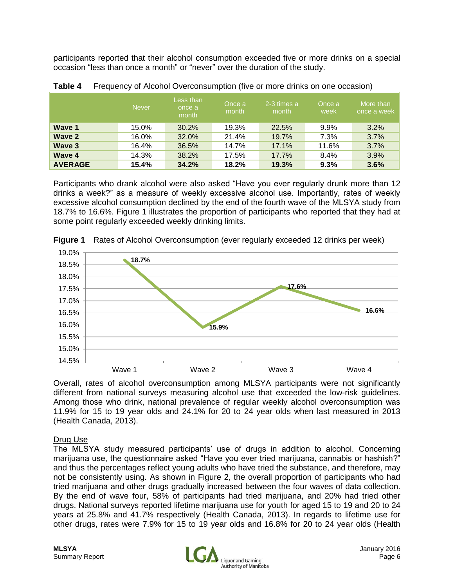participants reported that their alcohol consumption exceeded five or more drinks on a special occasion "less than once a month" or "never" over the duration of the study.

|                | <b>Never</b> | Less than<br>once a<br>month | Once a<br>month | 2-3 times a<br>month | Once a<br>week | More than<br>once a week |
|----------------|--------------|------------------------------|-----------------|----------------------|----------------|--------------------------|
| Wave 1         | 15.0%        | 30.2%                        | 19.3%           | 22.5%                | $9.9\%$        | 3.2%                     |
| Wave 2         | 16.0%        | 32.0%                        | 21.4%           | 19.7%                | 7.3%           | 3.7%                     |
| Wave 3         | 16.4%        | 36.5%                        | 14.7%           | 17.1%                | 11.6%          | 3.7%                     |
| Wave 4         | 14.3%        | 38.2%                        | 17.5%           | 17.7%                | 8.4%           | 3.9%                     |
| <b>AVERAGE</b> | 15.4%        | 34.2%                        | 18.2%           | 19.3%                | 9.3%           | 3.6%                     |

**Table 4** Frequency of Alcohol Overconsumption (five or more drinks on one occasion)

Participants who drank alcohol were also asked "Have you ever regularly drunk more than 12 drinks a week?" as a measure of weekly excessive alcohol use. Importantly, rates of weekly excessive alcohol consumption declined by the end of the fourth wave of the MLSYA study from 18.7% to 16.6%. Figure 1 illustrates the proportion of participants who reported that they had at some point regularly exceeded weekly drinking limits.



**Figure 1** Rates of Alcohol Overconsumption (ever regularly exceeded 12 drinks per week)

Overall, rates of alcohol overconsumption among MLSYA participants were not significantly different from national surveys measuring alcohol use that exceeded the low-risk guidelines. Among those who drink, national prevalence of regular weekly alcohol overconsumption was 11.9% for 15 to 19 year olds and 24.1% for 20 to 24 year olds when last measured in 2013 (Health Canada, 2013).

#### Drug Use

The MLSYA study measured participants' use of drugs in addition to alcohol. Concerning marijuana use, the questionnaire asked "Have you ever tried marijuana, cannabis or hashish?" and thus the percentages reflect young adults who have tried the substance, and therefore, may not be consistently using. As shown in Figure 2, the overall proportion of participants who had tried marijuana and other drugs gradually increased between the four waves of data collection. By the end of wave four, 58% of participants had tried marijuana, and 20% had tried other drugs. National surveys reported lifetime marijuana use for youth for aged 15 to 19 and 20 to 24 years at 25.8% and 41.7% respectively (Health Canada, 2013). In regards to lifetime use for other drugs, rates were 7.9% for 15 to 19 year olds and 16.8% for 20 to 24 year olds (Health

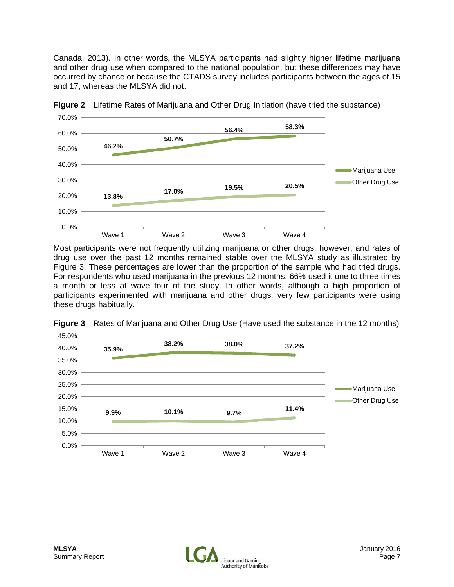Canada, 2013). In other words, the MLSYA participants had slightly higher lifetime marijuana and other drug use when compared to the national population, but these differences may have occurred by chance or because the CTADS survey includes participants between the ages of 15 and 17, whereas the MLSYA did not.



**Figure 2** Lifetime Rates of Marijuana and Other Drug Initiation (have tried the substance)

Most participants were not frequently utilizing marijuana or other drugs, however, and rates of drug use over the past 12 months remained stable over the MLSYA study as illustrated by Figure 3. These percentages are lower than the proportion of the sample who had tried drugs. For respondents who used marijuana in the previous 12 months, 66% used it one to three times a month or less at wave four of the study. In other words, although a high proportion of participants experimented with marijuana and other drugs, very few participants were using these drugs habitually.



**Figure 3** Rates of Marijuana and Other Drug Use (Have used the substance in the 12 months)

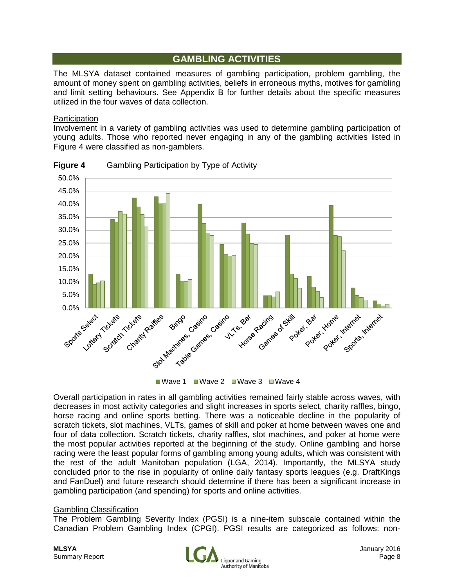### **GAMBLING ACTIVITIES**

The MLSYA dataset contained measures of gambling participation, problem gambling, the amount of money spent on gambling activities, beliefs in erroneous myths, motives for gambling and limit setting behaviours. See Appendix B for further details about the specific measures utilized in the four waves of data collection.

#### **Participation**

Involvement in a variety of gambling activities was used to determine gambling participation of young adults. Those who reported never engaging in any of the gambling activities listed in Figure 4 were classified as non-gamblers.



**Figure 4** Gambling Participation by Type of Activity

Overall participation in rates in all gambling activities remained fairly stable across waves, with decreases in most activity categories and slight increases in sports select, charity raffles, bingo, horse racing and online sports betting. There was a noticeable decline in the popularity of scratch tickets, slot machines, VLTs, games of skill and poker at home between waves one and four of data collection. Scratch tickets, charity raffles, slot machines, and poker at home were the most popular activities reported at the beginning of the study. Online gambling and horse racing were the least popular forms of gambling among young adults, which was consistent with the rest of the adult Manitoban population (LGA, 2014). Importantly, the MLSYA study concluded prior to the rise in popularity of online daily fantasy sports leagues (e.g. DraftKings and FanDuel) and future research should determine if there has been a significant increase in gambling participation (and spending) for sports and online activities.

#### Gambling Classification

The Problem Gambling Severity Index (PGSI) is a nine-item subscale contained within the Canadian Problem Gambling Index (CPGI). PGSI results are categorized as follows: non-

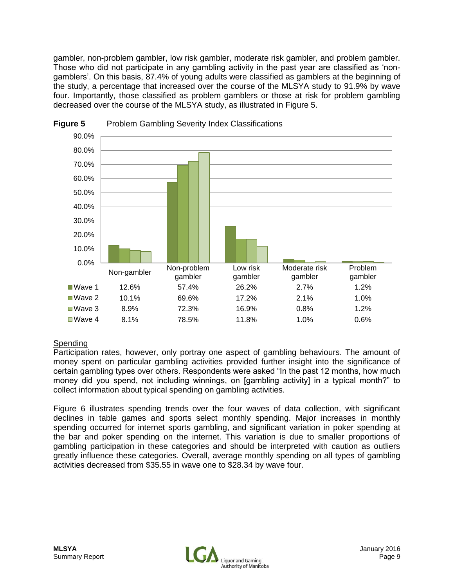gambler, non-problem gambler, low risk gambler, moderate risk gambler, and problem gambler. Those who did not participate in any gambling activity in the past year are classified as 'nongamblers'. On this basis, 87.4% of young adults were classified as gamblers at the beginning of the study, a percentage that increased over the course of the MLSYA study to 91.9% by wave four. Importantly, those classified as problem gamblers or those at risk for problem gambling decreased over the course of the MLSYA study, as illustrated in Figure 5.





#### Spending

Participation rates, however, only portray one aspect of gambling behaviours. The amount of money spent on particular gambling activities provided further insight into the significance of certain gambling types over others. Respondents were asked "In the past 12 months, how much money did you spend, not including winnings, on [gambling activity] in a typical month?" to collect information about typical spending on gambling activities.

Figure 6 illustrates spending trends over the four waves of data collection, with significant declines in table games and sports select monthly spending. Major increases in monthly spending occurred for internet sports gambling, and significant variation in poker spending at the bar and poker spending on the internet. This variation is due to smaller proportions of gambling participation in these categories and should be interpreted with caution as outliers greatly influence these categories. Overall, average monthly spending on all types of gambling activities decreased from \$35.55 in wave one to \$28.34 by wave four.

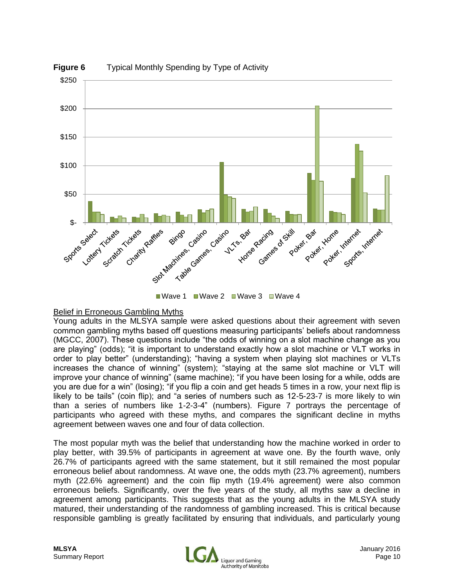

#### Belief in Erroneous Gambling Myths

Young adults in the MLSYA sample were asked questions about their agreement with seven common gambling myths based off questions measuring participants' beliefs about randomness (MGCC, 2007). These questions include "the odds of winning on a slot machine change as you are playing" (odds); "it is important to understand exactly how a slot machine or VLT works in order to play better" (understanding); "having a system when playing slot machines or VLTs increases the chance of winning" (system); "staying at the same slot machine or VLT will improve your chance of winning" (same machine); "if you have been losing for a while, odds are you are due for a win" (losing); "if you flip a coin and get heads 5 times in a row, your next flip is likely to be tails" (coin flip); and "a series of numbers such as 12-5-23-7 is more likely to win than a series of numbers like 1-2-3-4" (numbers). Figure 7 portrays the percentage of participants who agreed with these myths, and compares the significant decline in myths agreement between waves one and four of data collection.

The most popular myth was the belief that understanding how the machine worked in order to play better, with 39.5% of participants in agreement at wave one. By the fourth wave, only 26.7% of participants agreed with the same statement, but it still remained the most popular erroneous belief about randomness. At wave one, the odds myth (23.7% agreement), numbers myth (22.6% agreement) and the coin flip myth (19.4% agreement) were also common erroneous beliefs. Significantly, over the five years of the study, all myths saw a decline in agreement among participants. This suggests that as the young adults in the MLSYA study matured, their understanding of the randomness of gambling increased. This is critical because responsible gambling is greatly facilitated by ensuring that individuals, and particularly young

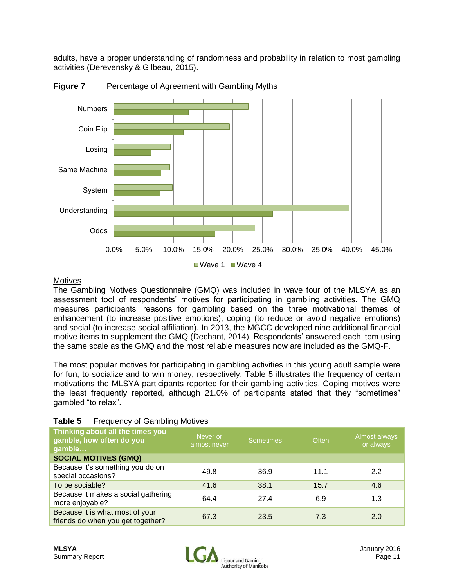adults, have a proper understanding of randomness and probability in relation to most gambling activities (Derevensky & Gilbeau, 2015).



**Figure 7** Percentage of Agreement with Gambling Myths

#### **Motives**

The Gambling Motives Questionnaire (GMQ) was included in wave four of the MLSYA as an assessment tool of respondents' motives for participating in gambling activities. The GMQ measures participants' reasons for gambling based on the three motivational themes of enhancement (to increase positive emotions), coping (to reduce or avoid negative emotions) and social (to increase social affiliation). In 2013, the MGCC developed nine additional financial motive items to supplement the GMQ (Dechant, 2014). Respondents' answered each item using the same scale as the GMQ and the most reliable measures now are included as the GMQ-F.

The most popular motives for participating in gambling activities in this young adult sample were for fun, to socialize and to win money, respectively. Table 5 illustrates the frequency of certain motivations the MLSYA participants reported for their gambling activities. Coping motives were the least frequently reported, although 21.0% of participants stated that they "sometimes" gambled "to relax".

| Thinking about all the times you<br>gamble, how often do you<br>gamble | Never or<br>almost never | <b>Sometimes</b> | <b>Often</b> | Almost always<br>or always |
|------------------------------------------------------------------------|--------------------------|------------------|--------------|----------------------------|
| <b>SOCIAL MOTIVES (GMQ)</b>                                            |                          |                  |              |                            |
| Because it's something you do on<br>special occasions?                 | 49.8                     | 36.9             | 11.1         | 2.2                        |
| To be sociable?                                                        | 41.6                     | 38.1             | 15.7         | 4.6                        |
| Because it makes a social gathering<br>more enjoyable?                 | 64.4                     | 27.4             | 6.9          | 1.3                        |
| Because it is what most of your<br>friends do when you get together?   | 67.3                     | 23.5             | 7.3          | 2.0                        |

#### **Table 5** Frequency of Gambling Motives

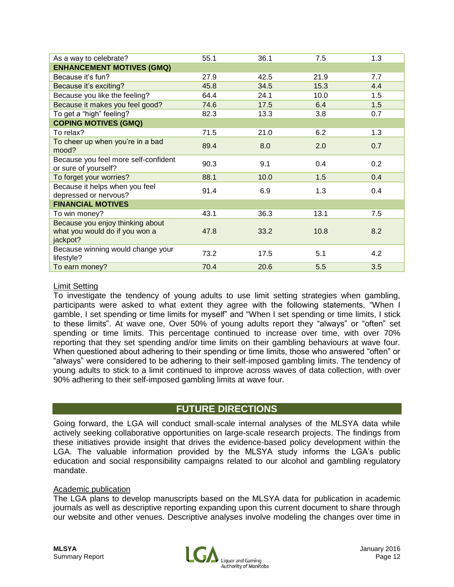| As a way to celebrate?                                                         | 55.1 | 36.1 | 7.5  | 1.3 |
|--------------------------------------------------------------------------------|------|------|------|-----|
| <b>ENHANCEMENT MOTIVES (GMQ)</b>                                               |      |      |      |     |
| Because it's fun?                                                              | 27.9 | 42.5 | 21.9 | 7.7 |
| Because it's exciting?                                                         | 45.8 | 34.5 | 15.3 | 4.4 |
| Because you like the feeling?                                                  | 64.4 | 24.1 | 10.0 | 1.5 |
| Because it makes you feel good?                                                | 74.6 | 17.5 | 6.4  | 1.5 |
| To get a "high" feeling?                                                       | 82.3 | 13.3 | 3.8  | 0.7 |
| <b>COPING MOTIVES (GMQ)</b>                                                    |      |      |      |     |
| To relax?                                                                      | 71.5 | 21.0 | 6.2  | 1.3 |
| To cheer up when you're in a bad<br>mood?                                      | 89.4 | 8.0  | 2.0  | 0.7 |
| Because you feel more self-confident<br>or sure of yourself?                   | 90.3 | 9.1  | 0.4  | 0.2 |
| To forget your worries?                                                        | 88.1 | 10.0 | 1.5  | 0.4 |
| Because it helps when you feel<br>depressed or nervous?                        | 91.4 | 6.9  | 1.3  | 0.4 |
| <b>FINANCIAL MOTIVES</b>                                                       |      |      |      |     |
| To win money?                                                                  | 43.1 | 36.3 | 13.1 | 7.5 |
| Because you enjoy thinking about<br>what you would do if you won a<br>jackpot? | 47.8 | 33.2 | 10.8 | 8.2 |
| Because winning would change your<br>lifestyle?                                | 73.2 | 17.5 | 5.1  | 4.2 |
| To earn money?                                                                 | 70.4 | 20.6 | 5.5  | 3.5 |

#### Limit Setting

To investigate the tendency of young adults to use limit setting strategies when gambling, participants were asked to what extent they agree with the following statements, "When I gamble, I set spending or time limits for myself" and "When I set spending or time limits, I stick to these limits". At wave one, Over 50% of young adults report they "always" or "often" set spending or time limits. This percentage continued to increase over time, with over 70% reporting that they set spending and/or time limits on their gambling behaviours at wave four. When questioned about adhering to their spending or time limits, those who answered "often" or "always" were considered to be adhering to their self-imposed gambling limits. The tendency of young adults to stick to a limit continued to improve across waves of data collection, with over 90% adhering to their self-imposed gambling limits at wave four.

#### **FUTURE DIRECTIONS**

Going forward, the LGA will conduct small-scale internal analyses of the MLSYA data while actively seeking collaborative opportunities on large-scale research projects. The findings from these initiatives provide insight that drives the evidence-based policy development within the LGA. The valuable information provided by the MLSYA study informs the LGA's public education and social responsibility campaigns related to our alcohol and gambling regulatory mandate.

#### Academic publication

The LGA plans to develop manuscripts based on the MLSYA data for publication in academic journals as well as descriptive reporting expanding upon this current document to share through our website and other venues. Descriptive analyses involve modeling the changes over time in

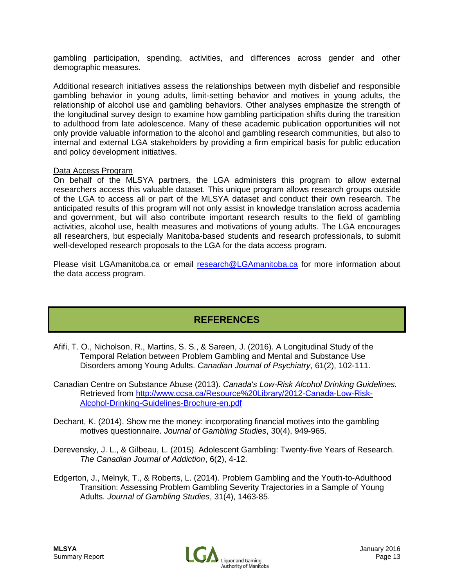gambling participation, spending, activities, and differences across gender and other demographic measures.

Additional research initiatives assess the relationships between myth disbelief and responsible gambling behavior in young adults, limit-setting behavior and motives in young adults, the relationship of alcohol use and gambling behaviors. Other analyses emphasize the strength of the longitudinal survey design to examine how gambling participation shifts during the transition to adulthood from late adolescence. Many of these academic publication opportunities will not only provide valuable information to the alcohol and gambling research communities, but also to internal and external LGA stakeholders by providing a firm empirical basis for public education and policy development initiatives.

#### Data Access Program

On behalf of the MLSYA partners, the LGA administers this program to allow external researchers access this valuable dataset. This unique program allows research groups outside of the LGA to access all or part of the MLSYA dataset and conduct their own research. The anticipated results of this program will not only assist in knowledge translation across academia and government, but will also contribute important research results to the field of gambling activities, alcohol use, health measures and motivations of young adults. The LGA encourages all researchers, but especially Manitoba-based students and research professionals, to submit well-developed research proposals to the LGA for the data access program.

Please visit LGAmanitoba.ca or email [research@LGAmanitoba.ca](mailto:research@LGAmanitoba.ca) for more information about the data access program.

### **REFERENCES**

- Afifi, T. O., Nicholson, R., Martins, S. S., & Sareen, J. (2016). A Longitudinal Study of the Temporal Relation between Problem Gambling and Mental and Substance Use Disorders among Young Adults. *Canadian Journal of Psychiatry*, 61(2), 102-111.
- Canadian Centre on Substance Abuse (2013). *Canada's Low-Risk Alcohol Drinking Guidelines.* Retrieved from [http://www.ccsa.ca/Resource%20Library/2012-Canada-Low-Risk-](http://www.ccsa.ca/Resource%20Library/2012-Canada-Low-Risk-Alcohol-Drinking-Guidelines-Brochure-en.pdf)[Alcohol-Drinking-Guidelines-Brochure-en.pdf](http://www.ccsa.ca/Resource%20Library/2012-Canada-Low-Risk-Alcohol-Drinking-Guidelines-Brochure-en.pdf)
- Dechant, K. (2014). Show me the money: incorporating financial motives into the gambling motives questionnaire. *Journal of Gambling Studies*, 30(4), 949-965.
- Derevensky, J. L., & Gilbeau, L. (2015). Adolescent Gambling: Twenty-five Years of Research. *The Canadian Journal of Addiction*, 6(2), 4-12.
- Edgerton, J., Melnyk, T., & Roberts, L. (2014). Problem Gambling and the Youth-to-Adulthood Transition: Assessing Problem Gambling Severity Trajectories in a Sample of Young Adults. *Journal of Gambling Studies*, 31(4), 1463-85.

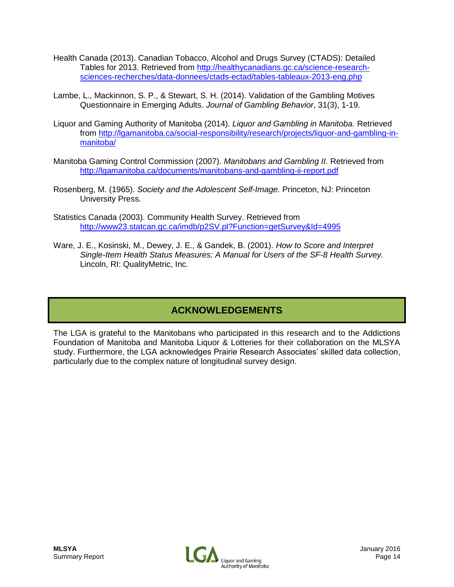- Health Canada (2013). Canadian Tobacco, Alcohol and Drugs Survey (CTADS): Detailed Tables for 2013. Retrieved from [http://healthycanadians.gc.ca/science-research](http://healthycanadians.gc.ca/science-research-sciences-recherches/data-donnees/ctads-ectad/tables-tableaux-2013-eng.php)[sciences-recherches/data-donnees/ctads-ectad/tables-tableaux-2013-eng.php](http://healthycanadians.gc.ca/science-research-sciences-recherches/data-donnees/ctads-ectad/tables-tableaux-2013-eng.php)
- Lambe, L., Mackinnon, S. P., & Stewart, S. H. (2014). Validation of the Gambling Motives Questionnaire in Emerging Adults. *Journal of Gambling Behavior*, 31(3), 1-19.
- Liquor and Gaming Authority of Manitoba (2014). *Liquor and Gambling in Manitoba.* Retrieved from [http://lgamanitoba.ca/social-responsibility/research/projects/liquor-and-gambling-in](http://lgamanitoba.ca/social-responsibility/research/projects/liquor-and-gambling-in-manitoba/)[manitoba/](http://lgamanitoba.ca/social-responsibility/research/projects/liquor-and-gambling-in-manitoba/)
- Manitoba Gaming Control Commission (2007). *Manitobans and Gambling II.* Retrieved from <http://lgamanitoba.ca/documents/manitobans-and-gambling-ii-report.pdf>
- Rosenberg, M. (1965). *Society and the Adolescent Self-Image.* Princeton, NJ: Princeton University Press.
- Statistics Canada (2003). Community Health Survey. Retrieved from <http://www23.statcan.gc.ca/imdb/p2SV.pl?Function=getSurvey&Id=4995>
- Ware, J. E., Kosinski, M., Dewey, J. E., & Gandek, B. (2001). *How to Score and Interpret Single-Item Health Status Measures: A Manual for Users of the SF-8 Health Survey.* Lincoln, RI: QualityMetric, Inc.

# **ACKNOWLEDGEMENTS**

The LGA is grateful to the Manitobans who participated in this research and to the Addictions Foundation of Manitoba and Manitoba Liquor & Lotteries for their collaboration on the MLSYA study. Furthermore, the LGA acknowledges Prairie Research Associates' skilled data collection, particularly due to the complex nature of longitudinal survey design.

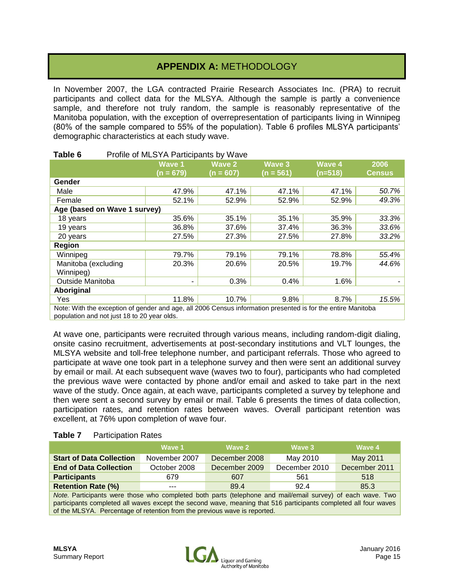# **APPENDIX A:** METHODOLOGY

In November 2007, the LGA contracted Prairie Research Associates Inc. (PRA) to recruit participants and collect data for the MLSYA. Although the sample is partly a convenience sample, and therefore not truly random, the sample is reasonably representative of the Manitoba population, with the exception of overrepresentation of participants living in Winnipeg (80% of the sample compared to 55% of the population). Table 6 profiles MLSYA participants' demographic characteristics at each study wave.

|                                                                                                                                                             | <b>Wave 1</b><br>$(n = 679)$ | <b>Wave 2</b><br>(n = 607) | Wave 3<br>$(n = 561)$ | Wave 4<br>$(n=518)$ | 2006<br><b>Census</b> |
|-------------------------------------------------------------------------------------------------------------------------------------------------------------|------------------------------|----------------------------|-----------------------|---------------------|-----------------------|
| Gender                                                                                                                                                      |                              |                            |                       |                     |                       |
| Male                                                                                                                                                        | 47.9%                        | 47.1%                      | 47.1%                 | 47.1%               | 50.7%                 |
| Female                                                                                                                                                      | 52.1%                        | 52.9%                      | 52.9%                 | 52.9%               | 49.3%                 |
| Age (based on Wave 1 survey)                                                                                                                                |                              |                            |                       |                     |                       |
| 18 years                                                                                                                                                    | 35.6%                        | 35.1%                      | 35.1%                 | 35.9%               | 33.3%                 |
| 19 years                                                                                                                                                    | 36.8%                        | 37.6%                      | 37.4%                 | 36.3%               | 33.6%                 |
| 20 years                                                                                                                                                    | 27.5%                        | 27.3%                      | 27.5%                 | 27.8%               | 33.2%                 |
| Region                                                                                                                                                      |                              |                            |                       |                     |                       |
| Winnipeg                                                                                                                                                    | 79.7%                        | 79.1%                      | 79.1%                 | 78.8%               | 55.4%                 |
| Manitoba (excluding<br>Winnipeg)                                                                                                                            | 20.3%                        | 20.6%                      | 20.5%                 | 19.7%               | 44.6%                 |
| Outside Manitoba                                                                                                                                            | ٠                            | 0.3%                       | 0.4%                  | 1.6%                |                       |
| Aboriginal                                                                                                                                                  |                              |                            |                       |                     |                       |
| Yes                                                                                                                                                         | 11.8%                        | 10.7%                      | 9.8%                  | 8.7%                | 15.5%                 |
| Note: With the exception of gender and age, all 2006 Census information presented is for the entire Manitoba<br>population and not just 18 to 20 year olds. |                              |                            |                       |                     |                       |

#### **Table 6** Profile of MLSYA Participants by Wave

At wave one, participants were recruited through various means, including random-digit dialing, onsite casino recruitment, advertisements at post-secondary institutions and VLT lounges, the MLSYA website and toll-free telephone number, and participant referrals. Those who agreed to participate at wave one took part in a telephone survey and then were sent an additional survey by email or mail. At each subsequent wave (waves two to four), participants who had completed the previous wave were contacted by phone and/or email and asked to take part in the next wave of the study. Once again, at each wave, participants completed a survey by telephone and then were sent a second survey by email or mail. Table 6 presents the times of data collection, participation rates, and retention rates between waves. Overall participant retention was excellent, at 76% upon completion of wave four.

| Table 7 | <b>Participation Rates</b> |
|---------|----------------------------|
|---------|----------------------------|

|                                                                                                          | <b>Wave 1</b> | Wave 2        | Wave 3        | Wave 4        |
|----------------------------------------------------------------------------------------------------------|---------------|---------------|---------------|---------------|
| <b>Start of Data Collection</b>                                                                          | November 2007 | December 2008 | May 2010      | May 2011      |
| <b>End of Data Collection</b>                                                                            | October 2008  | December 2009 | December 2010 | December 2011 |
| <b>Participants</b>                                                                                      | 679           | 607           | 561           | 518           |
| <b>Retention Rate (%)</b>                                                                                | ---           | 89.4          | 92.4          | 85.3          |
| Note Dertiginante were these who completed both parts (telephone and mail/email curvey) of coop wave Two |               |               |               |               |

*Note.* Participants were those who completed both parts (telephone and mail/email survey) of each wave. Two participants completed all waves except the second wave, meaning that 516 participants completed all four waves of the MLSYA. Percentage of retention from the previous wave is reported.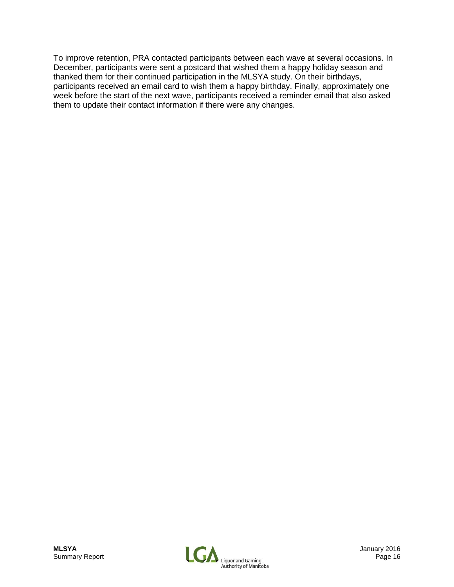To improve retention, PRA contacted participants between each wave at several occasions. In December, participants were sent a postcard that wished them a happy holiday season and thanked them for their continued participation in the MLSYA study. On their birthdays, participants received an email card to wish them a happy birthday. Finally, approximately one week before the start of the next wave, participants received a reminder email that also asked them to update their contact information if there were any changes.

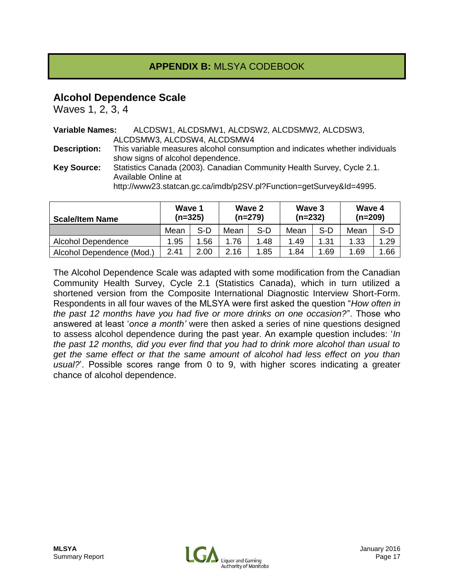# **APPENDIX B:** MLSYA CODEBOOK

### **Alcohol Dependence Scale**

Waves 1, 2, 3, 4

| <b>Variable Names:</b> | ALCDSW1, ALCDSMW1, ALCDSW2, ALCDSMW2, ALCDSW3,                               |
|------------------------|------------------------------------------------------------------------------|
|                        | ALCDSMW3, ALCDSW4, ALCDSMW4                                                  |
| <b>Description:</b>    | This variable measures alcohol consumption and indicates whether individuals |
|                        | show signs of alcohol dependence.                                            |
| <b>Key Source:</b>     | Statistics Canada (2003). Canadian Community Health Survey, Cycle 2.1.       |
|                        | Available Online at                                                          |
|                        | http://www23.statcan.gc.ca/imdb/p2SV.pl?Function=getSurvey&Id=4995.          |

| <b>Scale/Item Name</b>    | Wave 1<br>$(n=325)$ |      | Wave 2<br>$(n=279)$ |     | Wave 3<br>$(n=232)$ |      | Wave 4<br>$(n=209)$ |       |
|---------------------------|---------------------|------|---------------------|-----|---------------------|------|---------------------|-------|
|                           | Mean                | S-D  | Mean                | S-D | Mean                | S-D  | Mean                | $S-D$ |
| Alcohol Dependence        | 1.95                | .56  | .76                 | .48 | 1.49                | 1.31 | 1.33                | .29   |
| Alcohol Dependence (Mod.) | 2.41                | 2.00 | 2.16                | .85 | 1.84                | .69  | 1.69                | .66   |

The Alcohol Dependence Scale was adapted with some modification from the Canadian Community Health Survey, Cycle 2.1 (Statistics Canada), which in turn utilized a shortened version from the Composite International Diagnostic Interview Short-Form. Respondents in all four waves of the MLSYA were first asked the question "*How often in the past 12 months have you had five or more drinks on one occasion?*". Those who answered at least '*once a month'* were then asked a series of nine questions designed to assess alcohol dependence during the past year. An example question includes: '*In the past 12 months, did you ever find that you had to drink more alcohol than usual to get the same effect or that the same amount of alcohol had less effect on you than usual?*'. Possible scores range from 0 to 9, with higher scores indicating a greater chance of alcohol dependence.

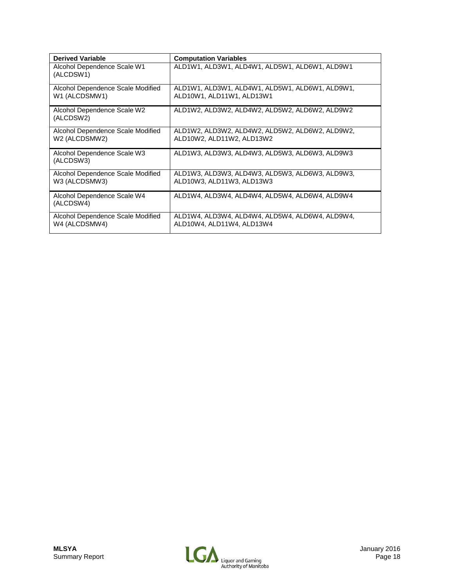| <b>Derived Variable</b>                            | <b>Computation Variables</b>                                                 |
|----------------------------------------------------|------------------------------------------------------------------------------|
| Alcohol Dependence Scale W1<br>(ALCDSW1)           | ALD1W1, ALD3W1, ALD4W1, ALD5W1, ALD6W1, ALD9W1                               |
| Alcohol Dependence Scale Modified<br>W1 (ALCDSMW1) | ALD1W1, ALD3W1, ALD4W1, ALD5W1, ALD6W1, ALD9W1,<br>ALD10W1, ALD11W1, ALD13W1 |
| Alcohol Dependence Scale W2<br>(ALCDSW2)           | ALD1W2, ALD3W2, ALD4W2, ALD5W2, ALD6W2, ALD9W2                               |
| Alcohol Dependence Scale Modified<br>W2 (ALCDSMW2) | ALD1W2, ALD3W2, ALD4W2, ALD5W2, ALD6W2, ALD9W2,<br>ALD10W2, ALD11W2, ALD13W2 |
| Alcohol Dependence Scale W3<br>(ALCDSW3)           | ALD1W3, ALD3W3, ALD4W3, ALD5W3, ALD6W3, ALD9W3                               |
| Alcohol Dependence Scale Modified<br>W3 (ALCDSMW3) | ALD1W3, ALD3W3, ALD4W3, ALD5W3, ALD6W3, ALD9W3,<br>ALD10W3, ALD11W3, ALD13W3 |
| Alcohol Dependence Scale W4<br>(ALCDSW4)           | ALD1W4, ALD3W4, ALD4W4, ALD5W4, ALD6W4, ALD9W4                               |
| Alcohol Dependence Scale Modified<br>W4 (ALCDSMW4) | ALD1W4, ALD3W4, ALD4W4, ALD5W4, ALD6W4, ALD9W4,<br>ALD10W4, ALD11W4, ALD13W4 |

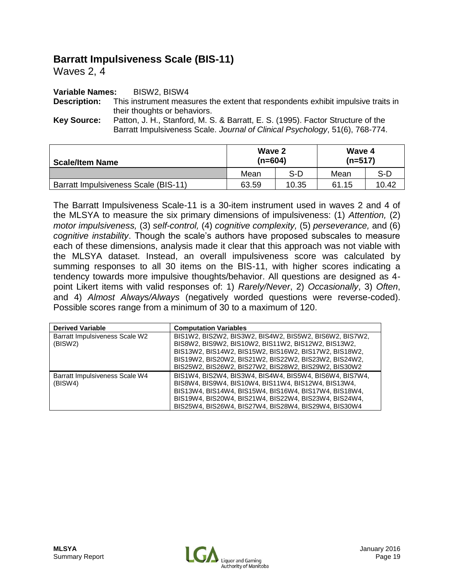# **Barratt Impulsiveness Scale (BIS-11)**

Waves 2, 4

#### **Variable Names:** BISW2, BISW4

**Description:** This instrument measures the extent that respondents exhibit impulsive traits in their thoughts or behaviors.

**Key Source:** Patton, J. H., Stanford, M. S. & Barratt, E. S. (1995). Factor Structure of the Barratt Impulsiveness Scale. *Journal of Clinical Psychology*, 51(6), 768-774.

| <b>Scale/Item Name</b>               | Wave 2<br>$(n=604)$ |       | Wave 4<br>$(n=517)$ |       |  |
|--------------------------------------|---------------------|-------|---------------------|-------|--|
|                                      | Mean                | S-D   | Mean                | S-D   |  |
| Barratt Impulsiveness Scale (BIS-11) | 63.59               | 10.35 | 61.15               | 10.42 |  |

The Barratt Impulsiveness Scale-11 is a 30-item instrument used in waves 2 and 4 of the MLSYA to measure the six primary dimensions of impulsiveness: (1) *Attention,* (2) *motor impulsiveness,* (3) *self-control,* (4) *cognitive complexity,* (5) *perseverance,* and (6) *cognitive instability*. Though the scale's authors have proposed subscales to measure each of these dimensions, analysis made it clear that this approach was not viable with the MLSYA dataset. Instead, an overall impulsiveness score was calculated by summing responses to all 30 items on the BIS-11, with higher scores indicating a tendency towards more impulsive thoughts/behavior. All questions are designed as 4 point Likert items with valid responses of: 1) *Rarely/Never*, 2) *Occasionally*, 3) *Often*, and 4) *Almost Always/Always* (negatively worded questions were reverse-coded). Possible scores range from a minimum of 30 to a maximum of 120.

| <b>Derived Variable</b>                   | <b>Computation Variables</b>                                                                                                                                                                                                                                                             |
|-------------------------------------------|------------------------------------------------------------------------------------------------------------------------------------------------------------------------------------------------------------------------------------------------------------------------------------------|
| Barratt Impulsiveness Scale W2<br>(BISW2) | BIS1W2, BIS2W2, BIS3W2, BIS4W2, BIS5W2, BIS6W2, BIS7W2,<br>BIS8W2, BIS9W2, BIS10W2, BIS11W2, BIS12W2, BIS13W2,<br>BIS13W2, BIS14W2, BIS15W2, BIS16W2, BIS17W2, BIS18W2,<br>BIS19W2, BIS20W2, BIS21W2, BIS22W2, BIS23W2, BIS24W2,<br>BIS25W2, BIS26W2, BIS27W2, BIS28W2, BIS29W2, BIS30W2 |
| Barratt Impulsiveness Scale W4<br>(BISW4) | BIS1W4, BIS2W4, BIS3W4, BIS4W4, BIS5W4, BIS6W4, BIS7W4,<br>BIS8W4, BIS9W4, BIS10W4, BIS11W4, BIS12W4, BIS13W4,<br>BIS13W4, BIS14W4, BIS15W4, BIS16W4, BIS17W4, BIS18W4,<br>BIS19W4, BIS20W4, BIS21W4, BIS22W4, BIS23W4, BIS24W4,<br>BIS25W4, BIS26W4, BIS27W4, BIS28W4, BIS29W4, BIS30W4 |

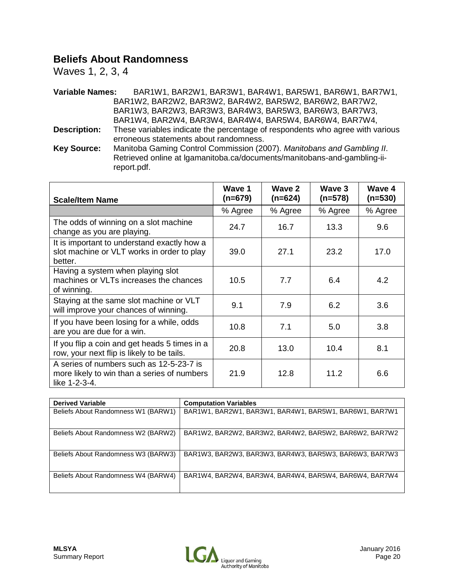## **Beliefs About Randomness**

Waves 1, 2, 3, 4

**Variable Names:** BAR1W1, BAR2W1, BAR3W1, BAR4W1, BAR5W1, BAR6W1, BAR7W1, BAR1W2, BAR2W2, BAR3W2, BAR4W2, BAR5W2, BAR6W2, BAR7W2, BAR1W3, BAR2W3, BAR3W3, BAR4W3, BAR5W3, BAR6W3, BAR7W3, BAR1W4, BAR2W4, BAR3W4, BAR4W4, BAR5W4, BAR6W4, BAR7W4, **Description:** These variables indicate the percentage of respondents who agree with various erroneous statements about randomness.

**Key Source:** Manitoba Gaming Control Commission (2007). *Manitobans and Gambling II*. Retrieved online at lgamanitoba.ca/documents/manitobans-and-gambling-iireport.pdf.

| <b>Scale/Item Name</b>                                                                                   | Wave 1<br>$(n=679)$ | Wave 2<br>$(n=624)$ | Wave 3<br>$(n=578)$ | Wave 4<br>$(n=530)$ |
|----------------------------------------------------------------------------------------------------------|---------------------|---------------------|---------------------|---------------------|
|                                                                                                          | % Agree             | % Agree             | % Agree             | % Agree             |
| The odds of winning on a slot machine<br>change as you are playing.                                      | 24.7                | 16.7                | 13.3                | 9.6                 |
| It is important to understand exactly how a<br>slot machine or VLT works in order to play<br>better.     | 39.0                | 27.1                | 23.2                | 17.0                |
| Having a system when playing slot<br>machines or VLTs increases the chances<br>of winning.               | 10.5                | 7.7                 | 6.4                 | 4.2                 |
| Staying at the same slot machine or VLT<br>will improve your chances of winning.                         | 9.1                 | 7.9                 | 6.2                 | 3.6                 |
| If you have been losing for a while, odds<br>are you are due for a win.                                  | 10.8                | 7.1                 | 5.0                 | 3.8                 |
| If you flip a coin and get heads 5 times in a<br>row, your next flip is likely to be tails.              | 20.8                | 13.0                | 10.4                | 8.1                 |
| A series of numbers such as 12-5-23-7 is<br>more likely to win than a series of numbers<br>like 1-2-3-4. | 21.9                | 12.8                | 11.2                | 6.6                 |

| <b>Derived Variable</b>             | <b>Computation Variables</b>                           |
|-------------------------------------|--------------------------------------------------------|
| Beliefs About Randomness W1 (BARW1) | BAR1W1, BAR2W1, BAR3W1, BAR4W1, BAR5W1, BAR6W1, BAR7W1 |
| Beliefs About Randomness W2 (BARW2) | BAR1W2, BAR2W2, BAR3W2, BAR4W2, BAR5W2, BAR6W2, BAR7W2 |
| Beliefs About Randomness W3 (BARW3) | BAR1W3, BAR2W3, BAR3W3, BAR4W3, BAR5W3, BAR6W3, BAR7W3 |
| Beliefs About Randomness W4 (BARW4) | BAR1W4, BAR2W4, BAR3W4, BAR4W4, BAR5W4, BAR6W4, BAR7W4 |

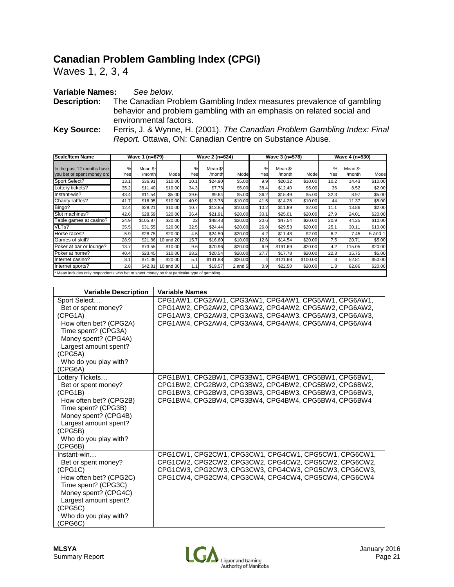# **Canadian Problem Gambling Index (CPGI)**

Waves 1, 2, 3, 4

#### **Variable Names:** *See below.*

**Description:** The Canadian Problem Gambling Index measures prevalence of gambling behavior and problem gambling with an emphasis on related social and environmental factors.

**Key Source:** Ferris, J. & Wynne, H. (2001). *The Canadian Problem Gambling Index: Final Report.* Ottawa, ON: Canadian Centre on Substance Abuse.

| <b>Scale/Item Name</b>                                                                     |          | Wave 1 (n=679)     |           |          | Wave 2 (n=624)     |             |             | Wave 3 (n=578)     |          |          | Wave 4 (n=530)     |         |
|--------------------------------------------------------------------------------------------|----------|--------------------|-----------|----------|--------------------|-------------|-------------|--------------------|----------|----------|--------------------|---------|
| In the past 12 months have<br>you bet or spent money on:                                   | %<br>Yes | Mean \$*<br>/month | Mode      | %<br>Yes | Mean \$*<br>/month | Mode        | $\%$<br>Yes | Mean \$*<br>/month | Mode     | %<br>Yes | Mean \$*<br>/month | Mode    |
| Sport Select?                                                                              | 13.1     | \$36.91            | \$10.00   | 10.1     | \$24.90            | \$5.00      | 9.9         | \$20.32            | \$10.00  | 10.2     | 14.43              | \$10.00 |
| Lottery tickets?                                                                           | 35.2     | \$11.40            | \$10.00   | 34.3     | \$7.76             | \$5.00      | 38.4        | \$12.40            | \$5.00   | 36       | 8.52               | \$2.00  |
| Instant-win?                                                                               | 43.4     | \$11.54            | \$5.00    | 39.6     | \$9.64             | \$5.00      | 36.2        | \$15.49            | \$5.00   | 32.3     | 8.97               | \$5.00  |
| Charity raffles?                                                                           | 41.7     | \$16.95            | \$10.00   | 40.9     | \$13.78            | \$10.00     | 41.5        | \$14.28            | \$10.00  | 44       | 11.37              | \$5.00  |
| Bingo?                                                                                     | 12.4     | \$28.21            | \$10.00   | 10.7     | \$13.85            | \$10.00     | 10.2        | \$11.89            | \$2.00   | 11.1     | 13.86              | \$2.00  |
| Slot machines?                                                                             | 42.6     | \$28.59            | \$20.00   | 36.4     | \$21.91            | \$20.00     | 30.1        | \$25.01            | \$20.00  | 27.9     | 24.01              | \$20.00 |
| Table games at casino?                                                                     | 24.9     | \$105.87           | \$20.00   | 22       | \$48.43            | \$20.00     | 20.6        | \$47.54            | \$20.00  | 20.9     | 44.25              | \$10.00 |
| VLTs?                                                                                      | 35.5     | \$31.55            | \$20.00   | 32.5     | \$24.44            | \$20.00     | 26.8        | \$29.53            | \$20.00  | 25.1     | 30.11              | \$10.00 |
| Horse races?                                                                               | 5.9      | \$28.75            | \$20.00   | 4.5      | \$24.50            | \$20.00     | 4.2         | \$11.48            | \$2.00   | 6.2      | 7.45               | 5 and 1 |
| Games of skill?                                                                            | 28.9     | \$21.86            | 10 and 20 | 15.7     | \$16.60            | \$10.00     | 12.6        | \$14.54            | \$20.00  | 7.5      | 20.71              | \$5.00  |
| Poker at bar or lounge?                                                                    | 13.7     | \$73.55            | \$10.00   | 9.6      | \$70.96            | \$20.00     | 6.9         | \$191.69           | \$20.00  | 4.2      | 115.05             | \$20.00 |
| Poker at home?                                                                             | 40.4     | \$23.45            | \$10.00   | 28.2     | \$20.54            | \$20.00     | 27.7        | \$17.78            | \$20.00  | 22.3     | 15.75              | \$5.00  |
| Internet casino?                                                                           | 8.1      | \$71.36            | \$20.00   | 5.1      | \$141.88           | \$20.00     |             | \$121.68           | \$100.00 | 3        | 52.81              | \$50.00 |
| Internet sports?                                                                           | 2.8      | \$42.81            | 10 and 30 | 1.1      | \$19.57            | $2$ and $5$ | 0.9         | \$22.50            | \$20.00  | 1.3      | 82.86              | \$20.00 |
| Mean includes only respondents who bet or spent money on that particular type of gambling. |          |                    |           |          |                    |             |             |                    |          |          |                    |         |

| <b>Variable Description</b> | <b>Variable Names</b>                                 |
|-----------------------------|-------------------------------------------------------|
| Sport Select                | CPG1AW1, CPG2AW1, CPG3AW1, CPG4AW1, CPG5AW1, CPG6AW1, |
| Bet or spent money?         | CPG1AW2, CPG2AW2, CPG3AW2, CPG4AW2, CPG5AW2, CPG6AW2, |
| (CPG1A)                     | CPG1AW3. CPG2AW3. CPG3AW3. CPG4AW3. CPG5AW3. CPG6AW3. |
| How often bet? (CPG2A)      | CPG1AW4. CPG2AW4. CPG3AW4. CPG4AW4. CPG5AW4. CPG6AW4  |
| Time spent? (CPG3A)         |                                                       |
| Money spent? (CPG4A)        |                                                       |
| Largest amount spent?       |                                                       |
| (CPG5A)                     |                                                       |
| Who do you play with?       |                                                       |
| (CPG6A)                     |                                                       |
| Lottery Tickets             | CPG1BW1, CPG2BW1, CPG3BW1, CPG4BW1, CPG5BW1, CPG6BW1, |
| Bet or spent money?         | CPG1BW2, CPG2BW2, CPG3BW2, CPG4BW2, CPG5BW2, CPG6BW2, |
| (CPG1B)                     | CPG1BW3, CPG2BW3, CPG3BW3, CPG4BW3, CPG5BW3, CPG6BW3, |
| How often bet? (CPG2B)      | CPG1BW4, CPG2BW4, CPG3BW4, CPG4BW4, CPG5BW4, CPG6BW4  |
| Time spent? (CPG3B)         |                                                       |
| Money spent? (CPG4B)        |                                                       |
| Largest amount spent?       |                                                       |
| (CPG5B)                     |                                                       |
| Who do you play with?       |                                                       |
| (CPG6B)                     |                                                       |
| $Instant-win$               | CPG1CW1, CPG2CW1, CPG3CW1, CPG4CW1, CPG5CW1, CPG6CW1, |
| Bet or spent money?         | CPG1CW2, CPG2CW2, CPG3CW2, CPG4CW2, CPG5CW2, CPG6CW2, |
| (CPG1C)                     | CPG1CW3, CPG2CW3, CPG3CW3, CPG4CW3, CPG5CW3, CPG6CW3, |
| How often bet? (CPG2C)      | CPG1CW4, CPG2CW4, CPG3CW4, CPG4CW4, CPG5CW4, CPG6CW4  |
| Time spent? (CPG3C)         |                                                       |
| Money spent? (CPG4C)        |                                                       |
| Largest amount spent?       |                                                       |
| (CPG5C)                     |                                                       |
| Who do you play with?       |                                                       |
| (CPG6C)                     |                                                       |

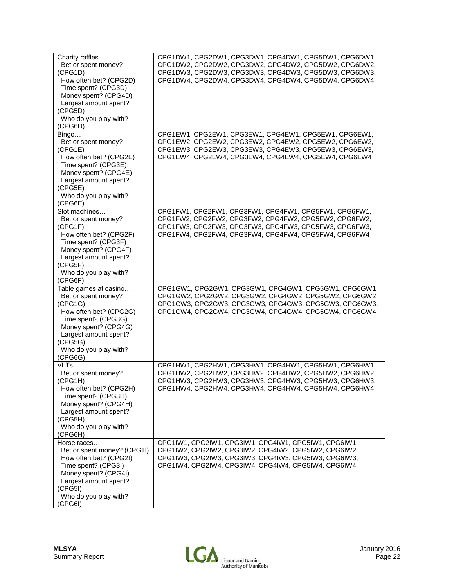| Charity raffles<br>Bet or spent money?<br>(CPG1D)<br>How often bet? (CPG2D)<br>Time spent? (CPG3D)<br>Money spent? (CPG4D)<br>Largest amount spent?<br>(CPG5D)<br>Who do you play with?<br>(CPG6D)       | CPG1DW1, CPG2DW1, CPG3DW1, CPG4DW1, CPG5DW1, CPG6DW1,<br>CPG1DW2, CPG2DW2, CPG3DW2, CPG4DW2, CPG5DW2, CPG6DW2,<br>CPG1DW3, CPG2DW3, CPG3DW3, CPG4DW3, CPG5DW3, CPG6DW3,<br>CPG1DW4, CPG2DW4, CPG3DW4, CPG4DW4, CPG5DW4, CPG6DW4 |
|----------------------------------------------------------------------------------------------------------------------------------------------------------------------------------------------------------|---------------------------------------------------------------------------------------------------------------------------------------------------------------------------------------------------------------------------------|
| Bingo<br>Bet or spent money?<br>(CPG1E)<br>How often bet? (CPG2E)<br>Time spent? (CPG3E)<br>Money spent? (CPG4E)<br>Largest amount spent?<br>(CPG5E)<br>Who do you play with?<br>(CPG6E)                 | CPG1EW1, CPG2EW1, CPG3EW1, CPG4EW1, CPG5EW1, CPG6EW1,<br>CPG1EW2, CPG2EW2, CPG3EW2, CPG4EW2, CPG5EW2, CPG6EW2,<br>CPG1EW3, CPG2EW3, CPG3EW3, CPG4EW3, CPG5EW3, CPG6EW3,<br>CPG1EW4, CPG2EW4, CPG3EW4, CPG4EW4, CPG5EW4, CPG6EW4 |
| Slot machines<br>Bet or spent money?<br>(CPG1F)<br>How often bet? (CPG2F)<br>Time spent? (CPG3F)<br>Money spent? (CPG4F)<br>Largest amount spent?<br>(CPG5F)<br>Who do you play with?<br>(CPG6F)         | CPG1FW1, CPG2FW1, CPG3FW1, CPG4FW1, CPG5FW1, CPG6FW1,<br>CPG1FW2, CPG2FW2, CPG3FW2, CPG4FW2, CPG5FW2, CPG6FW2,<br>CPG1FW3, CPG2FW3, CPG3FW3, CPG4FW3, CPG5FW3, CPG6FW3,<br>CPG1FW4, CPG2FW4, CPG3FW4, CPG4FW4, CPG5FW4, CPG6FW4 |
| Table games at casino<br>Bet or spent money?<br>(CPG1G)<br>How often bet? (CPG2G)<br>Time spent? (CPG3G)<br>Money spent? (CPG4G)<br>Largest amount spent?<br>(CPG5G)<br>Who do you play with?<br>(CPG6G) | CPG1GW1, CPG2GW1, CPG3GW1, CPG4GW1, CPG5GW1, CPG6GW1,<br>CPG1GW2, CPG2GW2, CPG3GW2, CPG4GW2, CPG5GW2, CPG6GW2,<br>CPG1GW3, CPG2GW3, CPG3GW3, CPG4GW3, CPG5GW3, CPG6GW3,<br>CPG1GW4, CPG2GW4, CPG3GW4, CPG4GW4, CPG5GW4, CPG6GW4 |
| VLTs<br>Bet or spent money?<br>(CPG1H)<br>How often bet? (CPG2H)<br>Time spent? (CPG3H)<br>Money spent? (CPG4H)<br>Largest amount spent?<br>(CPG5H)<br>Who do you play with?<br>(CPG6H)                  | CPG1HW1, CPG2HW1, CPG3HW1, CPG4HW1, CPG5HW1, CPG6HW1,<br>CPG1HW2, CPG2HW2, CPG3HW2, CPG4HW2, CPG5HW2, CPG6HW2,<br>CPG1HW3, CPG2HW3, CPG3HW3, CPG4HW3, CPG5HW3, CPG6HW3,<br>CPG1HW4, CPG2HW4, CPG3HW4, CPG4HW4, CPG5HW4, CPG6HW4 |
| Horse races<br>Bet or spent money? (CPG1I)<br>How often bet? (CPG2I)<br>Time spent? (CPG3I)<br>Money spent? (CPG4I)<br>Largest amount spent?<br>(CPG5I)<br>Who do you play with?<br>(CPG6I)              | CPG1IW1, CPG2IW1, CPG3IW1, CPG4IW1, CPG5IW1, CPG6IW1,<br>CPG1IW2, CPG2IW2, CPG3IW2, CPG4IW2, CPG5IW2, CPG6IW2,<br>CPG1IW3, CPG2IW3, CPG3IW3, CPG4IW3, CPG5IW3, CPG6IW3,<br>CPG1IW4, CPG2IW4, CPG3IW4, CPG4IW4, CPG5IW4, CPG6IW4 |

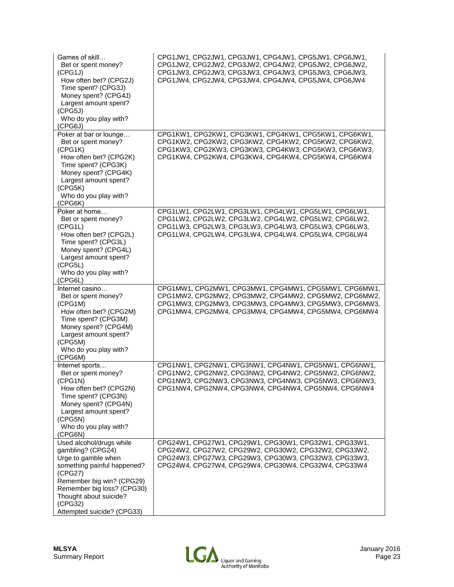| Games of skill<br>Bet or spent money?<br>(CPG1J)<br>How often bet? (CPG2J)<br>Time spent? (CPG3J)<br>Money spent? (CPG4J)<br>Largest amount spent?<br>(CPG5J)<br>Who do you play with?<br>(CPG6J)             | CPG1JW1, CPG2JW1, CPG3JW1, CPG4JW1, CPG5JW1, CPG6JW1,<br>CPG1JW2, CPG2JW2, CPG3JW2, CPG4JW2, CPG5JW2, CPG6JW2,<br>CPG1JW3, CPG2JW3, CPG3JW3, CPG4JW3, CPG5JW3, CPG6JW3,<br>CPG1JW4, CPG2JW4, CPG3JW4, CPG4JW4, CPG5JW4, CPG6JW4 |
|---------------------------------------------------------------------------------------------------------------------------------------------------------------------------------------------------------------|---------------------------------------------------------------------------------------------------------------------------------------------------------------------------------------------------------------------------------|
| Poker at bar or lounge<br>Bet or spent money?<br>(CPG1K)<br>How often bet? (CPG2K)<br>Time spent? (CPG3K)<br>Money spent? (CPG4K)<br>Largest amount spent?<br>(CPG5K)<br>Who do you play with?<br>(CPG6K)     | CPG1KW1, CPG2KW1, CPG3KW1, CPG4KW1, CPG5KW1, CPG6KW1,<br>CPG1KW2, CPG2KW2, CPG3KW2, CPG4KW2, CPG5KW2, CPG6KW2,<br>CPG1KW3, CPG2KW3, CPG3KW3, CPG4KW3, CPG5KW3, CPG6KW3,<br>CPG1KW4, CPG2KW4, CPG3KW4, CPG4KW4, CPG5KW4, CPG6KW4 |
| Poker at home<br>Bet or spent money?<br>(CPG1L)<br>How often bet? (CPG2L)<br>Time spent? (CPG3L)<br>Money spent? (CPG4L)<br>Largest amount spent?<br>(CPG5L)<br>Who do you play with?<br>(CPG6L)              | CPG1LW1, CPG2LW1, CPG3LW1, CPG4LW1, CPG5LW1, CPG6LW1,<br>CPG1LW2, CPG2LW2, CPG3LW2, CPG4LW2, CPG5LW2, CPG6LW2,<br>CPG1LW3, CPG2LW3, CPG3LW3, CPG4LW3, CPG5LW3, CPG6LW3,<br>CPG1LW4, CPG2LW4, CPG3LW4, CPG4LW4, CPG5LW4, CPG6LW4 |
| Internet casino<br>Bet or spent money?<br>(CPG1M)                                                                                                                                                             | CPG1MW1, CPG2MW1, CPG3MW1, CPG4MW1, CPG5MW1, CPG6MW1,<br>CPG1MW2, CPG2MW2, CPG3MW2, CPG4MW2, CPG5MW2, CPG6MW2,<br>CPG1MW3, CPG2MW3, CPG3MW3, CPG4MW3, CPG5MW3, CPG6MW3,                                                         |
| How often bet? (CPG2M)<br>Time spent? (CPG3M)<br>Money spent? (CPG4M)<br>Largest amount spent?<br>(CPG5M)<br>Who do you play with?                                                                            | CPG1MW4, CPG2MW4, CPG3MW4, CPG4MW4, CPG5MW4, CPG6MW4                                                                                                                                                                            |
| (CPG6M)<br>Internet sports<br>Bet or spent money?<br>(CPG1N)<br>How often bet? (CPG2N)<br>Time spent? (CPG3N)<br>Money spent? (CPG4N)<br>Largest amount spent?<br>(CPG5N)<br>Who do you play with?<br>(CPG6N) | CPG1NW1, CPG2NW1, CPG3NW1, CPG4NW1, CPG5NW1, CPG6NW1,<br>CPG1NW2, CPG2NW2, CPG3NW2, CPG4NW2, CPG5NW2, CPG6NW2,<br>CPG1NW3, CPG2NW3, CPG3NW3, CPG4NW3, CPG5NW3, CPG6NW3,<br>CPG1NW4, CPG2NW4, CPG3NW4, CPG4NW4, CPG5NW4, CPG6NW4 |

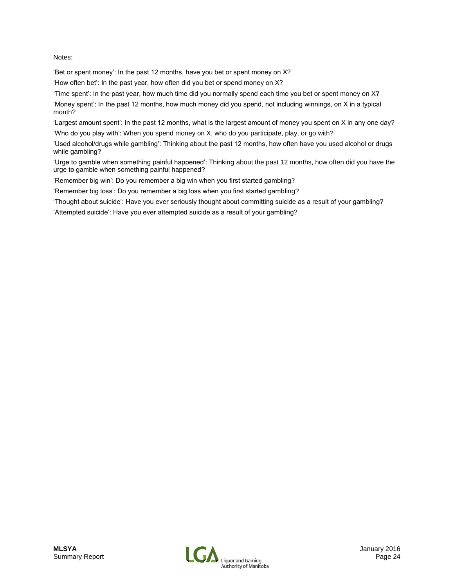#### Notes:

'Bet or spent money': In the past 12 months, have you bet or spent money on X?

'How often bet': In the past year, how often did you bet or spend money on X?

'Time spent': In the past year, how much time did you normally spend each time you bet or spent money on X?

'Money spent': In the past 12 months, how much money did you spend, not including winnings, on X in a typical month?

'Largest amount spent': In the past 12 months, what is the largest amount of money you spent on X in any one day? 'Who do you play with': When you spend money on X, who do you participate, play, or go with?

'Used alcohol/drugs while gambling': Thinking about the past 12 months, how often have you used alcohol or drugs while gambling?

'Urge to gamble when something painful happened': Thinking about the past 12 months, how often did you have the urge to gamble when something painful happened?

'Remember big win': Do you remember a big win when you first started gambling?

'Remember big loss': Do you remember a big loss when you first started gambling?

'Thought about suicide': Have you ever seriously thought about committing suicide as a result of your gambling?

'Attempted suicide': Have you ever attempted suicide as a result of your gambling?

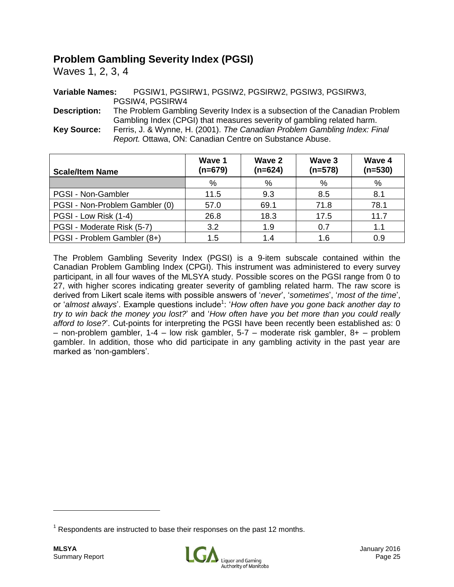# **Problem Gambling Severity Index (PGSI)**

Waves 1, 2, 3, 4

**Variable Names:** PGSIW1, PGSIRW1, PGSIW2, PGSIRW2, PGSIW3, PGSIRW3, PGSIW4, PGSIRW4

**Description:** The Problem Gambling Severity Index is a subsection of the Canadian Problem Gambling Index (CPGI) that measures severity of gambling related harm. **Key Source:** Ferris, J. & Wynne, H. (2001). *The Canadian Problem Gambling Index: Final Report.* Ottawa, ON: Canadian Centre on Substance Abuse.

| <b>Scale/Item Name</b>         | Wave 1<br>$(n=679)$ | Wave 2<br>$(n=624)$ | Wave 3<br>$(n=578)$ | Wave 4<br>$(n=530)$ |
|--------------------------------|---------------------|---------------------|---------------------|---------------------|
|                                | %                   | %                   | %                   | %                   |
| PGSI - Non-Gambler             | 11.5                | 9.3                 | 8.5                 | 8.1                 |
| PGSI - Non-Problem Gambler (0) | 57.0                | 69.1                | 71.8                | 78.1                |
| PGSI - Low Risk (1-4)          | 26.8                | 18.3                | 17.5                | 11.7                |
| PGSI - Moderate Risk (5-7)     | 3.2                 | 1.9                 | 0.7                 | 1.1                 |
| PGSI - Problem Gambler (8+)    | 1.5                 | 1.4                 | 1.6                 | 0.9                 |

The Problem Gambling Severity Index (PGSI) is a 9-item subscale contained within the Canadian Problem Gambling Index (CPGI). This instrument was administered to every survey participant, in all four waves of the MLSYA study. Possible scores on the PGSI range from 0 to 27, with higher scores indicating greater severity of gambling related harm. The raw score is derived from Likert scale items with possible answers of '*never*', '*sometimes*', '*most of the time*', or 'almost always'. Example questions include<sup>1</sup>: 'How often have you gone back another day to *try to win back the money you lost?*' and '*How often have you bet more than you could really afford to lose?*'. Cut-points for interpreting the PGSI have been recently been established as: 0 – non-problem gambler, 1-4 – low risk gambler, 5-7 – moderate risk gambler, 8+ – problem gambler. In addition, those who did participate in any gambling activity in the past year are marked as 'non-gamblers'.



 $1$  Respondents are instructed to base their responses on the past 12 months.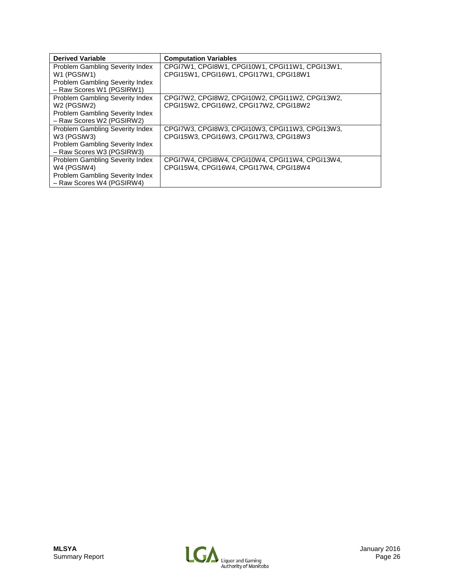| <b>Derived Variable</b>              | <b>Computation Variables</b>                    |
|--------------------------------------|-------------------------------------------------|
| Problem Gambling Severity Index      | CPGI7W1, CPGI8W1, CPGI10W1, CPGI11W1, CPGI13W1, |
| W1 (PGSIW1)                          | CPGI15W1, CPGI16W1, CPGI17W1, CPGI18W1          |
| Problem Gambling Severity Index      |                                                 |
| - Raw Scores W1 (PGSIRW1)            |                                                 |
| Problem Gambling Severity Index      | CPGI7W2, CPGI8W2, CPGI10W2, CPGI11W2, CPGI13W2, |
| W <sub>2</sub> (PGSIW <sub>2</sub> ) | CPGI15W2, CPGI16W2, CPGI17W2, CPGI18W2          |
| Problem Gambling Severity Index      |                                                 |
| - Raw Scores W2 (PGSIRW2)            |                                                 |
| Problem Gambling Severity Index      | CPGI7W3, CPGI8W3, CPGI10W3, CPGI11W3, CPGI13W3, |
| W3 (PGSIW3)                          | CPG115W3, CPG116W3, CPG117W3, CPG118W3          |
| Problem Gambling Severity Index      |                                                 |
| - Raw Scores W3 (PGSIRW3)            |                                                 |
| Problem Gambling Severity Index      | CPGI7W4, CPGI8W4, CPGI10W4, CPGI11W4, CPGI13W4, |
| W4 (PGSIW4)                          | CPGI15W4, CPGI16W4, CPGI17W4, CPGI18W4          |
| Problem Gambling Severity Index      |                                                 |
| - Raw Scores W4 (PGSIRW4)            |                                                 |

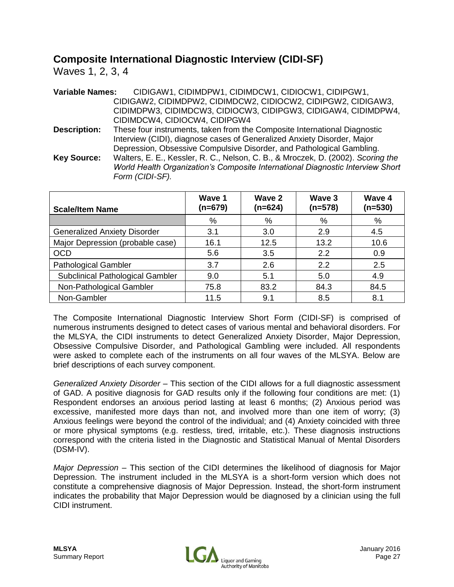# **Composite International Diagnostic Interview (CIDI-SF)**

Waves 1, 2, 3, 4

| <b>Variable Names:</b> | CIDIGAW1, CIDIMDPW1, CIDIMDCW1, CIDIOCW1, CIDIPGW1,                              |
|------------------------|----------------------------------------------------------------------------------|
|                        | CIDIGAW2, CIDIMDPW2, CIDIMDCW2, CIDIOCW2, CIDIPGW2, CIDIGAW3,                    |
|                        | CIDIMDPW3, CIDIMDCW3, CIDIOCW3, CIDIPGW3, CIDIGAW4, CIDIMDPW4,                   |
|                        | CIDIMDCW4, CIDIOCW4, CIDIPGW4                                                    |
| <b>Description:</b>    | These four instruments, taken from the Composite International Diagnostic        |
|                        | Interview (CIDI), diagnose cases of Generalized Anxiety Disorder, Major          |
|                        | Depression, Obsessive Compulsive Disorder, and Pathological Gambling.            |
| <b>Key Source:</b>     | Walters, E. E., Kessler, R. C., Nelson, C. B., & Mroczek, D. (2002). Scoring the |
|                        | World Health Organization's Composite International Diagnostic Interview Short   |
|                        | Form (CIDI-SF).                                                                  |

| <b>Scale/Item Name</b>              | Wave 1<br>$(n=679)$ | Wave 2<br>$(n=624)$ | Wave 3<br>$(n=578)$ | Wave 4<br>$(n=530)$ |
|-------------------------------------|---------------------|---------------------|---------------------|---------------------|
|                                     | %                   | %                   | %                   | %                   |
| <b>Generalized Anxiety Disorder</b> | 3.1                 | 3.0                 | 2.9                 | 4.5                 |
| Major Depression (probable case)    | 16.1                | 12.5                | 13.2                | 10.6                |
| <b>OCD</b>                          | 5.6                 | 3.5                 | 2.2                 | 0.9                 |
| <b>Pathological Gambler</b>         | 3.7                 | 2.6                 | 2.2                 | 2.5                 |
| Subclinical Pathological Gambler    | 9.0                 | 5.1                 | 5.0                 | 4.9                 |
| Non-Pathological Gambler            | 75.8                | 83.2                | 84.3                | 84.5                |
| Non-Gambler                         | 11.5                | 9.1                 | 8.5                 | 8.1                 |

The Composite International Diagnostic Interview Short Form (CIDI-SF) is comprised of numerous instruments designed to detect cases of various mental and behavioral disorders. For the MLSYA, the CIDI instruments to detect Generalized Anxiety Disorder, Major Depression, Obsessive Compulsive Disorder, and Pathological Gambling were included. All respondents were asked to complete each of the instruments on all four waves of the MLSYA. Below are brief descriptions of each survey component.

*Generalized Anxiety Disorder* – This section of the CIDI allows for a full diagnostic assessment of GAD. A positive diagnosis for GAD results only if the following four conditions are met: (1) Respondent endorses an anxious period lasting at least 6 months; (2) Anxious period was excessive, manifested more days than not, and involved more than one item of worry; (3) Anxious feelings were beyond the control of the individual; and (4) Anxiety coincided with three or more physical symptoms (e.g. restless, tired, irritable, etc.). These diagnosis instructions correspond with the criteria listed in the Diagnostic and Statistical Manual of Mental Disorders (DSM-IV).

*Major Depression* – This section of the CIDI determines the likelihood of diagnosis for Major Depression. The instrument included in the MLSYA is a short-form version which does not constitute a comprehensive diagnosis of Major Depression. Instead, the short-form instrument indicates the probability that Major Depression would be diagnosed by a clinician using the full CIDI instrument.

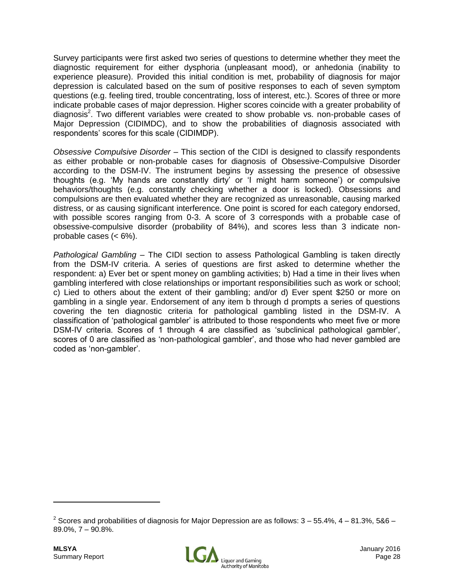Survey participants were first asked two series of questions to determine whether they meet the diagnostic requirement for either dysphoria (unpleasant mood), or anhedonia (inability to experience pleasure). Provided this initial condition is met, probability of diagnosis for major depression is calculated based on the sum of positive responses to each of seven symptom questions (e.g. feeling tired, trouble concentrating, loss of interest, etc.). Scores of three or more indicate probable cases of major depression. Higher scores coincide with a greater probability of diagnosis<sup>2</sup>. Two different variables were created to show probable vs. non-probable cases of Major Depression (CIDIMDC), and to show the probabilities of diagnosis associated with respondents' scores for this scale (CIDIMDP).

*Obsessive Compulsive Disorder* – This section of the CIDI is designed to classify respondents as either probable or non-probable cases for diagnosis of Obsessive-Compulsive Disorder according to the DSM-IV. The instrument begins by assessing the presence of obsessive thoughts (e.g. 'My hands are constantly dirty' or 'I might harm someone') or compulsive behaviors/thoughts (e.g. constantly checking whether a door is locked). Obsessions and compulsions are then evaluated whether they are recognized as unreasonable, causing marked distress, or as causing significant interference. One point is scored for each category endorsed, with possible scores ranging from 0-3. A score of 3 corresponds with a probable case of obsessive-compulsive disorder (probability of 84%), and scores less than 3 indicate nonprobable cases (< 6%).

*Pathological Gambling* – The CIDI section to assess Pathological Gambling is taken directly from the DSM-IV criteria. A series of questions are first asked to determine whether the respondent: a) Ever bet or spent money on gambling activities; b) Had a time in their lives when gambling interfered with close relationships or important responsibilities such as work or school; c) Lied to others about the extent of their gambling; and/or d) Ever spent \$250 or more on gambling in a single year. Endorsement of any item b through d prompts a series of questions covering the ten diagnostic criteria for pathological gambling listed in the DSM-IV. A classification of 'pathological gambler' is attributed to those respondents who meet five or more DSM-IV criteria. Scores of 1 through 4 are classified as 'subclinical pathological gambler', scores of 0 are classified as 'non-pathological gambler', and those who had never gambled are coded as 'non-gambler'.



 $^2$  Scores and probabilities of diagnosis for Major Depression are as follows: 3 – 55.4%, 4 – 81.3%, 5&6 – 89.0%, 7 – 90.8%.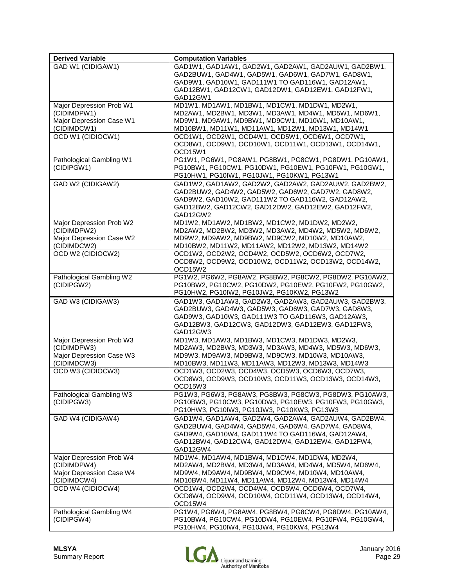| <b>Derived Variable</b>                                                            | <b>Computation Variables</b>                                                                                                                                                                                                   |
|------------------------------------------------------------------------------------|--------------------------------------------------------------------------------------------------------------------------------------------------------------------------------------------------------------------------------|
| GAD W1 (CIDIGAW1)                                                                  | GAD1W1, GAD1AW1, GAD2W1, GAD2AW1, GAD2AUW1, GAD2BW1,<br>GAD2BUW1, GAD4W1, GAD5W1, GAD6W1, GAD7W1, GAD8W1,<br>GAD9W1, GAD10W1, GAD111W1 TO GAD116W1, GAD12AW1,<br>GAD12BW1, GAD12CW1, GAD12DW1, GAD12EW1, GAD12FW1,<br>GAD12GW1 |
| Major Depression Prob W1<br>(CIDIMDPW1)<br>Major Depression Case W1<br>(CIDIMDCW1) | MD1W1, MD1AW1, MD1BW1, MD1CW1, MD1DW1, MD2W1,<br>MD2AW1, MD2BW1, MD3W1, MD3AW1, MD4W1, MD5W1, MD6W1,<br>MD9W1, MD9AW1, MD9BW1, MD9CW1, MD10W1, MD10AW1,<br>MD10BW1, MD11W1, MD11AW1, MD12W1, MD13W1, MD14W1                    |
| OCD W1 (CIDIOCW1)                                                                  | OCD1W1, OCD2W1, OCD4W1, OCD5W1, OCD6W1, OCD7W1,<br>OCD8W1, OCD9W1, OCD10W1, OCD11W1, OCD13W1, OCD14W1,<br>OCD15W1                                                                                                              |
| Pathological Gambling W1<br>(CIDIPGW1)                                             | PG1W1, PG6W1, PG8AW1, PG8BW1, PG8CW1, PG8DW1, PG10AW1,<br>PG10BW1, PG10CW1, PG10DW1, PG10EW1, PG10FW1, PG10GW1,<br>PG10HW1, PG10IW1, PG10JW1, PG10KW1, PG13W1                                                                  |
| GAD W2 (CIDIGAW2)                                                                  | GAD1W2, GAD1AW2, GAD2W2, GAD2AW2, GAD2AUW2, GAD2BW2,<br>GAD2BUW2, GAD4W2, GAD5W2, GAD6W2, GAD7W2, GAD8W2,<br>GAD9W2, GAD10W2, GAD111W2 TO GAD116W2, GAD12AW2,<br>GAD12BW2, GAD12CW2, GAD12DW2, GAD12EW2, GAD12FW2,<br>GAD12GW2 |
| Major Depression Prob W2<br>(CIDIMDPW2)<br>Major Depression Case W2<br>(CIDIMDCW2) | MD1W2, MD1AW2, MD1BW2, MD1CW2, MD1DW2, MD2W2,<br>MD2AW2, MD2BW2, MD3W2, MD3AW2, MD4W2, MD5W2, MD6W2,<br>MD9W2, MD9AW2, MD9BW2, MD9CW2, MD10W2, MD10AW2,<br>MD10BW2, MD11W2, MD11AW2, MD12W2, MD13W2, MD14W2                    |
| OCD W2 (CIDIOCW2)                                                                  | OCD1W2, OCD2W2, OCD4W2, OCD5W2, OCD6W2, OCD7W2,<br>OCD8W2, OCD9W2, OCD10W2, OCD11W2, OCD13W2, OCD14W2,<br>OCD15W2                                                                                                              |
| Pathological Gambling W2<br>(CIDIPGW2)                                             | PG1W2, PG6W2, PG8AW2, PG8BW2, PG8CW2, PG8DW2, PG10AW2,<br>PG10BW2, PG10CW2, PG10DW2, PG10EW2, PG10FW2, PG10GW2,<br>PG10HW2, PG10IW2, PG10JW2, PG10KW2, PG13W2                                                                  |
| GAD W3 (CIDIGAW3)                                                                  | GAD1W3, GAD1AW3, GAD2W3, GAD2AW3, GAD2AUW3, GAD2BW3,<br>GAD2BUW3, GAD4W3, GAD5W3, GAD6W3, GAD7W3, GAD8W3,<br>GAD9W3, GAD10W3, GAD111W3 TO GAD116W3, GAD12AW3,<br>GAD12BW3, GAD12CW3, GAD12DW3, GAD12EW3, GAD12FW3,<br>GAD12GW3 |
| Major Depression Prob W3<br>(CIDIMDPW3)<br>Major Depression Case W3<br>(CIDIMDCW3) | MD1W3, MD1AW3, MD1BW3, MD1CW3, MD1DW3, MD2W3,<br>MD2AW3, MD2BW3, MD3W3, MD3AW3, MD4W3, MD5W3, MD6W3,<br>MD9W3, MD9AW3, MD9BW3, MD9CW3, MD10W3, MD10AW3,<br>MD10BW3, MD11W3, MD11AW3, MD12W3, MD13W3, MD14W3                    |
| OCD W3 (CIDIOCW3)                                                                  | OCD1W3, OCD2W3, OCD4W3, OCD5W3, OCD6W3, OCD7W3,<br>OCD8W3, OCD9W3, OCD10W3, OCD11W3, OCD13W3, OCD14W3,<br>OCD15W3                                                                                                              |
| Pathological Gambling W3<br>(CIDIPGW3)                                             | PG1W3, PG6W3, PG8AW3, PG8BW3, PG8CW3, PG8DW3, PG10AW3,<br>PG10BW3, PG10CW3, PG10DW3, PG10EW3, PG10FW3, PG10GW3,<br>PG10HW3, PG10IW3, PG10JW3, PG10KW3, PG13W3                                                                  |
| GAD W4 (CIDIGAW4)                                                                  | GAD1W4, GAD1AW4, GAD2W4, GAD2AW4, GAD2AUW4, GAD2BW4,<br>GAD2BUW4, GAD4W4, GAD5W4, GAD6W4, GAD7W4, GAD8W4,<br>GAD9W4, GAD10W4, GAD111W4 TO GAD116W4, GAD12AW4,<br>GAD12BW4, GAD12CW4, GAD12DW4, GAD12EW4, GAD12FW4,<br>GAD12GW4 |
| Major Depression Prob W4<br>(CIDIMDPW4)<br>Major Depression Case W4<br>(CIDIMDCW4) | MD1W4, MD1AW4, MD1BW4, MD1CW4, MD1DW4, MD2W4,<br>MD2AW4, MD2BW4, MD3W4, MD3AW4, MD4W4, MD5W4, MD6W4,<br>MD9W4, MD9AW4, MD9BW4, MD9CW4, MD10W4, MD10AW4,<br>MD10BW4, MD11W4, MD11AW4, MD12W4, MD13W4, MD14W4                    |
| OCD W4 (CIDIOCW4)                                                                  | OCD1W4, OCD2W4, OCD4W4, OCD5W4, OCD6W4, OCD7W4,<br>OCD8W4, OCD9W4, OCD10W4, OCD11W4, OCD13W4, OCD14W4,<br>OCD15W4                                                                                                              |
| Pathological Gambling W4<br>(CIDIPGW4)                                             | PG1W4, PG6W4, PG8AW4, PG8BW4, PG8CW4, PG8DW4, PG10AW4,<br>PG10BW4, PG10CW4, PG10DW4, PG10EW4, PG10FW4, PG10GW4,<br>PG10HW4, PG10IW4, PG10JW4, PG10KW4, PG13W4                                                                  |

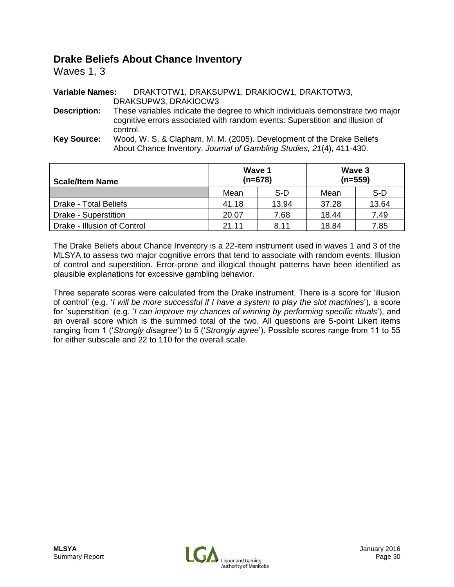## **Drake Beliefs About Chance Inventory**

Waves 1, 3

**Variable Names:** DRAKTOTW1, DRAKSUPW1, DRAKIOCW1, DRAKTOTW3, DRAKSUPW3, DRAKIOCW3 **Description:** These variables indicate the degree to which individuals demonstrate two major cognitive errors associated with random events: Superstition and illusion of control. **Key Source:** Wood, W. S. & Clapham, M. M. (2005). Development of the Drake Beliefs About Chance Inventory. *Journal of Gambling Studies, 21*(4), 411-430.

| <b>Scale/Item Name</b>      | Wave 1 | $(n=678)$ | Wave 3<br>$(n=559)$ |       |  |
|-----------------------------|--------|-----------|---------------------|-------|--|
|                             | Mean   | S-D       | Mean                | S-D   |  |
| Drake - Total Beliefs       | 41.18  | 13.94     | 37.28               | 13.64 |  |
| Drake - Superstition        | 20.07  | 7.68      | 18.44               | 7.49  |  |
| Drake - Illusion of Control | 21.11  | 8.11      | 18.84               | 7.85  |  |

The Drake Beliefs about Chance Inventory is a 22-item instrument used in waves 1 and 3 of the MLSYA to assess two major cognitive errors that tend to associate with random events: Illusion of control and superstition. Error-prone and illogical thought patterns have been identified as plausible explanations for excessive gambling behavior.

Three separate scores were calculated from the Drake instrument. There is a score for 'illusion of control' (e.g. '*I will be more successful if I have a system to play the slot machines*'), a score for 'superstition' (e.g. '*I can improve my chances of winning by performing specific rituals*'), and an overall score which is the summed total of the two. All questions are 5-point Likert items ranging from 1 ('*Strongly disagree*') to 5 ('*Strongly agree*'). Possible scores range from 11 to 55 for either subscale and 22 to 110 for the overall scale.

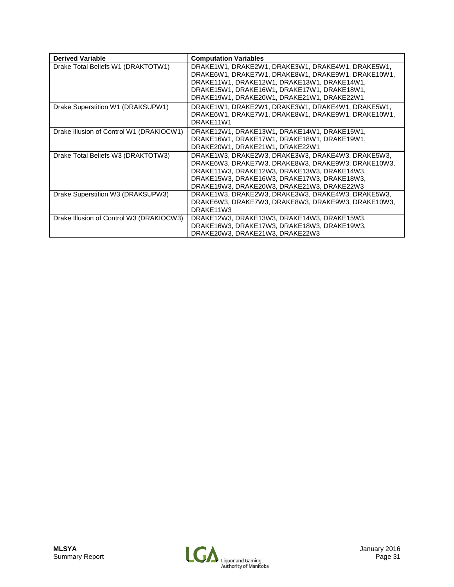| <b>Derived Variable</b>                  | <b>Computation Variables</b>                                                                                                                                                                                                                        |
|------------------------------------------|-----------------------------------------------------------------------------------------------------------------------------------------------------------------------------------------------------------------------------------------------------|
| Drake Total Beliefs W1 (DRAKTOTW1)       | DRAKE1W1, DRAKE2W1, DRAKE3W1, DRAKE4W1, DRAKE5W1,<br>DRAKE6W1, DRAKE7W1, DRAKE8W1, DRAKE9W1, DRAKE10W1,<br>DRAKE11W1, DRAKE12W1, DRAKE13W1, DRAKE14W1,<br>DRAKE15W1, DRAKE16W1, DRAKE17W1, DRAKE18W1,<br>DRAKE19W1, DRAKE20W1, DRAKE21W1, DRAKE22W1 |
| Drake Superstition W1 (DRAKSUPW1)        | DRAKE1W1, DRAKE2W1, DRAKE3W1, DRAKE4W1, DRAKE5W1,<br>DRAKE6W1, DRAKE7W1, DRAKE8W1, DRAKE9W1, DRAKE10W1,<br>DRAKE11W1                                                                                                                                |
| Drake Illusion of Control W1 (DRAKIOCW1) | DRAKE12W1, DRAKE13W1, DRAKE14W1, DRAKE15W1,<br>DRAKE16W1, DRAKE17W1, DRAKE18W1, DRAKE19W1,<br>DRAKE20W1, DRAKE21W1, DRAKE22W1                                                                                                                       |
| Drake Total Beliefs W3 (DRAKTOTW3)       | DRAKE1W3, DRAKE2W3, DRAKE3W3, DRAKE4W3, DRAKE5W3,<br>DRAKE6W3, DRAKE7W3, DRAKE8W3, DRAKE9W3, DRAKE10W3,<br>DRAKE11W3, DRAKE12W3, DRAKE13W3, DRAKE14W3,<br>DRAKE15W3, DRAKE16W3, DRAKE17W3, DRAKE18W3,<br>DRAKE19W3, DRAKE20W3, DRAKE21W3, DRAKE22W3 |
| Drake Superstition W3 (DRAKSUPW3)        | DRAKE1W3, DRAKE2W3, DRAKE3W3, DRAKE4W3, DRAKE5W3,<br>DRAKE6W3, DRAKE7W3, DRAKE8W3, DRAKE9W3, DRAKE10W3,<br>DRAKE11W3                                                                                                                                |
| Drake Illusion of Control W3 (DRAKIOCW3) | DRAKE12W3, DRAKE13W3, DRAKE14W3, DRAKE15W3,<br>DRAKE16W3, DRAKE17W3, DRAKE18W3, DRAKE19W3,<br>DRAKE20W3, DRAKE21W3, DRAKE22W3                                                                                                                       |

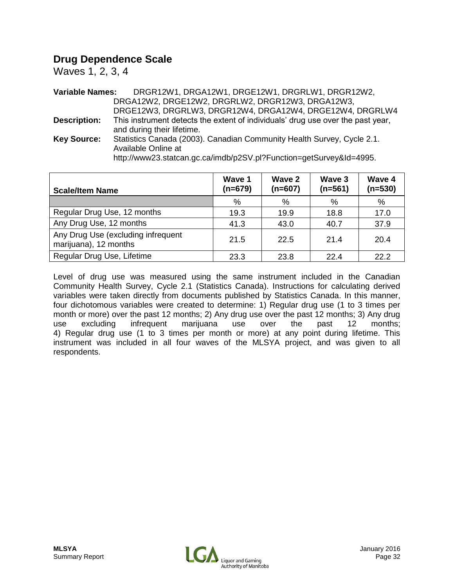# **Drug Dependence Scale**

Waves 1, 2, 3, 4

**Variable Names:** DRGR12W1, DRGA12W1, DRGE12W1, DRGRLW1, DRGR12W2, DRGA12W2, DRGE12W2, DRGRLW2, DRGR12W3, DRGA12W3, DRGE12W3, DRGRLW3, DRGR12W4, DRGA12W4, DRGE12W4, DRGRLW4 **Description:** This instrument detects the extent of individuals' drug use over the past year, and during their lifetime. **Key Source:** Statistics Canada (2003). Canadian Community Health Survey, Cycle 2.1. Available Online at http://www23.statcan.gc.ca/imdb/p2SV.pl?Function=getSurvey&Id=4995.

| <b>Scale/Item Name</b>                                      | Wave 1<br>$(n=679)$ | Wave 2<br>$(n=607)$ | Wave 3<br>$(n=561)$ | Wave 4<br>$(n=530)$ |
|-------------------------------------------------------------|---------------------|---------------------|---------------------|---------------------|
|                                                             | %                   | %                   | %                   | %                   |
| Regular Drug Use, 12 months                                 | 19.3                | 19.9                | 18.8                | 17.0                |
| Any Drug Use, 12 months                                     | 41.3                | 43.0                | 40.7                | 37.9                |
| Any Drug Use (excluding infrequent<br>marijuana), 12 months | 21.5                | 22.5                | 21.4                | 20.4                |
| Regular Drug Use, Lifetime                                  | 23.3                | 23.8                | 22.4                | 22.2                |

Level of drug use was measured using the same instrument included in the Canadian Community Health Survey, Cycle 2.1 (Statistics Canada). Instructions for calculating derived variables were taken directly from documents published by Statistics Canada. In this manner, four dichotomous variables were created to determine: 1) Regular drug use (1 to 3 times per month or more) over the past 12 months; 2) Any drug use over the past 12 months; 3) Any drug use excluding infrequent marijuana use over the past 12 months; 4) Regular drug use (1 to 3 times per month or more) at any point during lifetime. This instrument was included in all four waves of the MLSYA project, and was given to all respondents.

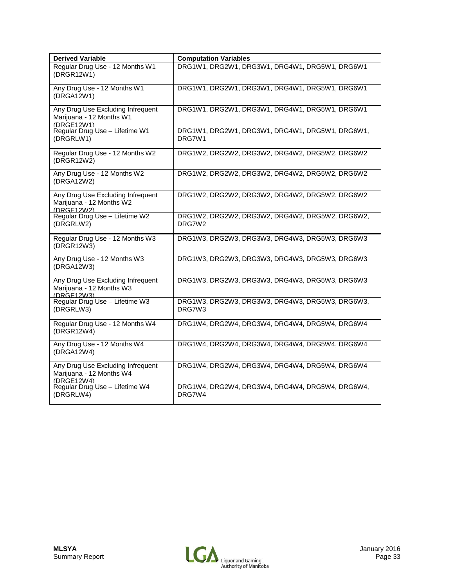| <b>Derived Variable</b>                                                     | <b>Computation Variables</b>                              |
|-----------------------------------------------------------------------------|-----------------------------------------------------------|
| Regular Drug Use - 12 Months W1<br>(DRGR12W1)                               | DRG1W1, DRG2W1, DRG3W1, DRG4W1, DRG5W1, DRG6W1            |
| Any Drug Use - 12 Months W1<br>(DRGA12W1)                                   | DRG1W1, DRG2W1, DRG3W1, DRG4W1, DRG5W1, DRG6W1            |
| Any Drug Use Excluding Infrequent<br>Marijuana - 12 Months W1<br>(DRGF12W1) | DRG1W1, DRG2W1, DRG3W1, DRG4W1, DRG5W1, DRG6W1            |
| Regular Drug Use - Lifetime W1<br>(DRGRLW1)                                 | DRG1W1, DRG2W1, DRG3W1, DRG4W1, DRG5W1, DRG6W1,<br>DRG7W1 |
| Regular Drug Use - 12 Months W2<br>(DRGR12W2)                               | DRG1W2, DRG2W2, DRG3W2, DRG4W2, DRG5W2, DRG6W2            |
| Any Drug Use - 12 Months W2<br>(DRGA12W2)                                   | DRG1W2, DRG2W2, DRG3W2, DRG4W2, DRG5W2, DRG6W2            |
| Any Drug Use Excluding Infrequent<br>Marijuana - 12 Months W2<br>(DRGF12W2) | DRG1W2, DRG2W2, DRG3W2, DRG4W2, DRG5W2, DRG6W2            |
| Regular Drug Use - Lifetime W2<br>(DRGRLW2)                                 | DRG1W2, DRG2W2, DRG3W2, DRG4W2, DRG5W2, DRG6W2,<br>DRG7W2 |
| Regular Drug Use - 12 Months W3<br>(DRGR12W3)                               | DRG1W3, DRG2W3, DRG3W3, DRG4W3, DRG5W3, DRG6W3            |
| Any Drug Use - 12 Months W3<br>(DRGA12W3)                                   | DRG1W3, DRG2W3, DRG3W3, DRG4W3, DRG5W3, DRG6W3            |
| Any Drug Use Excluding Infrequent<br>Marijuana - 12 Months W3<br>(DRGF12W3) | DRG1W3, DRG2W3, DRG3W3, DRG4W3, DRG5W3, DRG6W3            |
| Regular Drug Use - Lifetime W3<br>(DRGRLW3)                                 | DRG1W3, DRG2W3, DRG3W3, DRG4W3, DRG5W3, DRG6W3,<br>DRG7W3 |
| Regular Drug Use - 12 Months W4<br>(DRGR12W4)                               | DRG1W4, DRG2W4, DRG3W4, DRG4W4, DRG5W4, DRG6W4            |
| Any Drug Use - 12 Months W4<br>(DRGA12W4)                                   | DRG1W4, DRG2W4, DRG3W4, DRG4W4, DRG5W4, DRG6W4            |
| Any Drug Use Excluding Infrequent<br>Marijuana - 12 Months W4<br>(DRGF12W4) | DRG1W4, DRG2W4, DRG3W4, DRG4W4, DRG5W4, DRG6W4            |
| Regular Drug Use - Lifetime W4<br>(DRGRLW4)                                 | DRG1W4, DRG2W4, DRG3W4, DRG4W4, DRG5W4, DRG6W4,<br>DRG7W4 |

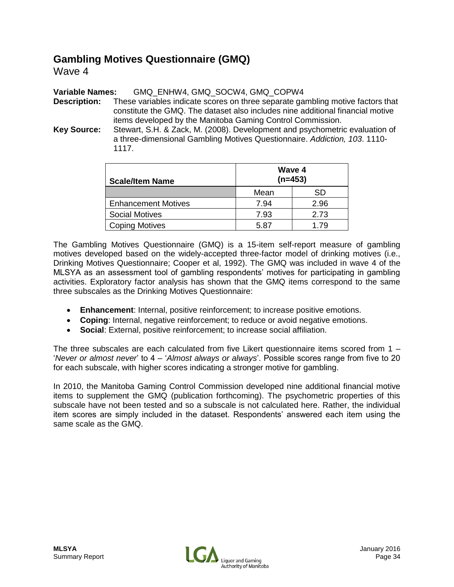### **Gambling Motives Questionnaire (GMQ)**

Wave 4

**Variable Names:** GMQ\_ENHW4, GMQ\_SOCW4, GMQ\_COPW4

**Description:** These variables indicate scores on three separate gambling motive factors that constitute the GMQ. The dataset also includes nine additional financial motive items developed by the Manitoba Gaming Control Commission.

**Key Source:** Stewart, S.H. & Zack, M. (2008). Development and psychometric evaluation of a three-dimensional Gambling Motives Questionnaire. *Addiction, 103*. 1110- 1117.

| <b>Scale/Item Name</b>     | Wave 4<br>$(n=453)$ |      |  |
|----------------------------|---------------------|------|--|
|                            | Mean                | SD   |  |
| <b>Enhancement Motives</b> | 7.94                | 2.96 |  |
| <b>Social Motives</b>      | 7.93                | 2.73 |  |
| <b>Coping Motives</b>      | 5.87                | 1.79 |  |

The Gambling Motives Questionnaire (GMQ) is a 15-item self-report measure of gambling motives developed based on the widely-accepted three-factor model of drinking motives (i.e., Drinking Motives Questionnaire; Cooper et al, 1992). The GMQ was included in wave 4 of the MLSYA as an assessment tool of gambling respondents' motives for participating in gambling activities. Exploratory factor analysis has shown that the GMQ items correspond to the same three subscales as the Drinking Motives Questionnaire:

- **Enhancement**: Internal, positive reinforcement; to increase positive emotions.
- **Coping**: Internal, negative reinforcement; to reduce or avoid negative emotions.
- **Social**: External, positive reinforcement; to increase social affiliation.

The three subscales are each calculated from five Likert questionnaire items scored from 1 – '*Never or almost never*' to 4 – '*Almost always or always*'. Possible scores range from five to 20 for each subscale, with higher scores indicating a stronger motive for gambling.

In 2010, the Manitoba Gaming Control Commission developed nine additional financial motive items to supplement the GMQ (publication forthcoming). The psychometric properties of this subscale have not been tested and so a subscale is not calculated here. Rather, the individual item scores are simply included in the dataset. Respondents' answered each item using the same scale as the GMQ.

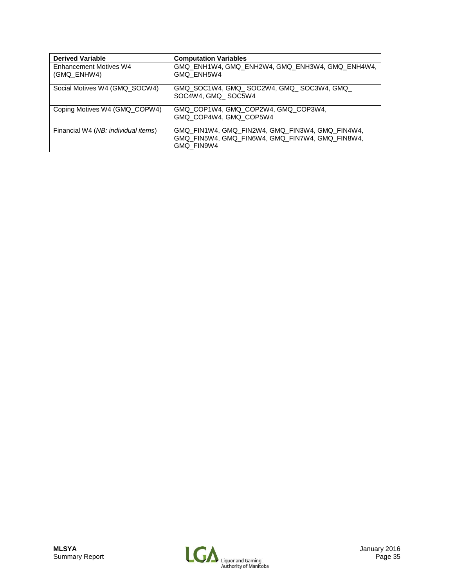| <b>Derived Variable</b>             | <b>Computation Variables</b>                                                                                     |
|-------------------------------------|------------------------------------------------------------------------------------------------------------------|
| Enhancement Motives W4              | GMQ ENH1W4, GMQ ENH2W4, GMQ ENH3W4, GMQ ENH4W4,                                                                  |
| (GMQ ENHW4)                         | GMQ ENH5W4                                                                                                       |
| Social Motives W4 (GMQ_SOCW4)       | GMQ_SOC1W4, GMQ_SOC2W4, GMQ_SOC3W4, GMQ_<br>SOC4W4, GMQ SOC5W4                                                   |
| Coping Motives W4 (GMQ COPW4)       | GMQ_COP1W4, GMQ_COP2W4, GMQ_COP3W4,<br>GMQ COP4W4, GMQ COP5W4                                                    |
| Financial W4 (NB: individual items) | GMQ FIN1W4, GMQ FIN2W4, GMQ FIN3W4, GMQ FIN4W4,<br>GMQ FIN5W4, GMQ FIN6W4, GMQ FIN7W4, GMQ FIN8W4,<br>GMQ FIN9W4 |

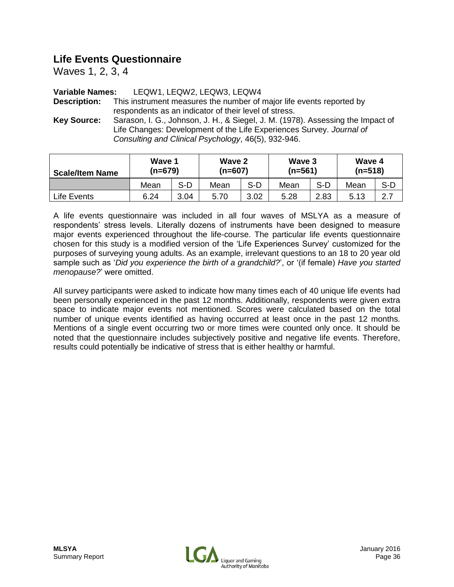# **Life Events Questionnaire**

Waves 1, 2, 3, 4

#### **Variable Names:** LEQW1, LEQW2, LEQW3, LEQW4

**Description:** This instrument measures the number of major life events reported by respondents as an indicator of their level of stress.

**Key Source:** Sarason, I. G., Johnson, J. H., & Siegel, J. M. (1978). Assessing the Impact of Life Changes: Development of the Life Experiences Survey. *Journal of Consulting and Clinical Psychology*, 46(5), 932-946.

| <b>Scale/Item Name</b> | Wave 1<br>(n=679) |      | Wave 2<br>$(n=607)$ |       | Wave 3<br>$(n=561)$ |       | Wave 4<br>$(n=518)$ |     |
|------------------------|-------------------|------|---------------------|-------|---------------------|-------|---------------------|-----|
|                        | Mean              | S-D  | Mean                | $S-D$ | Mean                | $S-D$ | Mean                | S-D |
| Life Events            | 6.24              | 3.04 | 5.70                | 3.02  | 5.28                | 2.83  | 5.13                | 2.7 |

A life events questionnaire was included in all four waves of MSLYA as a measure of respondents' stress levels. Literally dozens of instruments have been designed to measure major events experienced throughout the life-course. The particular life events questionnaire chosen for this study is a modified version of the 'Life Experiences Survey' customized for the purposes of surveying young adults. As an example, irrelevant questions to an 18 to 20 year old sample such as '*Did you experience the birth of a grandchild?*', or '(if female) *Have you started menopause?*' were omitted.

All survey participants were asked to indicate how many times each of 40 unique life events had been personally experienced in the past 12 months. Additionally, respondents were given extra space to indicate major events not mentioned. Scores were calculated based on the total number of unique events identified as having occurred at least once in the past 12 months. Mentions of a single event occurring two or more times were counted only once. It should be noted that the questionnaire includes subjectively positive and negative life events. Therefore, results could potentially be indicative of stress that is either healthy or harmful.

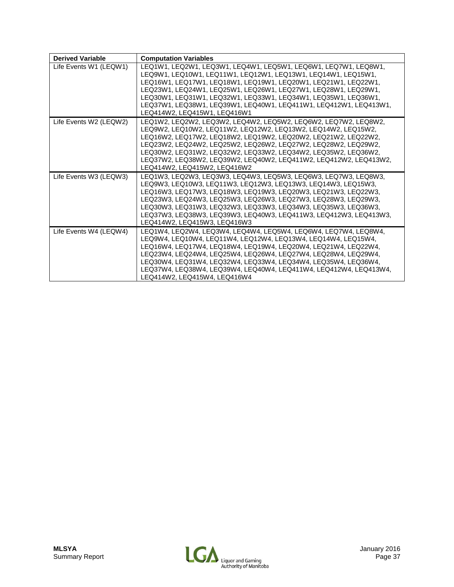| <b>Derived Variable</b> | <b>Computation Variables</b>                                                                                                                                                                                                                                                                                                                                                                                                                |
|-------------------------|---------------------------------------------------------------------------------------------------------------------------------------------------------------------------------------------------------------------------------------------------------------------------------------------------------------------------------------------------------------------------------------------------------------------------------------------|
| Life Events W1 (LEQW1)  | LEQ1W1, LEQ2W1, LEQ3W1, LEQ4W1, LEQ5W1, LEQ6W1, LEQ7W1, LEQ8W1,<br>LEQ9W1, LEQ10W1, LEQ11W1, LEQ12W1, LEQ13W1, LEQ14W1, LEQ15W1,<br>LEQ16W1, LEQ17W1, LEQ18W1, LEQ19W1, LEQ20W1, LEQ21W1, LEQ22W1,<br>LEQ23W1, LEQ24W1, LEQ25W1, LEQ26W1, LEQ27W1, LEQ28W1, LEQ29W1,<br>LEQ30W1, LEQ31W1, LEQ32W1, LEQ33W1, LEQ34W1, LEQ35W1, LEQ36W1,<br>LEQ37W1, LEQ38W1, LEQ39W1, LEQ40W1, LEQ411W1, LEQ412W1, LEQ413W1,<br>LEQ414W2, LEQ415W1, LEQ416W1 |
| Life Events W2 (LEQW2)  | LEQ1W2, LEQ2W2, LEQ3W2, LEQ4W2, LEQ5W2, LEQ6W2, LEQ7W2, LEQ8W2,<br>LEQ9W2, LEQ10W2, LEQ11W2, LEQ12W2, LEQ13W2, LEQ14W2, LEQ15W2,<br>LEQ16W2, LEQ17W2, LEQ18W2, LEQ19W2, LEQ20W2, LEQ21W2, LEQ22W2,<br>LEQ23W2, LEQ24W2, LEQ25W2, LEQ26W2, LEQ27W2, LEQ28W2, LEQ29W2,<br>LEQ30W2, LEQ31W2, LEQ32W2, LEQ33W2, LEQ34W2, LEQ35W2, LEQ36W2,<br>LEQ37W2, LEQ38W2, LEQ39W2, LEQ40W2, LEQ411W2, LEQ412W2, LEQ413W2,<br>LEQ414W2, LEQ415W2, LEQ416W2 |
| Life Events W3 (LEQW3)  | LEQ1W3, LEQ2W3, LEQ3W3, LEQ4W3, LEQ5W3, LEQ6W3, LEQ7W3, LEQ8W3,<br>LEQ9W3, LEQ10W3, LEQ11W3, LEQ12W3, LEQ13W3, LEQ14W3, LEQ15W3,<br>LEQ16W3, LEQ17W3, LEQ18W3, LEQ19W3, LEQ20W3, LEQ21W3, LEQ22W3,<br>LEQ23W3, LEQ24W3, LEQ25W3, LEQ26W3, LEQ27W3, LEQ28W3, LEQ29W3,<br>LEQ30W3, LEQ31W3, LEQ32W3, LEQ33W3, LEQ34W3, LEQ35W3, LEQ36W3,<br>LEQ37W3, LEQ38W3, LEQ39W3, LEQ40W3, LEQ411W3, LEQ412W3, LEQ413W3,<br>LEQ414W2, LEQ415W3, LEQ416W3 |
| Life Events W4 (LEQW4)  | LEQ1W4, LEQ2W4, LEQ3W4, LEQ4W4, LEQ5W4, LEQ6W4, LEQ7W4, LEQ8W4,<br>LEQ9W4, LEQ10W4, LEQ11W4, LEQ12W4, LEQ13W4, LEQ14W4, LEQ15W4,<br>LEQ16W4, LEQ17W4, LEQ18W4, LEQ19W4, LEQ20W4, LEQ21W4, LEQ22W4,<br>LEQ23W4, LEQ24W4, LEQ25W4, LEQ26W4, LEQ27W4, LEQ28W4, LEQ29W4,<br>LEQ30W4, LEQ31W4, LEQ32W4, LEQ33W4, LEQ34W4, LEQ35W4, LEQ36W4,<br>LEQ37W4, LEQ38W4, LEQ39W4, LEQ40W4, LEQ411W4, LEQ412W4, LEQ413W4,<br>LEQ414W2, LEQ415W4, LEQ416W4 |

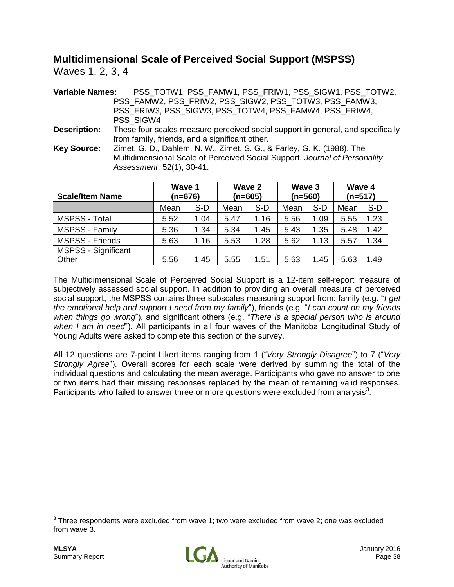# **Multidimensional Scale of Perceived Social Support (MSPSS)**

Waves 1, 2, 3, 4

| <b>Variable Names:</b> | PSS_TOTW1, PSS_FAMW1, PSS_FRIW1, PSS_SIGW1, PSS_TOTW2,                          |
|------------------------|---------------------------------------------------------------------------------|
|                        | PSS_FAMW2, PSS_FRIW2, PSS_SIGW2, PSS_TOTW3, PSS_FAMW3,                          |
|                        | PSS_FRIW3, PSS_SIGW3, PSS_TOTW4, PSS_FAMW4, PSS_FRIW4,                          |
|                        | PSS SIGW4                                                                       |
| <b>Description:</b>    | These four scales measure perceived social support in general, and specifically |
|                        | from family, friends, and a significant other.                                  |
| <b>Key Source:</b>     | Zimet, G. D., Dahlem, N. W., Zimet, S. G., & Farley, G. K. (1988). The          |
|                        | Multidimensional Scale of Perceived Social Support. Journal of Personality      |
|                        | Assessment, 52(1), 30-41.                                                       |

| <b>Scale/Item Name</b>     | Wave 1<br>$(n=676)$ |      | Wave 2<br>$(n=605)$ |      | Wave 3<br>$(n=560)$ |      | Wave 4<br>$(n=517)$ |      |
|----------------------------|---------------------|------|---------------------|------|---------------------|------|---------------------|------|
|                            | Mean                | S-D  | Mean                | S-D  | Mean                | S-D  | Mean                | S-D  |
| MSPSS - Total              | 5.52                | 1.04 | 5.47                | 1.16 | 5.56                | 1.09 | 5.55                | 1.23 |
| MSPSS - Family             | 5.36                | 1.34 | 5.34                | 1.45 | 5.43                | 1.35 | 5.48                | 1.42 |
| <b>MSPSS - Friends</b>     | 5.63                | 1.16 | 5.53                | 1.28 | 5.62                | 1.13 | 5.57                | 1.34 |
| <b>MSPSS - Significant</b> |                     |      |                     |      |                     |      |                     |      |
| Other                      | 5.56                | 1.45 | 5.55                | 1.51 | 5.63                | 1.45 | 5.63                | .49  |

The Multidimensional Scale of Perceived Social Support is a 12-item self-report measure of subjectively assessed social support. In addition to providing an overall measure of perceived social support, the MSPSS contains three subscales measuring support from: family (e.g. "*I get the emotional help and support I need from my family*"), friends (e.g. "*I can count on my friends when things go wrong*"), and significant others (e.g. "*There is a special person who is around when I am in need*"). All participants in all four waves of the Manitoba Longitudinal Study of Young Adults were asked to complete this section of the survey.

All 12 questions are 7-point Likert items ranging from 1 ("*Very Strongly Disagree*") to 7 ("*Very Strongly Agree*"). Overall scores for each scale were derived by summing the total of the individual questions and calculating the mean average. Participants who gave no answer to one or two items had their missing responses replaced by the mean of remaining valid responses. Participants who failed to answer three or more questions were excluded from analysis<sup>3</sup>.



 $3$  Three respondents were excluded from wave 1; two were excluded from wave 2; one was excluded from wave 3.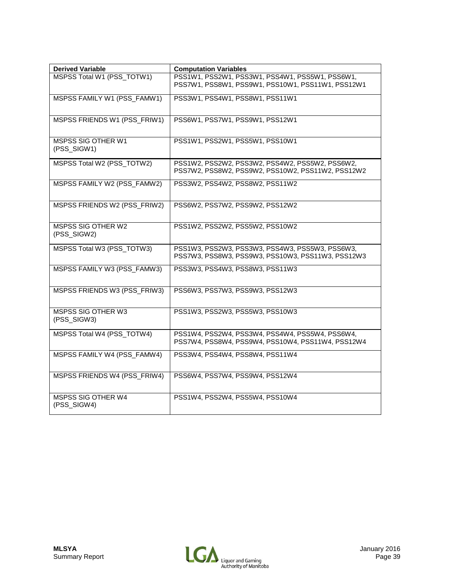| <b>Derived Variable</b>                  | <b>Computation Variables</b>                                                                         |
|------------------------------------------|------------------------------------------------------------------------------------------------------|
| MSPSS Total W1 (PSS_TOTW1)               | PSS1W1, PSS2W1, PSS3W1, PSS4W1, PSS5W1, PSS6W1,<br>PSS7W1, PSS8W1, PSS9W1, PSS10W1, PSS11W1, PSS12W1 |
| MSPSS FAMILY W1 (PSS_FAMW1)              | PSS3W1, PSS4W1, PSS8W1, PSS11W1                                                                      |
| MSPSS FRIENDS W1 (PSS_FRIW1)             | PSS6W1, PSS7W1, PSS9W1, PSS12W1                                                                      |
| <b>MSPSS SIG OTHER W1</b><br>(PSS_SIGW1) | PSS1W1, PSS2W1, PSS5W1, PSS10W1                                                                      |
| MSPSS Total W2 (PSS_TOTW2)               | PSS1W2, PSS2W2, PSS3W2, PSS4W2, PSS5W2, PSS6W2,<br>PSS7W2, PSS8W2, PSS9W2, PSS10W2, PSS11W2, PSS12W2 |
| MSPSS FAMILY W2 (PSS_FAMW2)              | PSS3W2, PSS4W2, PSS8W2, PSS11W2                                                                      |
| MSPSS FRIENDS W2 (PSS_FRIW2)             | PSS6W2, PSS7W2, PSS9W2, PSS12W2                                                                      |
| <b>MSPSS SIG OTHER W2</b><br>(PSS_SIGW2) | PSS1W2, PSS2W2, PSS5W2, PSS10W2                                                                      |
| MSPSS Total W3 (PSS_TOTW3)               | PSS1W3, PSS2W3, PSS3W3, PSS4W3, PSS5W3, PSS6W3,<br>PSS7W3, PSS8W3, PSS9W3, PSS10W3, PSS11W3, PSS12W3 |
| MSPSS FAMILY W3 (PSS_FAMW3)              | PSS3W3, PSS4W3, PSS8W3, PSS11W3                                                                      |
| MSPSS FRIENDS W3 (PSS_FRIW3)             | PSS6W3, PSS7W3, PSS9W3, PSS12W3                                                                      |
| MSPSS SIG OTHER W3<br>(PSS_SIGW3)        | PSS1W3, PSS2W3, PSS5W3, PSS10W3                                                                      |
| MSPSS Total W4 (PSS_TOTW4)               | PSS1W4, PSS2W4, PSS3W4, PSS4W4, PSS5W4, PSS6W4,<br>PSS7W4, PSS8W4, PSS9W4, PSS10W4, PSS11W4, PSS12W4 |
| MSPSS FAMILY W4 (PSS_FAMW4)              | PSS3W4, PSS4W4, PSS8W4, PSS11W4                                                                      |
| MSPSS FRIENDS W4 (PSS_FRIW4)             | PSS6W4, PSS7W4, PSS9W4, PSS12W4                                                                      |
| MSPSS SIG OTHER W4<br>(PSS_SIGW4)        | PSS1W4, PSS2W4, PSS5W4, PSS10W4                                                                      |

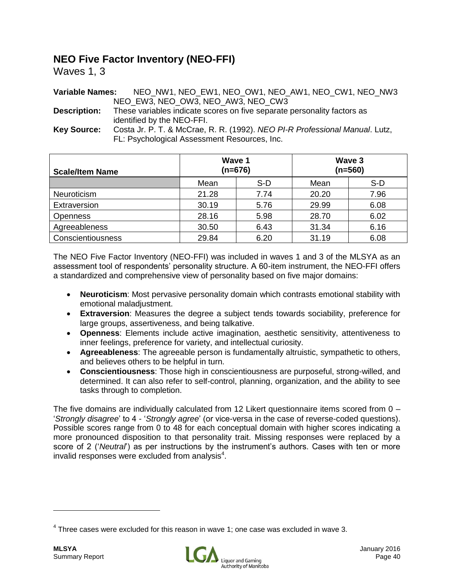# **NEO Five Factor Inventory (NEO-FFI)**

Waves 1, 3

| <b>Variable Names:</b> | NEO NW1, NEO EW1, NEO OW1, NEO AW1, NEO CW1, NEO NW3                        |
|------------------------|-----------------------------------------------------------------------------|
|                        | NEO EW3, NEO OW3, NEO AW3, NEO CW3                                          |
| <b>Description:</b>    | These variables indicate scores on five separate personality factors as     |
|                        | identified by the NEO-FFI.                                                  |
| <b>Key Source:</b>     | Costa Jr. P. T. & McCrae, R. R. (1992). NEO PI-R Professional Manual. Lutz, |
|                        | FL: Psychological Assessment Resources, Inc.                                |

| <b>Scale/Item Name</b> | Wave 1<br>$(n=676)$ |      |       | Wave 3<br>$(n=560)$ |
|------------------------|---------------------|------|-------|---------------------|
|                        | Mean                | S-D  | Mean  | S-D                 |
| Neuroticism            | 21.28               | 7.74 | 20.20 | 7.96                |
| Extraversion           | 30.19               | 5.76 | 29.99 | 6.08                |
| <b>Openness</b>        | 28.16               | 5.98 | 28.70 | 6.02                |
| Agreeableness          | 30.50               | 6.43 | 31.34 | 6.16                |
| Conscientiousness      | 29.84               | 6.20 | 31.19 | 6.08                |

The NEO Five Factor Inventory (NEO-FFI) was included in waves 1 and 3 of the MLSYA as an assessment tool of respondents' personality structure. A 60-item instrument, the NEO-FFI offers a standardized and comprehensive view of personality based on five major domains:

- **Neuroticism**: Most pervasive personality domain which contrasts emotional stability with emotional maladjustment.
- **Extraversion**: Measures the degree a subject tends towards sociability, preference for large groups, assertiveness, and being talkative.
- **Openness**: Elements include active imagination, aesthetic sensitivity, attentiveness to inner feelings, preference for variety, and intellectual curiosity.
- **Agreeableness**: The agreeable person is fundamentally altruistic, sympathetic to others, and believes others to be helpful in turn.
- **Conscientiousness**: Those high in conscientiousness are purposeful, strong-willed, and determined. It can also refer to self-control, planning, organization, and the ability to see tasks through to completion.

The five domains are individually calculated from 12 Likert questionnaire items scored from 0 – '*Strongly disagree*' to 4 - '*Strongly agree*' (or vice-versa in the case of reverse-coded questions). Possible scores range from 0 to 48 for each conceptual domain with higher scores indicating a more pronounced disposition to that personality trait. Missing responses were replaced by a score of 2 ('*Neutral*') as per instructions by the instrument's authors. Cases with ten or more invalid responses were excluded from analysis $4$ .



 $<sup>4</sup>$  Three cases were excluded for this reason in wave 1; one case was excluded in wave 3.</sup>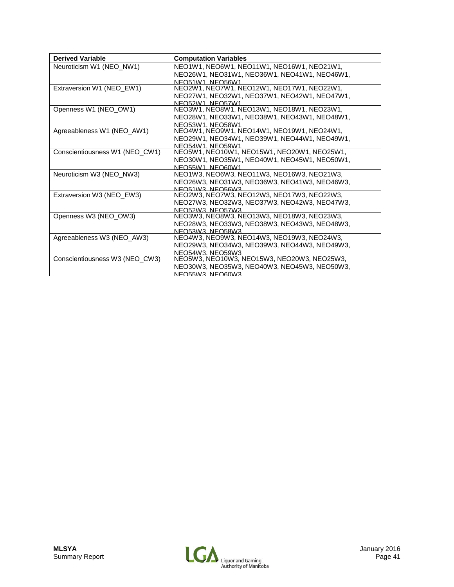| <b>Derived Variable</b>        | <b>Computation Variables</b>                                      |
|--------------------------------|-------------------------------------------------------------------|
| Neuroticism W1 (NEO NW1)       | NEO1W1, NEO6W1, NEO11W1, NEO16W1, NEO21W1,                        |
|                                | NEO26W1, NEO31W1, NEO36W1, NEO41W1, NEO46W1,                      |
|                                | NFO51W1 NFO56W1                                                   |
| Extraversion W1 (NEO_EW1)      | NEO2W1, NEO7W1, NEO12W1, NEO17W1, NEO22W1,                        |
|                                | NEO27W1, NEO32W1, NEO37W1, NEO42W1, NEO47W1,                      |
|                                | NFO52W1 NFO57W1                                                   |
| Openness W1 (NEO_OW1)          | NEO3W1, NEO8W1, NEO13W1, NEO18W1, NEO23W1,                        |
|                                | NEO28W1, NEO33W1, NEO38W1, NEO43W1, NEO48W1,                      |
|                                | NEO53W1, NEO58W1                                                  |
| Agreeableness W1 (NEO_AW1)     | NEO4W1, NEO9W1, NEO14W1, NEO19W1, NEO24W1,                        |
|                                | NEO29W1, NEO34W1, NEO39W1, NEO44W1, NEO49W1,                      |
|                                | NFO54W1 NFO59W1                                                   |
| Conscientiousness W1 (NEO_CW1) | NEO5W1, NEO10W1, NEO15W1, NEO20W1, NEO25W1,                       |
|                                | NEO30W1, NEO35W1, NEO40W1, NEO45W1, NEO50W1,                      |
|                                | NFO55W1 NFO60W1                                                   |
| Neuroticism W3 (NEO NW3)       | NEO1W3, NEO6W3, NEO11W3, NEO16W3, NEO21W3,                        |
|                                | NEO26W3, NEO31W3, NEO36W3, NEO41W3, NEO46W3,                      |
|                                | NEO51W3 NEO56W3                                                   |
| Extraversion W3 (NEO_EW3)      | NEO2W3, NEO7W3, NEO12W3, NEO17W3, NEO22W3,                        |
|                                | NEO27W3. NEO32W3. NEO37W3. NEO42W3. NEO47W3.                      |
|                                | NEO52W3, NEO57W3                                                  |
| Openness W3 (NEO OW3)          | NEO3W3, NEO8W3, NEO13W3, NEO18W3, NEO23W3,                        |
|                                | NEO28W3, NEO33W3, NEO38W3, NEO43W3, NEO48W3,                      |
|                                | NEO <sub>53</sub> W <sub>3</sub> NEO <sub>58</sub> W <sub>3</sub> |
| Agreeableness W3 (NEO_AW3)     | NEO4W3, NEO9W3, NEO14W3, NEO19W3, NEO24W3,                        |
|                                | NEO29W3, NEO34W3, NEO39W3, NEO44W3, NEO49W3,                      |
|                                | NEO54W3, NEO59W3                                                  |
| Conscientiousness W3 (NEO_CW3) | NEO5W3, NEO10W3, NEO15W3, NEO20W3, NEO25W3,                       |
|                                | NEO30W3, NEO35W3, NEO40W3, NEO45W3, NEO50W3,                      |
|                                | NFO55W3 NFO60W3                                                   |

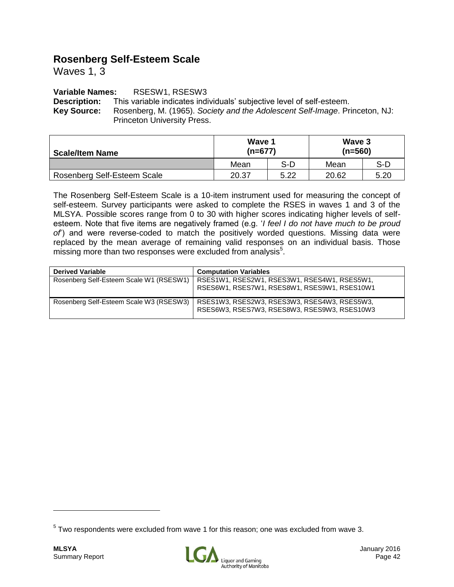# **Rosenberg Self-Esteem Scale**

Waves 1, 3

#### **Variable Names:** RSESW1, RSESW3

**Description:** This variable indicates individuals' subjective level of self-esteem. **Key Source:** Rosenberg, M. (1965). *Society and the Adolescent Self-Image*. Princeton, NJ: Princeton University Press.

| <b>Scale/Item Name</b>      | Wave 1<br>$(n=677)$ |       | Wave 3<br>$(n=560)$ |       |
|-----------------------------|---------------------|-------|---------------------|-------|
|                             | Mean                | $S-D$ | Mean                | $S-D$ |
| Rosenberg Self-Esteem Scale | 20.37               | 5.22  | 20.62               | 5.20  |

The Rosenberg Self-Esteem Scale is a 10-item instrument used for measuring the concept of self-esteem. Survey participants were asked to complete the RSES in waves 1 and 3 of the MLSYA. Possible scores range from 0 to 30 with higher scores indicating higher levels of selfesteem. Note that five items are negatively framed (e.g. '*I feel I do not have much to be proud of*') and were reverse-coded to match the positively worded questions. Missing data were replaced by the mean average of remaining valid responses on an individual basis. Those missing more than two responses were excluded from analysis<sup>5</sup>.

| <b>Derived Variable</b>                 | <b>Computation Variables</b>                                                                 |
|-----------------------------------------|----------------------------------------------------------------------------------------------|
| Rosenberg Self-Esteem Scale W1 (RSESW1) | RSES1W1, RSES2W1, RSES3W1, RSES4W1, RSES5W1,<br>RSES6W1, RSES7W1, RSES8W1, RSES9W1, RSES10W1 |
| Rosenberg Self-Esteem Scale W3 (RSESW3) | RSES1W3, RSES2W3, RSES3W3, RSES4W3, RSES5W3,<br>RSES6W3, RSES7W3, RSES8W3, RSES9W3, RSES10W3 |



 $5$  Two respondents were excluded from wave 1 for this reason; one was excluded from wave 3.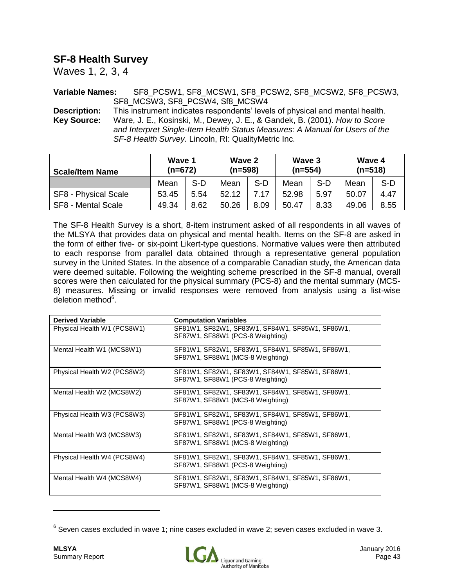## **SF-8 Health Survey**

Waves 1, 2, 3, 4

**Variable Names:** SF8\_PCSW1, SF8\_MCSW1, SF8\_PCSW2, SF8\_MCSW2, SF8\_PCSW3, SF8\_MCSW3, SF8\_PCSW4, Sf8\_MCSW4

**Description:** This instrument indicates respondents' levels of physical and mental health. **Key Source:** Ware, J. E., Kosinski, M., Dewey, J. E., & Gandek, B. (2001). *How to Score and Interpret Single-Item Health Status Measures: A Manual for Users of the SF-8 Health Survey*. Lincoln, RI: QualityMetric Inc.

| <b>Scale/Item Name</b> | Wave 1<br>$(n=672)$ |      | Wave 2<br>$(n=598)$ |       | Wave 3<br>$(n=554)$ |       | Wave 4<br>$(n=518)$ |       |
|------------------------|---------------------|------|---------------------|-------|---------------------|-------|---------------------|-------|
|                        | Mean                | S-D  | Mean                | $S-D$ | Mean                | $S-D$ | Mean                | $S-D$ |
| SF8 - Physical Scale   | 53.45               | 5.54 | 52.12               | 7.17  | 52.98               | 5.97  | 50.07               | 4.47  |
| SF8 - Mental Scale     | 49.34               | 8.62 | 50.26               | 8.09  | 50.47               | 8.33  | 49.06               | 8.55  |

The SF-8 Health Survey is a short, 8-item instrument asked of all respondents in all waves of the MLSYA that provides data on physical and mental health. Items on the SF-8 are asked in the form of either five- or six-point Likert-type questions. Normative values were then attributed to each response from parallel data obtained through a representative general population survey in the United States. In the absence of a comparable Canadian study, the American data were deemed suitable. Following the weighting scheme prescribed in the SF-8 manual, overall scores were then calculated for the physical summary (PCS-8) and the mental summary (MCS-8) measures. Missing or invalid responses were removed from analysis using a list-wise deletion method<sup>6</sup>.

| <b>Derived Variable</b>     | <b>Computation Variables</b>                                                        |
|-----------------------------|-------------------------------------------------------------------------------------|
| Physical Health W1 (PCS8W1) | SF81W1, SF82W1, SF83W1, SF84W1, SF85W1, SF86W1,<br>SF87W1, SF88W1 (PCS-8 Weighting) |
| Mental Health W1 (MCS8W1)   | SF81W1, SF82W1, SF83W1, SF84W1, SF85W1, SF86W1,<br>SF87W1, SF88W1 (MCS-8 Weighting) |
| Physical Health W2 (PCS8W2) | SF81W1, SF82W1, SF83W1, SF84W1, SF85W1, SF86W1,<br>SF87W1, SF88W1 (PCS-8 Weighting) |
| Mental Health W2 (MCS8W2)   | SF81W1, SF82W1, SF83W1, SF84W1, SF85W1, SF86W1,<br>SF87W1, SF88W1 (MCS-8 Weighting) |
| Physical Health W3 (PCS8W3) | SF81W1, SF82W1, SF83W1, SF84W1, SF85W1, SF86W1,<br>SF87W1, SF88W1 (PCS-8 Weighting) |
| Mental Health W3 (MCS8W3)   | SF81W1, SF82W1, SF83W1, SF84W1, SF85W1, SF86W1,<br>SF87W1, SF88W1 (MCS-8 Weighting) |
| Physical Health W4 (PCS8W4) | SF81W1, SF82W1, SF83W1, SF84W1, SF85W1, SF86W1,<br>SF87W1, SF88W1 (PCS-8 Weighting) |
| Mental Health W4 (MCS8W4)   | SF81W1, SF82W1, SF83W1, SF84W1, SF85W1, SF86W1,<br>SF87W1, SF88W1 (MCS-8 Weighting) |

 $^6$  Seven cases excluded in wave 1; nine cases excluded in wave 2; seven cases excluded in wave 3.

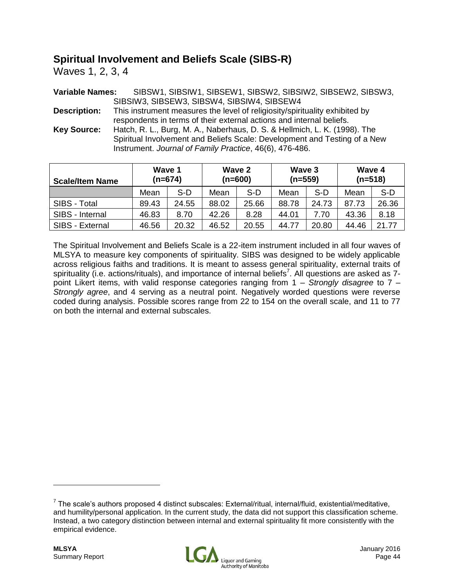# **Spiritual Involvement and Beliefs Scale (SIBS-R)**

Waves 1, 2, 3, 4

**Variable Names:** SIBSW1, SIBSIW1, SIBSEW1, SIBSW2, SIBSIW2, SIBSEW2, SIBSW3, SIBSIW3, SIBSEW3, SIBSW4, SIBSIW4, SIBSEW4

**Description:** This instrument measures the level of religiosity/spirituality exhibited by respondents in terms of their external actions and internal beliefs.

**Key Source:** Hatch, R. L., Burg, M. A., Naberhaus, D. S. & Hellmich, L. K. (1998). The Spiritual Involvement and Beliefs Scale: Development and Testing of a New Instrument. *Journal of Family Practice*, 46(6), 476-486.

| <b>Scale/Item Name</b> | Wave 1<br>$(n=674)$ |       | Wave 2<br>$(n=600)$ |       | Wave 3<br>(n=559) |       | Wave 4<br>$(n=518)$ |       |
|------------------------|---------------------|-------|---------------------|-------|-------------------|-------|---------------------|-------|
|                        | Mean                | S-D   | Mean                | $S-D$ | Mean              | S-D   | Mean                | $S-D$ |
| SIBS - Total           | 89.43               | 24.55 | 88.02               | 25.66 | 88.78             | 24.73 | 87.73               | 26.36 |
| SIBS - Internal        | 46.83               | 8.70  | 42.26               | 8.28  | 44.01             | 7.70  | 43.36               | 8.18  |
| SIBS - External        | 46.56               | 20.32 | 46.52               | 20.55 | 44.77             | 20.80 | 44.46               | 21.77 |

The Spiritual Involvement and Beliefs Scale is a 22-item instrument included in all four waves of MLSYA to measure key components of spirituality. SIBS was designed to be widely applicable across religious faiths and traditions. It is meant to assess general spirituality, external traits of spirituality (i.e. actions/rituals), and importance of internal beliefs<sup>7</sup>. All questions are asked as 7point Likert items, with valid response categories ranging from 1 – *Strongly disagree* to 7 – *Strongly agree*, and 4 serving as a neutral point. Negatively worded questions were reverse coded during analysis. Possible scores range from 22 to 154 on the overall scale, and 11 to 77 on both the internal and external subscales.



 $^7$  The scale's authors proposed 4 distinct subscales: External/ritual, internal/fluid, existential/meditative, and humility/personal application. In the current study, the data did not support this classification scheme. Instead, a two category distinction between internal and external spirituality fit more consistently with the empirical evidence.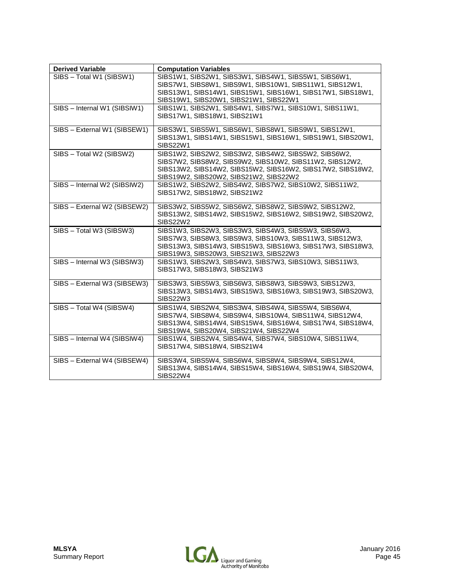| <b>Derived Variable</b>      | <b>Computation Variables</b>                                                                                                                                                                                               |
|------------------------------|----------------------------------------------------------------------------------------------------------------------------------------------------------------------------------------------------------------------------|
| SIBS - Total W1 (SIBSW1)     | SIBS1W1, SIBS2W1, SIBS3W1, SIBS4W1, SIBS5W1, SIBS6W1,<br>SIBS7W1, SIBS8W1, SIBS9W1, SIBS10W1, SIBS11W1, SIBS12W1,<br>SIBS13W1, SIBS14W1, SIBS15W1, SIBS16W1, SIBS17W1, SIBS18W1,<br>SIBS19W1, SIBS20W1, SIBS21W1, SIBS22W1 |
| SIBS - Internal W1 (SIBSIW1) | SIBS1W1, SIBS2W1, SIBS4W1, SIBS7W1, SIBS10W1, SIBS11W1,<br>SIBS17W1, SIBS18W1, SIBS21W1                                                                                                                                    |
| SIBS - External W1 (SIBSEW1) | SIBS3W1, SIBS5W1, SIBS6W1, SIBS8W1, SIBS9W1, SIBS12W1,<br>SIBS13W1, SIBS14W1, SIBS15W1, SIBS16W1, SIBS19W1, SIBS20W1,<br><b>SIBS22W1</b>                                                                                   |
| SIBS - Total W2 (SIBSW2)     | SIBS1W2, SIBS2W2, SIBS3W2, SIBS4W2, SIBS5W2, SIBS6W2,<br>SIBS7W2, SIBS8W2, SIBS9W2, SIBS10W2, SIBS11W2, SIBS12W2,<br>SIBS13W2, SIBS14W2, SIBS15W2, SIBS16W2, SIBS17W2, SIBS18W2,<br>SIBS19W2, SIBS20W2, SIBS21W2, SIBS22W2 |
| SIBS - Internal W2 (SIBSIW2) | SIBS1W2, SIBS2W2, SIBS4W2, SIBS7W2, SIBS10W2, SIBS11W2,<br>SIBS17W2, SIBS18W2, SIBS21W2                                                                                                                                    |
| SIBS - External W2 (SIBSEW2) | SIBS3W2, SIBS5W2, SIBS6W2, SIBS8W2, SIBS9W2, SIBS12W2,<br>SIBS13W2, SIBS14W2, SIBS15W2, SIBS16W2, SIBS19W2, SIBS20W2,<br><b>SIBS22W2</b>                                                                                   |
| SIBS - Total W3 (SIBSW3)     | SIBS1W3, SIBS2W3, SIBS3W3, SIBS4W3, SIBS5W3, SIBS6W3,<br>SIBS7W3, SIBS8W3, SIBS9W3, SIBS10W3, SIBS11W3, SIBS12W3,<br>SIBS13W3, SIBS14W3, SIBS15W3, SIBS16W3, SIBS17W3, SIBS18W3,<br>SIBS19W3, SIBS20W3, SIBS21W3, SIBS22W3 |
| SIBS - Internal W3 (SIBSIW3) | SIBS1W3, SIBS2W3, SIBS4W3, SIBS7W3, SIBS10W3, SIBS11W3,<br>SIBS17W3, SIBS18W3, SIBS21W3                                                                                                                                    |
| SIBS - External W3 (SIBSEW3) | SIBS3W3, SIBS5W3, SIBS6W3, SIBS8W3, SIBS9W3, SIBS12W3,<br>SIBS13W3, SIBS14W3, SIBS15W3, SIBS16W3, SIBS19W3, SIBS20W3,<br>SIBS22W3                                                                                          |
| SIBS - Total W4 (SIBSW4)     | SIBS1W4, SIBS2W4, SIBS3W4, SIBS4W4, SIBS5W4, SIBS6W4,<br>SIBS7W4, SIBS8W4, SIBS9W4, SIBS10W4, SIBS11W4, SIBS12W4,<br>SIBS13W4, SIBS14W4, SIBS15W4, SIBS16W4, SIBS17W4, SIBS18W4,<br>SIBS19W4, SIBS20W4, SIBS21W4, SIBS22W4 |
| SIBS - Internal W4 (SIBSIW4) | SIBS1W4, SIBS2W4, SIBS4W4, SIBS7W4, SIBS10W4, SIBS11W4,<br>SIBS17W4, SIBS18W4, SIBS21W4                                                                                                                                    |
| SIBS - External W4 (SIBSEW4) | SIBS3W4, SIBS5W4, SIBS6W4, SIBS8W4, SIBS9W4, SIBS12W4,<br>SIBS13W4, SIBS14W4, SIBS15W4, SIBS16W4, SIBS19W4, SIBS20W4,<br><b>SIBS22W4</b>                                                                                   |

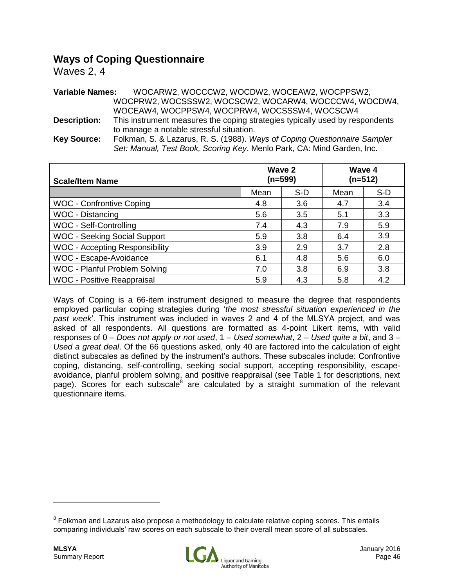## **Ways of Coping Questionnaire**

Waves 2, 4

**Variable Names:** WOCARW2, WOCCCW2, WOCDW2, WOCEAW2, WOCPPSW2, WOCPRW2, WOCSSSW2, WOCSCW2, WOCARW4, WOCCCW4, WOCDW4, WOCEAW4, WOCPPSW4, WOCPRW4, WOCSSSW4, WOCSCW4 **Description:** This instrument measures the coping strategies typically used by respondents to manage a notable stressful situation. **Key Source:** Folkman, S. & Lazarus, R. S. (1988). *Ways of Coping Questionnaire Sampler Set: Manual, Test Book, Scoring Key*. Menlo Park, CA: Mind Garden, Inc.

| <b>Scale/Item Name</b>                |      | Wave 2<br>(n=599) | Wave 4<br>$(n=512)$ |     |
|---------------------------------------|------|-------------------|---------------------|-----|
|                                       | Mean | S-D               | Mean                | S-D |
| <b>WOC - Confrontive Coping</b>       | 4.8  | 3.6               | 4.7                 | 3.4 |
| <b>WOC - Distancing</b>               | 5.6  | 3.5               | 5.1                 | 3.3 |
| WOC - Self-Controlling                | 7.4  | 4.3               | 7.9                 | 5.9 |
| <b>WOC - Seeking Social Support</b>   | 5.9  | 3.8               | 6.4                 | 3.9 |
| <b>WOC - Accepting Responsibility</b> | 3.9  | 2.9               | 3.7                 | 2.8 |
| WOC - Escape-Avoidance                | 6.1  | 4.8               | 5.6                 | 6.0 |
| WOC - Planful Problem Solving         | 7.0  | 3.8               | 6.9                 | 3.8 |
| <b>WOC - Positive Reappraisal</b>     | 5.9  | 4.3               | 5.8                 | 4.2 |

Ways of Coping is a 66-item instrument designed to measure the degree that respondents employed particular coping strategies during '*the most stressful situation experienced in the past week*'. This instrument was included in waves 2 and 4 of the MLSYA project, and was asked of all respondents. All questions are formatted as 4-point Likert items, with valid responses of 0 – *Does not apply or not used*, 1 – *Used somewhat*, 2 – *Used quite a bit*, and 3 – *Used a great deal*. Of the 66 questions asked, only 40 are factored into the calculation of eight distinct subscales as defined by the instrument's authors. These subscales include: Confrontive coping, distancing, self-controlling, seeking social support, accepting responsibility, escapeavoidance, planful problem solving, and positive reappraisal (see Table 1 for descriptions, next page). Scores for each subscale<sup>8</sup> are calculated by a straight summation of the relevant questionnaire items.



<sup>&</sup>lt;sup>8</sup> Folkman and Lazarus also propose a methodology to calculate relative coping scores. This entails comparing individuals' raw scores on each subscale to their overall mean score of all subscales.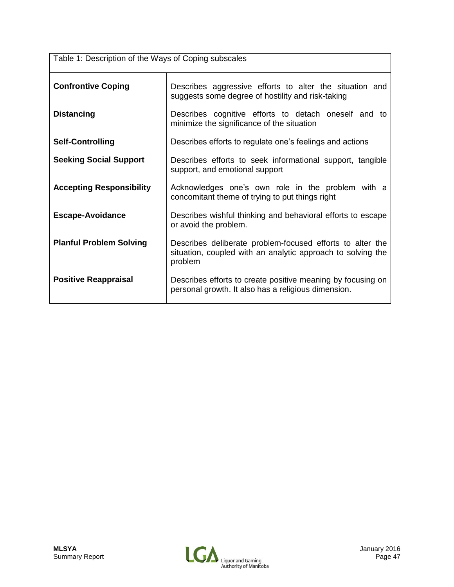| Table 1: Description of the Ways of Coping subscales |                                                                                                                                     |  |  |
|------------------------------------------------------|-------------------------------------------------------------------------------------------------------------------------------------|--|--|
| <b>Confrontive Coping</b>                            | Describes aggressive efforts to alter the situation and<br>suggests some degree of hostility and risk-taking                        |  |  |
| <b>Distancing</b>                                    | Describes cognitive efforts to detach oneself and to<br>minimize the significance of the situation                                  |  |  |
| <b>Self-Controlling</b>                              | Describes efforts to regulate one's feelings and actions                                                                            |  |  |
| <b>Seeking Social Support</b>                        | Describes efforts to seek informational support, tangible<br>support, and emotional support                                         |  |  |
| <b>Accepting Responsibility</b>                      | Acknowledges one's own role in the problem with a<br>concomitant theme of trying to put things right                                |  |  |
| <b>Escape-Avoidance</b>                              | Describes wishful thinking and behavioral efforts to escape<br>or avoid the problem.                                                |  |  |
| <b>Planful Problem Solving</b>                       | Describes deliberate problem-focused efforts to alter the<br>situation, coupled with an analytic approach to solving the<br>problem |  |  |
| <b>Positive Reappraisal</b>                          | Describes efforts to create positive meaning by focusing on<br>personal growth. It also has a religious dimension.                  |  |  |

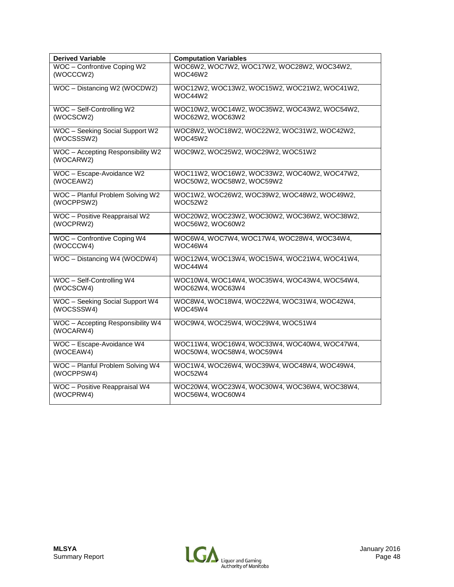| <b>Derived Variable</b>                        | <b>Computation Variables</b>                            |
|------------------------------------------------|---------------------------------------------------------|
| WOC - Confrontive Coping W2                    | WOC6W2, WOC7W2, WOC17W2, WOC28W2, WOC34W2,              |
| (WOCCCW2)                                      | WOC46W2                                                 |
| WOC - Distancing W2 (WOCDW2)                   | WOC12W2, WOC13W2, WOC15W2, WOC21W2, WOC41W2,<br>WOC44W2 |
| WOC - Self-Controlling W2                      | WOC10W2, WOC14W2, WOC35W2, WOC43W2, WOC54W2,            |
| (WOCSCW2)                                      | WOC62W2, WOC63W2                                        |
| WOC - Seeking Social Support W2                | WOC8W2, WOC18W2, WOC22W2, WOC31W2, WOC42W2,             |
| (WOCSSSW2)                                     | WOC45W2                                                 |
| WOC - Accepting Responsibility W2<br>(WOCARW2) | WOC9W2, WOC25W2, WOC29W2, WOC51W2                       |
| WOC - Escape-Avoidance W2                      | WOC11W2, WOC16W2, WOC33W2, WOC40W2, WOC47W2,            |
| (WOCEAW2)                                      | WOC50W2, WOC58W2, WOC59W2                               |
| WOC - Planful Problem Solving W2               | WOC1W2, WOC26W2, WOC39W2, WOC48W2, WOC49W2,             |
| (WOCPPSW2)                                     | WOC52W2                                                 |
| WOC - Positive Reappraisal W2                  | WOC20W2, WOC23W2, WOC30W2, WOC36W2, WOC38W2,            |
| (WOCPRW2)                                      | WOC56W2, WOC60W2                                        |
| WOC - Confrontive Coping W4                    | WOC6W4, WOC7W4, WOC17W4, WOC28W4, WOC34W4,              |
| (WOCCCW4)                                      | WOC46W4                                                 |
| WOC - Distancing W4 (WOCDW4)                   | WOC12W4, WOC13W4, WOC15W4, WOC21W4, WOC41W4,<br>WOC44W4 |
| WOC - Self-Controlling W4                      | WOC10W4, WOC14W4, WOC35W4, WOC43W4, WOC54W4,            |
| (WOCSCW4)                                      | WOC62W4, WOC63W4                                        |
| WOC - Seeking Social Support W4                | WOC8W4, WOC18W4, WOC22W4, WOC31W4, WOC42W4,             |
| (WOCSSSW4)                                     | WOC45W4                                                 |
| WOC - Accepting Responsibility W4<br>(WOCARW4) | WOC9W4, WOC25W4, WOC29W4, WOC51W4                       |
| WOC - Escape-Avoidance W4                      | WOC11W4, WOC16W4, WOC33W4, WOC40W4, WOC47W4,            |
| (WOCEAW4)                                      | WOC50W4, WOC58W4, WOC59W4                               |
| WOC - Planful Problem Solving W4               | WOC1W4, WOC26W4, WOC39W4, WOC48W4, WOC49W4,             |
| (WOCPPSW4)                                     | WOC52W4                                                 |
| WOC - Positive Reappraisal W4                  | WOC20W4, WOC23W4, WOC30W4, WOC36W4, WOC38W4,            |
| (WOCPRW4)                                      | WOC56W4, WOC60W4                                        |

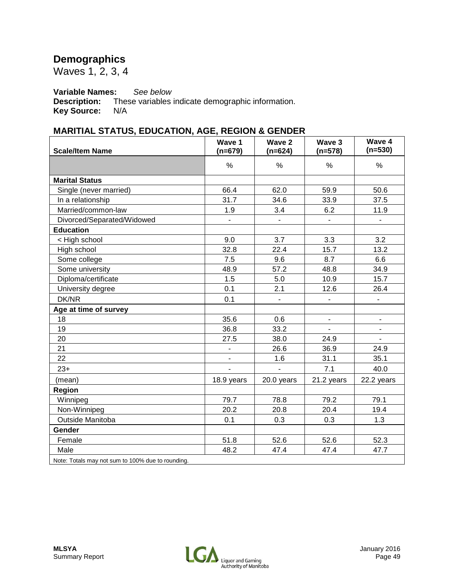# **Demographics**

Waves 1, 2, 3, 4

# **Variable Names:** *See below*

These variables indicate demographic information.<br>N/A **Key Source:** 

### **MARITIAL STATUS, EDUCATION, AGE, REGION & GENDER**

| <b>Scale/Item Name</b>                  | Wave 1<br>$(n=679)$      | Wave 2<br>$(n=624)$      | Wave 3<br>$(n=578)$ | Wave 4<br>$(n=530)$      |
|-----------------------------------------|--------------------------|--------------------------|---------------------|--------------------------|
|                                         | $\frac{0}{0}$            | $\frac{0}{0}$            | $\%$                | $\frac{0}{0}$            |
| <b>Marital Status</b>                   |                          |                          |                     |                          |
| Single (never married)                  | 66.4                     | 62.0                     | 59.9                | 50.6                     |
| In a relationship                       | 31.7                     | 34.6                     | 33.9                | 37.5                     |
| Married/common-law                      | 1.9                      | 3.4                      | 6.2                 | 11.9                     |
| Divorced/Separated/Widowed              | $\overline{\phantom{0}}$ | $\overline{\phantom{a}}$ | $\blacksquare$      | $\overline{\phantom{a}}$ |
| <b>Education</b>                        |                          |                          |                     |                          |
| < High school                           | 9.0                      | 3.7                      | 3.3                 | 3.2                      |
| High school                             | 32.8                     | 22.4                     | 15.7                | 13.2                     |
| Some college                            | 7.5                      | 9.6                      | 8.7                 | 6.6                      |
| Some university                         | 48.9                     | 57.2                     | 48.8                | 34.9                     |
| Diploma/certificate                     | 1.5                      | 5.0                      | 10.9                | 15.7                     |
| University degree                       | 0.1                      | 2.1                      | 12.6                | 26.4                     |
| DK/NR                                   | 0.1                      | $\overline{\phantom{a}}$ |                     |                          |
| Age at time of survey                   |                          |                          |                     |                          |
| 18                                      | 35.6                     | 0.6                      | $\blacksquare$      | $\overline{\phantom{a}}$ |
| 19                                      | 36.8                     | 33.2                     |                     |                          |
| 20                                      | 27.5                     | 38.0                     | 24.9                |                          |
| 21                                      | -                        | 26.6                     | 36.9                | 24.9                     |
| 22                                      | ÷,                       | 1.6                      | 31.1                | 35.1                     |
| $23+$                                   |                          | $\overline{a}$           | 7.1                 | 40.0                     |
| (mean)                                  | 18.9 years               | 20.0 years               | 21.2 years          | 22.2 years               |
| Region                                  |                          |                          |                     |                          |
| Winnipeg                                | 79.7                     | 78.8                     | 79.2                | 79.1                     |
| Non-Winnipeg                            | 20.2                     | 20.8                     | 20.4                | 19.4                     |
| Outside Manitoba                        | 0.1                      | 0.3                      | 0.3                 | 1.3                      |
| <b>Gender</b>                           |                          |                          |                     |                          |
| Female                                  | 51.8                     | 52.6                     | 52.6                | 52.3                     |
| Male                                    | 48.2                     | 47.4                     | 47.4                | 47.7                     |
| $1 - 40001$ $1 - 1$<br>$T \times 1 = 1$ |                          |                          |                     |                          |

Note: Totals may not sum to 100% due to rounding.

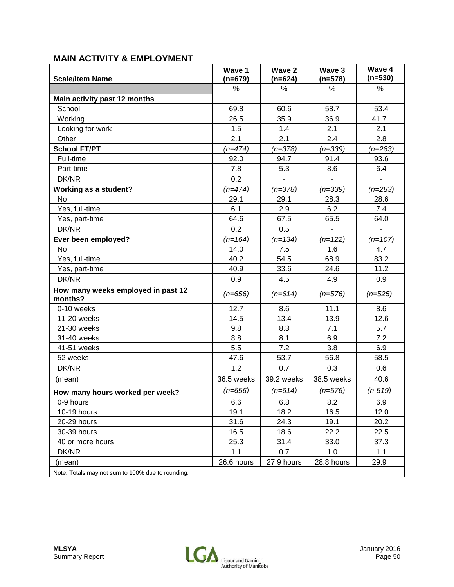### **MAIN ACTIVITY & EMPLOYMENT**

| <b>Scale/Item Name</b>                           | Wave 1<br>$(n=679)$ | Wave 2<br>$(n=624)$ | Wave 3<br>$(n=578)$ | Wave 4<br>$(n=530)$ |
|--------------------------------------------------|---------------------|---------------------|---------------------|---------------------|
|                                                  | %                   | $\%$                | %                   | $\%$                |
| Main activity past 12 months                     |                     |                     |                     |                     |
| School                                           | 69.8                | 60.6                | 58.7                | 53.4                |
| Working                                          | 26.5                | 35.9                | 36.9                | 41.7                |
| Looking for work                                 | 1.5                 | 1.4                 | 2.1                 | 2.1                 |
| Other                                            | 2.1                 | 2.1                 | 2.4                 | 2.8                 |
| <b>School FT/PT</b>                              | $(n=474)$           | $(n=378)$           | $(n=339)$           | $(n=283)$           |
| Full-time                                        | 92.0                | 94.7                | 91.4                | 93.6                |
| Part-time                                        | 7.8                 | 5.3                 | 8.6                 | 6.4                 |
| DK/NR                                            | 0.2                 |                     |                     |                     |
| <b>Working as a student?</b>                     | $(n=474)$           | $(n=378)$           | $(n=339)$           | $(n=283)$           |
| No                                               | 29.1                | 29.1                | 28.3                | 28.6                |
| Yes, full-time                                   | 6.1                 | 2.9                 | 6.2                 | 7.4                 |
| Yes, part-time                                   | 64.6                | 67.5                | 65.5                | 64.0                |
| DK/NR                                            | 0.2                 | 0.5                 |                     |                     |
| Ever been employed?                              | $(n=164)$           | $(n=134)$           | $(n=122)$           | $(n=107)$           |
| No                                               | 14.0                | 7.5                 | 1.6                 | 4.7                 |
| Yes, full-time                                   | 40.2                | 54.5                | 68.9                | 83.2                |
| Yes, part-time                                   | 40.9                | 33.6                | 24.6                | 11.2                |
| DK/NR                                            | 0.9                 | 4.5                 | 4.9                 | 0.9                 |
| How many weeks employed in past 12<br>months?    | $(n=656)$           | $(n=614)$           | $(n=576)$           | $(n=525)$           |
| 0-10 weeks                                       | 12.7                | 8.6                 | 11.1                | 8.6                 |
| 11-20 weeks                                      | 14.5                | 13.4                | 13.9                | 12.6                |
| 21-30 weeks                                      | 9.8                 | 8.3                 | 7.1                 | 5.7                 |
| 31-40 weeks                                      | 8.8                 | 8.1                 | 6.9                 | 7.2                 |
| 41-51 weeks                                      | 5.5                 | 7.2                 | 3.8                 | 6.9                 |
| 52 weeks                                         | 47.6                | 53.7                | 56.8                | 58.5                |
| DK/NR                                            | 1.2                 | 0.7                 | 0.3                 | 0.6                 |
| (mean)                                           | 36.5 weeks          | 39.2 weeks          | 38.5 weeks          | 40.6                |
| How many hours worked per week?                  | $(n=656)$           | $(n=614)$           | $(n=576)$           | $(n-519)$           |
| 0-9 hours                                        | 6.6                 | 6.8                 | 8.2                 | 6.9                 |
| 10-19 hours                                      | 19.1                | 18.2                | 16.5                | 12.0                |
| 20-29 hours                                      | 31.6                | 24.3                | 19.1                | 20.2                |
| 30-39 hours                                      | 16.5                | 18.6                | 22.2                | 22.5                |
| 40 or more hours                                 | 25.3                | 31.4                | 33.0                | 37.3                |
| DK/NR                                            | 1.1                 | 0.7                 | 1.0                 | 1.1                 |
| (mean)                                           | 26.6 hours          | 27.9 hours          | 28.8 hours          | 29.9                |
| Note: Totale mou<br>oum to 1000/ dug to rounding |                     |                     |                     |                     |

Note: Totals may not sum to 100% due to rounding.

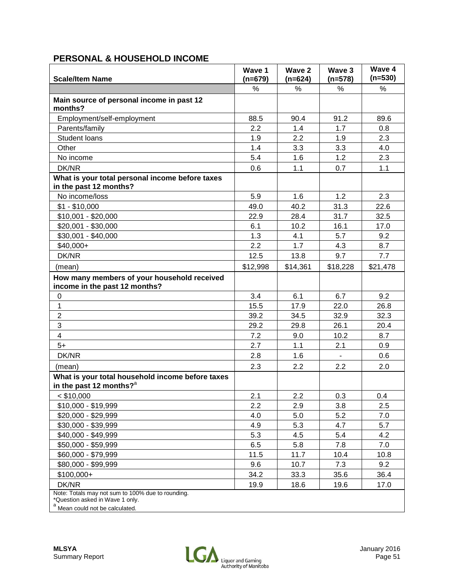### **PERSONAL & HOUSEHOLD INCOME**

| <b>Scale/Item Name</b>                                                                                                             | Wave 1<br>$(n=679)$ | Wave 2<br>$(n=624)$ | Wave 3<br>$(n=578)$ | Wave 4<br>$(n=530)$ |
|------------------------------------------------------------------------------------------------------------------------------------|---------------------|---------------------|---------------------|---------------------|
|                                                                                                                                    | $\%$                | %                   | %                   | %                   |
| Main source of personal income in past 12<br>months?                                                                               |                     |                     |                     |                     |
| Employment/self-employment                                                                                                         | 88.5                | 90.4                | 91.2                | 89.6                |
| Parents/family                                                                                                                     | 2.2                 | 1.4                 | 1.7                 | 0.8                 |
| Student Ioans                                                                                                                      | 1.9                 | 2.2                 | 1.9                 | 2.3                 |
| Other                                                                                                                              | 1.4                 | 3.3                 | 3.3                 | 4.0                 |
| No income                                                                                                                          | 5.4                 | 1.6                 | 1.2                 | 2.3                 |
| DK/NR                                                                                                                              | 0.6                 | 1.1                 | 0.7                 | 1.1                 |
| What is your total personal income before taxes<br>in the past 12 months?                                                          |                     |                     |                     |                     |
| No income/loss                                                                                                                     | 5.9                 | 1.6                 | 1.2                 | 2.3                 |
| $$1 - $10,000$                                                                                                                     | 49.0                | 40.2                | 31.3                | 22.6                |
| $$10,001 - $20,000$                                                                                                                | 22.9                | 28.4                | 31.7                | 32.5                |
| $$20,001 - $30,000$                                                                                                                | 6.1                 | 10.2                | 16.1                | 17.0                |
| \$30,001 - \$40,000                                                                                                                | 1.3                 | 4.1                 | 5.7                 | 9.2                 |
| $$40,000+$                                                                                                                         | 2.2                 | 1.7                 | 4.3                 | 8.7                 |
| DK/NR                                                                                                                              | 12.5                | 13.8                | 9.7                 | 7.7                 |
| (mean)                                                                                                                             | \$12,998            | \$14,361            | \$18,228            | \$21,478            |
| How many members of your household received<br>income in the past 12 months?                                                       |                     |                     |                     |                     |
| $\pmb{0}$                                                                                                                          | 3.4                 | 6.1                 | 6.7                 | 9.2                 |
| $\mathbf 1$                                                                                                                        | 15.5                | 17.9                | 22.0                | 26.8                |
| $\overline{2}$                                                                                                                     | 39.2                | 34.5                | 32.9                | 32.3                |
| 3                                                                                                                                  | 29.2                | 29.8                | 26.1                | 20.4                |
| $\overline{4}$                                                                                                                     | 7.2                 | 9.0                 | 10.2                | 8.7                 |
| $5+$                                                                                                                               | 2.7                 | 1.1                 | 2.1                 | 0.9                 |
| DK/NR                                                                                                                              | 2.8                 | 1.6                 |                     | 0.6                 |
| (mean)                                                                                                                             | 2.3                 | 2.2                 | 2.2                 | 2.0                 |
| What is your total household income before taxes<br>in the past 12 months? <sup>a</sup>                                            |                     |                     |                     |                     |
| $<$ \$10,000                                                                                                                       | 2.1                 | 2.2                 | 0.3                 | 0.4                 |
| \$10,000 - \$19,999                                                                                                                | 2.2                 | 2.9                 | 3.8                 | 2.5                 |
| \$20,000 - \$29,999                                                                                                                | 4.0                 | 5.0                 | 5.2                 | 7.0                 |
| \$30,000 - \$39,999                                                                                                                | 4.9                 | 5.3                 | 4.7                 | 5.7                 |
| \$40,000 - \$49,999                                                                                                                | 5.3                 | 4.5                 | 5.4                 | 4.2                 |
| \$50,000 - \$59,999                                                                                                                | 6.5                 | 5.8                 | 7.8                 | 7.0                 |
| \$60,000 - \$79,999                                                                                                                | 11.5                | 11.7                | 10.4                | 10.8                |
| \$80,000 - \$99,999                                                                                                                | 9.6                 | 10.7                | 7.3                 | 9.2                 |
| \$100,000+                                                                                                                         | 34.2                | 33.3                | 35.6                | 36.4                |
| DK/NR                                                                                                                              | 19.9                | 18.6                | 19.6                | 17.0                |
| Note: Totals may not sum to 100% due to rounding.<br>*Question asked in Wave 1 only.<br><sup>a</sup> Mean could not be calculated. |                     |                     |                     |                     |

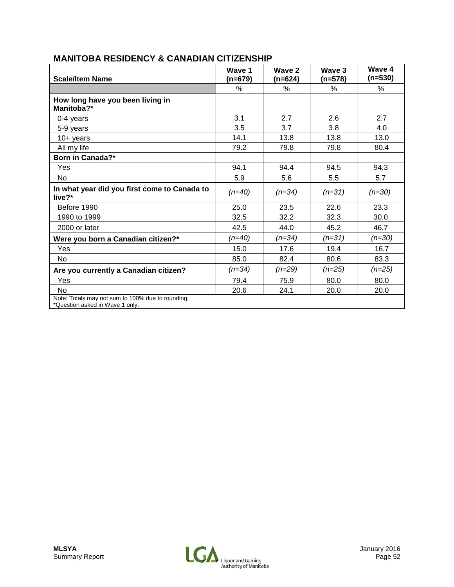| <b>Scale/Item Name</b>                                                               | Wave 1<br>(n=679) | Wave 2<br>(n=624) | Wave 3<br>(n=578) | Wave 4<br>$(n=530)$ |
|--------------------------------------------------------------------------------------|-------------------|-------------------|-------------------|---------------------|
|                                                                                      | ℅                 | ℅                 | ℅                 | %                   |
| How long have you been living in<br>Manitoba?*                                       |                   |                   |                   |                     |
| 0-4 years                                                                            | 3.1               | 2.7               | 2.6               | 2.7                 |
| 5-9 years                                                                            | 3.5               | 3.7               | 3.8               | 4.0                 |
| $10+$ years                                                                          | 14.1              | 13.8              | 13.8              | 13.0                |
| All my life                                                                          | 79.2              | 79.8              | 79.8              | 80.4                |
| Born in Canada?*                                                                     |                   |                   |                   |                     |
| Yes                                                                                  | 94.1              | 94.4              | 94.5              | 94.3                |
| No                                                                                   | 5.9               | 5.6               | 5.5               | 5.7                 |
| In what year did you first come to Canada to<br>live?*                               | $(n=40)$          | $(n=34)$          | $(n=31)$          | $(n=30)$            |
| Before 1990                                                                          | 25.0              | 23.5              | 22.6              | 23.3                |
| 1990 to 1999                                                                         | 32.5              | 32.2              | 32.3              | 30.0                |
| 2000 or later                                                                        | 42.5              | 44.0              | 45.2              | 46.7                |
| Were you born a Canadian citizen?*                                                   | (n=40)            | $(n=34)$          | $(n=31)$          | $(n=30)$            |
| Yes                                                                                  | 15.0              | 17.6              | 19.4              | 16.7                |
| No                                                                                   | 85.0              | 82.4              | 80.6              | 83.3                |
| Are you currently a Canadian citizen?                                                | (n=34)            | $(n=29)$          | $(n=25)$          | $(n=25)$            |
| Yes                                                                                  | 79.4              | 75.9              | 80.0              | 80.0                |
| No                                                                                   | 20.6              | 24.1              | 20.0              | 20.0                |
| Note: Totals may not sum to 100% due to rounding.<br>*Question asked in Wave 1 only. |                   |                   |                   |                     |

### **MANITOBA RESIDENCY & CANADIAN CITIZENSHIP**

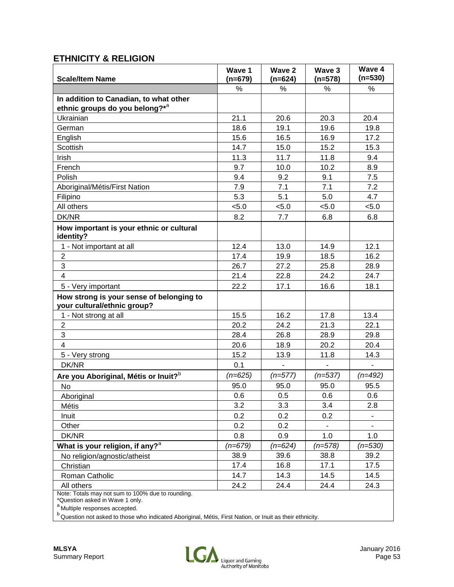### **ETHNICITY & RELIGION**

| <b>Scale/Item Name</b>                                                               | Wave 1<br>$(n=679)$ | Wave 2<br>$(n=624)$ | Wave 3<br>(n=578) | Wave 4<br>$(n=530)$ |
|--------------------------------------------------------------------------------------|---------------------|---------------------|-------------------|---------------------|
|                                                                                      | %                   | %                   | %                 | %                   |
| In addition to Canadian, to what other                                               |                     |                     |                   |                     |
| ethnic groups do you belong?* <sup>a</sup>                                           |                     |                     |                   |                     |
| Ukrainian                                                                            | 21.1                | 20.6                | 20.3              | 20.4                |
| German                                                                               | 18.6                | 19.1                | 19.6              | 19.8                |
| English                                                                              | 15.6                | 16.5                | 16.9              | 17.2                |
| Scottish                                                                             | 14.7                | 15.0                | 15.2              | 15.3                |
| Irish                                                                                | 11.3                | 11.7                | 11.8              | 9.4                 |
| French                                                                               | 9.7                 | 10.0                | 10.2              | 8.9                 |
| Polish                                                                               | 9.4                 | 9.2                 | 9.1               | 7.5                 |
| Aboriginal/Métis/First Nation                                                        | 7.9                 | 7.1                 | 7.1               | 7.2                 |
| Filipino                                                                             | 5.3                 | 5.1                 | 5.0               | 4.7                 |
| All others                                                                           | < 5.0               | < 5.0               | < 5.0             | < 5.0               |
| DK/NR                                                                                | 8.2                 | 7.7                 | 6.8               | 6.8                 |
| How important is your ethnic or cultural<br>identity?                                |                     |                     |                   |                     |
| 1 - Not important at all                                                             | 12.4                | 13.0                | 14.9              | 12.1                |
| $\overline{c}$                                                                       | 17.4                | 19.9                | 18.5              | 16.2                |
| $\ensuremath{\mathsf{3}}$                                                            | 26.7                | 27.2                | 25.8              | 28.9                |
| 4                                                                                    | 21.4                | 22.8                | 24.2              | 24.7                |
| 5 - Very important                                                                   | 22.2                | 17.1                | 16.6              | 18.1                |
| How strong is your sense of belonging to<br>your cultural/ethnic group?              |                     |                     |                   |                     |
| 1 - Not strong at all                                                                | 15.5                | 16.2                | 17.8              | 13.4                |
| $\overline{2}$                                                                       | 20.2                | 24.2                | 21.3              | 22.1                |
| $\sqrt{3}$                                                                           | 28.4                | 26.8                | 28.9              | 29.8                |
| $\overline{4}$                                                                       | 20.6                | 18.9                | 20.2              | 20.4                |
| 5 - Very strong                                                                      | 15.2                | 13.9                | 11.8              | 14.3                |
| DK/NR                                                                                | 0.1                 |                     |                   |                     |
| Are you Aboriginal, Métis or Inuit? <sup>b</sup>                                     | $(n=625)$           | $(n=577)$           | $(n=537)$         | $(n=492)$           |
| No                                                                                   | 95.0                | 95.0                | 95.0              | 95.5                |
| Aboriginal                                                                           | 0.6                 | 0.5                 | 0.6               | 0.6                 |
| Métis                                                                                | 3.2                 | 3.3                 | 3.4               | 2.8                 |
| Inuit                                                                                | 0.2                 | 0.2                 | 0.2               |                     |
| Other                                                                                | 0.2                 | 0.2                 |                   |                     |
| DK/NR                                                                                | 0.8                 | 0.9                 | 1.0               | 1.0                 |
| What is your religion, if any? <sup>a</sup>                                          | $(n=679)$           | $(n=624)$           | $(n=578)$         | $(n=530)$           |
| No religion/agnostic/atheist                                                         | 38.9                | 39.6                | 38.8              | 39.2                |
| Christian                                                                            | 17.4                | 16.8                | 17.1              | 17.5                |
| Roman Catholic                                                                       | 14.7                | 14.3                | 14.5              | 14.5                |
| All others                                                                           | 24.2                | 24.4                | 24.4              | 24.3                |
| Note: Totals may not sum to 100% due to rounding.<br>*Question asked in Wave 1 only. |                     |                     |                   |                     |

\*Question asked in Wave 1 only.<br><sup>a</sup> Multiple responses accepted.<br><sup>b</sup> Question not asked to those who indicated Aboriginal, Métis, First Nation, or Inuit as their ethnicity.

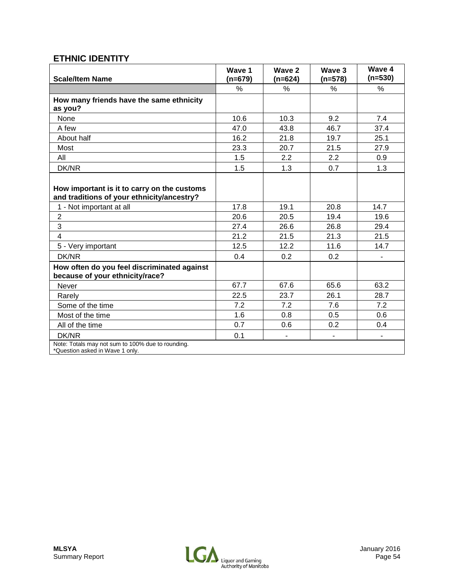### **ETHNIC IDENTITY**

| <b>Scale/Item Name</b>                                                                    | Wave 1<br>(n=679) | Wave 2<br>(n=624)        | Wave 3<br>(n=578) | Wave 4<br>$(n=530)$      |
|-------------------------------------------------------------------------------------------|-------------------|--------------------------|-------------------|--------------------------|
|                                                                                           | $\frac{0}{0}$     | $\%$                     | $\%$              | $\%$                     |
| How many friends have the same ethnicity<br>as you?                                       |                   |                          |                   |                          |
| None                                                                                      | 10.6              | 10.3                     | 9.2               | 7.4                      |
| A few                                                                                     | 47.0              | 43.8                     | 46.7              | 37.4                     |
| About half                                                                                | 16.2              | 21.8                     | 19.7              | 25.1                     |
| Most                                                                                      | 23.3              | 20.7                     | 21.5              | 27.9                     |
| All                                                                                       | 1.5               | 2.2                      | 2.2               | 0.9                      |
| DK/NR                                                                                     | 1.5               | 1.3                      | 0.7               | 1.3                      |
| How important is it to carry on the customs<br>and traditions of your ethnicity/ancestry? |                   |                          |                   |                          |
| 1 - Not important at all                                                                  | 17.8              | 19.1                     | 20.8              | 14.7                     |
| $\overline{2}$                                                                            | 20.6              | 20.5                     | 19.4              | 19.6                     |
| 3                                                                                         | 27.4              | 26.6                     | 26.8              | 29.4                     |
| $\overline{4}$                                                                            | 21.2              | 21.5                     | 21.3              | 21.5                     |
| 5 - Very important                                                                        | 12.5              | 12.2                     | 11.6              | 14.7                     |
| DK/NR                                                                                     | 0.4               | 0.2                      | 0.2               |                          |
| How often do you feel discriminated against<br>because of your ethnicity/race?            |                   |                          |                   |                          |
| <b>Never</b>                                                                              | 67.7              | 67.6                     | 65.6              | 63.2                     |
| Rarely                                                                                    | 22.5              | 23.7                     | 26.1              | 28.7                     |
| Some of the time                                                                          | 7.2               | 7.2                      | 7.6               | 7.2                      |
| Most of the time                                                                          | 1.6               | 0.8                      | 0.5               | 0.6                      |
| All of the time                                                                           | 0.7               | 0.6                      | 0.2               | 0.4                      |
| DK/NR                                                                                     | 0.1               | $\overline{\phantom{m}}$ |                   | $\overline{\phantom{a}}$ |
| Note: Totals may not sum to 100% due to rounding.<br>*Question asked in Wave 1 only.      |                   |                          |                   |                          |

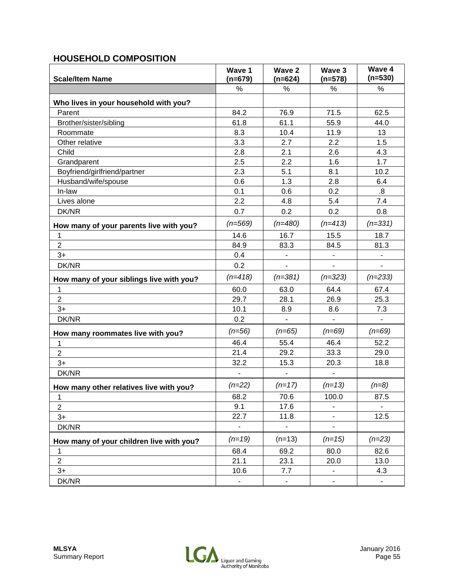### **HOUSEHOLD COMPOSITION**

| <b>Scale/Item Name</b>                   | Wave 1<br>$(n=679)$ | Wave 2<br>$(n=624)$      | Wave 3<br>$(n=578)$      | Wave 4<br>$(n=530)$      |
|------------------------------------------|---------------------|--------------------------|--------------------------|--------------------------|
|                                          | $\frac{0}{0}$       | %                        | $\frac{0}{0}$            | %                        |
| Who lives in your household with you?    |                     |                          |                          |                          |
| Parent                                   | 84.2                | 76.9                     | 71.5                     | 62.5                     |
| Brother/sister/sibling                   | 61.8                | 61.1                     | 55.9                     | 44.0                     |
| Roommate                                 | 8.3                 | 10.4                     | 11.9                     | 13                       |
| Other relative                           | 3.3                 | 2.7                      | 2.2                      | 1.5                      |
| Child                                    | 2.8                 | 2.1                      | 2.6                      | 4.3                      |
| Grandparent                              | 2.5                 | 2.2                      | 1.6                      | 1.7                      |
| Boyfriend/girlfriend/partner             | 2.3                 | 5.1                      | 8.1                      | 10.2                     |
| Husband/wife/spouse                      | 0.6                 | 1.3                      | 2.8                      | 6.4                      |
| In-law                                   | 0.1                 | 0.6                      | 0.2                      | 8.5                      |
| Lives alone                              | 2.2                 | 4.8                      | 5.4                      | 7.4                      |
| DK/NR                                    | 0.7                 | 0.2                      | 0.2                      | 0.8                      |
| How many of your parents live with you?  | $(n=569)$           | $(n=480)$                | $(n=413)$                | $(n=331)$                |
| 1                                        | 14.6                | 16.7                     | 15.5                     | 18.7                     |
| $\overline{2}$                           | 84.9                | 83.3                     | 84.5                     | 81.3                     |
| $3+$                                     | 0.4                 |                          |                          |                          |
| DK/NR                                    | 0.2                 | $\Box$                   | $\blacksquare$           | $\blacksquare$           |
| How many of your siblings live with you? | $(n=418)$           | $(n=381)$                | $(n=323)$                | $(n=233)$                |
| 1                                        | 60.0                | 63.0                     | 64.4                     | 67.4                     |
| $\overline{2}$                           | 29.7                | 28.1                     | 26.9                     | 25.3                     |
| $3+$                                     | 10.1                | 8.9                      | 8.6                      | 7.3                      |
| DK/NR                                    | 0.2                 | $\blacksquare$           | $\overline{\phantom{a}}$ | $\overline{\phantom{a}}$ |
| How many roommates live with you?        | $(n=56)$            | $(n=65)$                 | $(n=69)$                 | $(n=69)$                 |
| 1                                        | 46.4                | 55.4                     | 46.4                     | 52.2                     |
| $\overline{2}$                           | 21.4                | 29.2                     | 33.3                     | 29.0                     |
| $3+$                                     | 32.2                | 15.3                     | 20.3                     | 18.8                     |
| DK/NR                                    | $\overline{a}$      | $\overline{\phantom{a}}$ |                          |                          |
| How many other relatives live with you?  | $(n=22)$            | $(n=17)$                 | $(n=13)$                 | $(n=8)$                  |
| 1                                        | 68.2                | 70.6                     | 100.0                    | 87.5                     |
| $\overline{2}$                           | 9.1                 | 17.6                     |                          |                          |
| $3+$                                     | 22.7                | 11.8                     |                          | 12.5                     |
| DK/NR                                    | ۰                   | $\blacksquare$           |                          |                          |
| How many of your children live with you? | $(n=19)$            | $(n=13)$                 | $(n=15)$                 | $(n=23)$                 |
| $\mathbf 1$                              | 68.4                | 69.2                     | 80.0                     | 82.6                     |
| $\overline{2}$                           | 21.1                | 23.1                     | 20.0                     | 13.0                     |
| $3+$                                     | 10.6                | 7.7                      |                          | 4.3                      |
| DK/NR                                    | ۰.                  | $\blacksquare$           |                          | $\blacksquare$           |

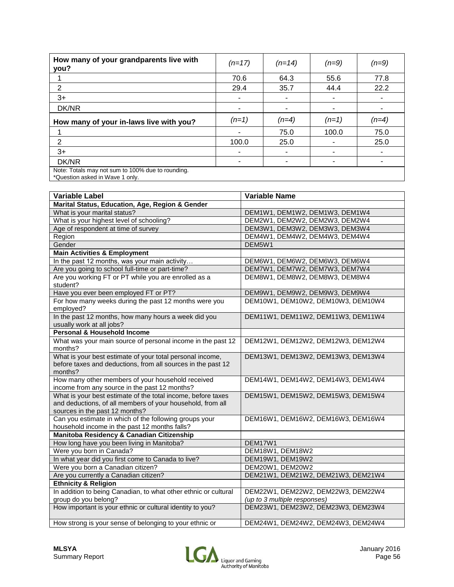| How many of your grandparents live with<br>you?                                      | $(n=17)$ | $(n=14)$ | $(n=9)$ | $(n=9)$ |
|--------------------------------------------------------------------------------------|----------|----------|---------|---------|
|                                                                                      | 70.6     | 64.3     | 55.6    | 77.8    |
| 2                                                                                    | 29.4     | 35.7     | 44.4    | 22.2    |
| $3+$                                                                                 | ۰        | ۰        |         |         |
| DK/NR                                                                                |          |          |         |         |
| How many of your in-laws live with you?                                              | $(n=1)$  | $(n=4)$  | $(n=1)$ | $(n=4)$ |
|                                                                                      |          | 75.0     | 100.0   | 75.0    |
| 2                                                                                    | 100.0    | 25.0     |         | 25.0    |
| $3+$                                                                                 |          |          |         |         |
| DK/NR                                                                                |          |          |         |         |
| Note: Totals may not sum to 100% due to rounding.<br>*Question asked in Wave 1 only. |          |          |         |         |

| <b>Variable Label</b>                                                                                                                                        | <b>Variable Name</b>                                               |
|--------------------------------------------------------------------------------------------------------------------------------------------------------------|--------------------------------------------------------------------|
| Marital Status, Education, Age, Region & Gender                                                                                                              |                                                                    |
| What is your marital status?                                                                                                                                 | DEM1W1, DEM1W2, DEM1W3, DEM1W4                                     |
| What is your highest level of schooling?                                                                                                                     | DEM2W1, DEM2W2, DEM2W3, DEM2W4                                     |
| Age of respondent at time of survey                                                                                                                          | DEM3W1, DEM3W2, DEM3W3, DEM3W4                                     |
| Region                                                                                                                                                       | DEM4W1, DEM4W2, DEM4W3, DEM4W4                                     |
| Gender                                                                                                                                                       | DEM5W1                                                             |
| <b>Main Activities &amp; Employment</b>                                                                                                                      |                                                                    |
| In the past 12 months, was your main activity                                                                                                                | DEM6W1, DEM6W2, DEM6W3, DEM6W4                                     |
| Are you going to school full-time or part-time?                                                                                                              | DEM7W1, DEM7W2, DEM7W3, DEM7W4                                     |
| Are you working FT or PT while you are enrolled as a<br>student?                                                                                             | DEM8W1, DEM8W2, DEM8W3, DEM8W4                                     |
| Have you ever been employed FT or PT?                                                                                                                        | DEM9W1, DEM9W2, DEM9W3, DEM9W4                                     |
| For how many weeks during the past 12 months were you<br>employed?                                                                                           | DEM10W1, DEM10W2, DEM10W3, DEM10W4                                 |
| In the past 12 months, how many hours a week did you<br>usually work at all jobs?                                                                            | DEM11W1, DEM11W2, DEM11W3, DEM11W4                                 |
| <b>Personal &amp; Household Income</b>                                                                                                                       |                                                                    |
| What was your main source of personal income in the past 12<br>months?                                                                                       | DEM12W1, DEM12W2, DEM12W3, DEM12W4                                 |
| What is your best estimate of your total personal income,<br>before taxes and deductions, from all sources in the past 12<br>months?                         | DEM13W1, DEM13W2, DEM13W3, DEM13W4                                 |
| How many other members of your household received<br>income from any source in the past 12 months?                                                           | DEM14W1, DEM14W2, DEM14W3, DEM14W4                                 |
| What is your best estimate of the total income, before taxes<br>and deductions, of all members of your household, from all<br>sources in the past 12 months? | DEM15W1, DEM15W2, DEM15W3, DEM15W4                                 |
| Can you estimate in which of the following groups your<br>household income in the past 12 months falls?                                                      | DEM16W1, DEM16W2, DEM16W3, DEM16W4                                 |
| Manitoba Residency & Canadian Citizenship                                                                                                                    |                                                                    |
| How long have you been living in Manitoba?                                                                                                                   | DEM17W1                                                            |
| Were you born in Canada?                                                                                                                                     | DEM18W1, DEM18W2                                                   |
| In what year did you first come to Canada to live?                                                                                                           | DEM19W1, DEM19W2                                                   |
| Were you born a Canadian citizen?                                                                                                                            | DEM20W1, DEM20W2                                                   |
| Are you currently a Canadian citizen?                                                                                                                        | DEM21W1, DEM21W2, DEM21W3, DEM21W4                                 |
| <b>Ethnicity &amp; Religion</b>                                                                                                                              |                                                                    |
| In addition to being Canadian, to what other ethnic or cultural<br>group do you belong?                                                                      | DEM22W1, DEM22W2, DEM22W3, DEM22W4<br>(up to 3 multiple responses) |
| How important is your ethnic or cultural identity to you?                                                                                                    | DEM23W1, DEM23W2, DEM23W3, DEM23W4                                 |
| How strong is your sense of belonging to your ethnic or                                                                                                      | DEM24W1, DEM24W2, DEM24W3, DEM24W4                                 |